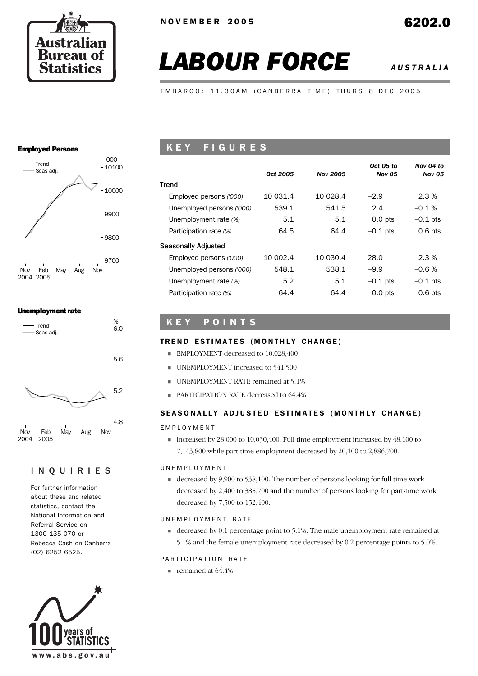

# *LABOUR FORCE AUSTRALIA*

EMBARGO: 11.30AM (CANBERRA TIME) THURS 8 DEC 2005

### Employed Persons



### Unemployment rate



### INQUIRIES

For further information about these and related statistics, contact the National Information and Referral Service on 1300 135 070 or Rebecca Cash on Canberra (02) 6252 6525.



# K E Y F I G U R E S

|                           | Oct 2005 | <b>Nov 2005</b> | Oct 05 to<br><b>Nov 05</b> | Nov 04 to<br><b>Nov 05</b> |
|---------------------------|----------|-----------------|----------------------------|----------------------------|
| Trend                     |          |                 |                            |                            |
| Employed persons ('000)   | 10 031.4 | 10 0 28.4       | $-2.9$                     | 2.3%                       |
| Unemployed persons ('000) | 539.1    | 541.5           | 2.4                        | $-0.1%$                    |
| Unemployment rate (%)     | 5.1      | 5.1             | $0.0$ pts                  | $-0.1$ pts                 |
| Participation rate (%)    | 64.5     | 64.4            | $-0.1$ pts                 | $0.6$ pts                  |
| Seasonally Adjusted       |          |                 |                            |                            |
| Employed persons ('000)   | 10 002.4 | 10 030.4        | 28.0                       | 2.3%                       |
| Unemployed persons ('000) | 548.1    | 538.1           | $-9.9$                     | $-0.6%$                    |
| Unemployment rate (%)     | 5.2      | 5.1             | $-0.1$ pts                 | $-0.1$ pts                 |
| Participation rate (%)    | 64.4     | 64.4            | $0.0$ pts                  | $0.6$ pts                  |

# K E Y P O I N T S

### TREND ESTIMATES (MONTHLY CHANGE)

- **EMPLOYMENT** decreased to 10,028,400
- **UNEMPLOYMENT** increased to 541,500
- **UNEMPLOYMENT RATE remained at 5.1%**
- **PARTICIPATION RATE decreased to 64.4%**

### SEASONALLY ADJUSTED ESTIMATES (MONTHLY CHANGE)

### EMPLOYMENT

 $\blacksquare$  increased by 28,000 to 10,030,400. Full-time employment increased by 48,100 to 7,143,800 while part-time employment decreased by 20,100 to 2,886,700.

### UNEMPLOYMENT

! decreased by 9,900 to 538,100. The number of persons looking for full-time work decreased by 2,400 to 385,700 and the number of persons looking for part-time work decreased by 7,500 to 152,400.

### UNEMPLOYMENT RATE

! decreased by 0.1 percentage point to 5.1%. The male unemployment rate remained at 5.1% and the female unemployment rate decreased by 0.2 percentage points to 5.0%.

### PARTICIPATION RATE

**remained at 64.4%.**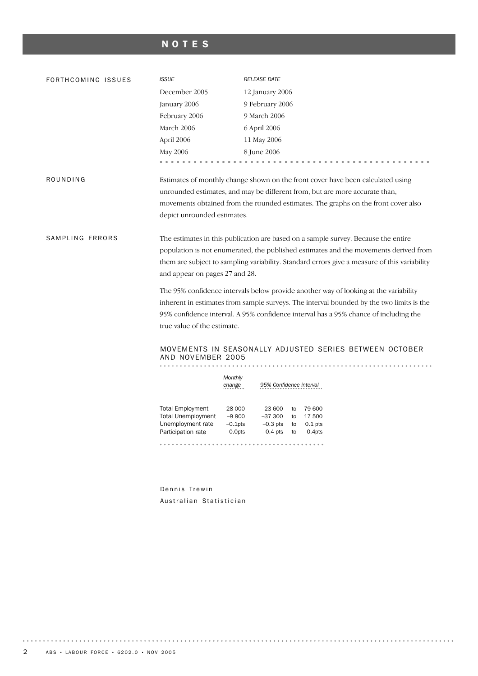# NOTES

| FORTHCOMING ISSUES | <b>ISSUE</b>                                                                       | <b>RELEASE DATE</b>                                                                          |  |  |  |  |  |  |  |
|--------------------|------------------------------------------------------------------------------------|----------------------------------------------------------------------------------------------|--|--|--|--|--|--|--|
|                    | December 2005                                                                      | 12 January 2006                                                                              |  |  |  |  |  |  |  |
|                    | January 2006                                                                       | 9 February 2006                                                                              |  |  |  |  |  |  |  |
|                    | February 2006                                                                      | 9 March 2006                                                                                 |  |  |  |  |  |  |  |
|                    | March 2006                                                                         | 6 April 2006                                                                                 |  |  |  |  |  |  |  |
|                    | April 2006                                                                         | 11 May 2006                                                                                  |  |  |  |  |  |  |  |
|                    | May 2006                                                                           | 8 June 2006                                                                                  |  |  |  |  |  |  |  |
|                    | .                                                                                  |                                                                                              |  |  |  |  |  |  |  |
| ROUNDING           |                                                                                    | Estimates of monthly change shown on the front cover have been calculated using              |  |  |  |  |  |  |  |
|                    |                                                                                    | unrounded estimates, and may be different from, but are more accurate than,                  |  |  |  |  |  |  |  |
|                    |                                                                                    | movements obtained from the rounded estimates. The graphs on the front cover also            |  |  |  |  |  |  |  |
|                    | depict unrounded estimates.                                                        |                                                                                              |  |  |  |  |  |  |  |
|                    |                                                                                    |                                                                                              |  |  |  |  |  |  |  |
| SAMPLING ERRORS    | The estimates in this publication are based on a sample survey. Because the entire |                                                                                              |  |  |  |  |  |  |  |
|                    |                                                                                    | population is not enumerated, the published estimates and the movements derived from         |  |  |  |  |  |  |  |
|                    |                                                                                    | them are subject to sampling variability. Standard errors give a measure of this variability |  |  |  |  |  |  |  |
|                    | and appear on pages 27 and 28.                                                     |                                                                                              |  |  |  |  |  |  |  |
|                    |                                                                                    | The 95% confidence intervals below provide another way of looking at the variability         |  |  |  |  |  |  |  |
|                    |                                                                                    | inherent in estimates from sample surveys. The interval bounded by the two limits is the     |  |  |  |  |  |  |  |
|                    |                                                                                    | 95% confidence interval. A 95% confidence interval has a 95% chance of including the         |  |  |  |  |  |  |  |
|                    | true value of the estimate.                                                        |                                                                                              |  |  |  |  |  |  |  |
|                    |                                                                                    |                                                                                              |  |  |  |  |  |  |  |
|                    |                                                                                    | MOVEMENTS IN SEASONALLY ADJUSTED SERIES BETWEEN OCTOBER                                      |  |  |  |  |  |  |  |
|                    | AND NOVEMBER 2005                                                                  |                                                                                              |  |  |  |  |  |  |  |
|                    | Monthly                                                                            |                                                                                              |  |  |  |  |  |  |  |
|                    | change                                                                             | 95% Confidence interval                                                                      |  |  |  |  |  |  |  |
|                    |                                                                                    |                                                                                              |  |  |  |  |  |  |  |
|                    | <b>Total Employment</b>                                                            | 28 000<br>$-23600$<br>79 600<br>to                                                           |  |  |  |  |  |  |  |
|                    | <b>Total Unemployment</b><br>Unemployment rate                                     | $-9900$<br>$-37300$<br>17 500<br>to<br>$-0.1$ pts<br>$-0.3$ pts<br>$0.1$ pts<br>to           |  |  |  |  |  |  |  |
|                    | Participation rate                                                                 | 0.0pts<br>$-0.4$ pts<br>to<br>0.4pts                                                         |  |  |  |  |  |  |  |
|                    |                                                                                    |                                                                                              |  |  |  |  |  |  |  |

Dennis Trewin Australian Statistician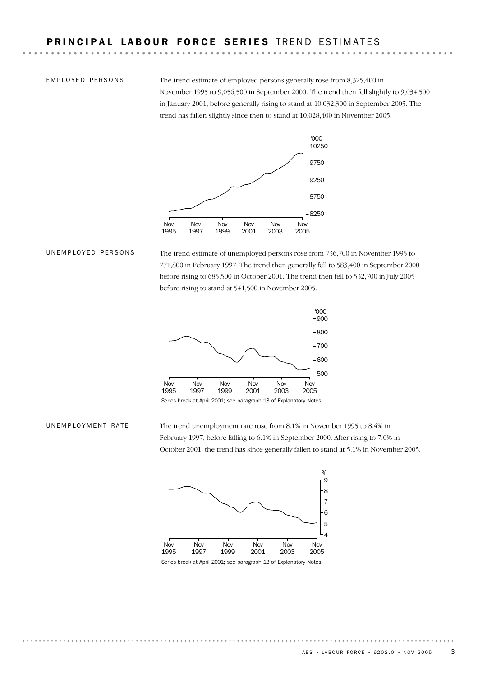EMPLOYED PERSONS

The trend estimate of employed persons generally rose from 8,325,400 in November 1995 to 9,056,500 in September 2000. The trend then fell slightly to 9,034,500 in January 2001, before generally rising to stand at 10,032,300 in September 2005. The trend has fallen slightly since then to stand at 10,028,400 in November 2005.



### UNEMPLOYED PERSONS

The trend estimate of unemployed persons rose from 736,700 in November 1995 to 771,800 in February 1997. The trend then generally fell to 583,400 in September 2000 before rising to 685,500 in October 2001. The trend then fell to 532,700 in July 2005 before rising to stand at 541,500 in November 2005.



Series break at April 2001; see paragraph 13 of Explanatory Notes.

#### UNEMPLOYMENT RATE

The trend unemployment rate rose from 8.1% in November 1995 to 8.4% in February 1997, before falling to 6.1% in September 2000. After rising to 7.0% in October 2001, the trend has since generally fallen to stand at 5.1% in November 2005.

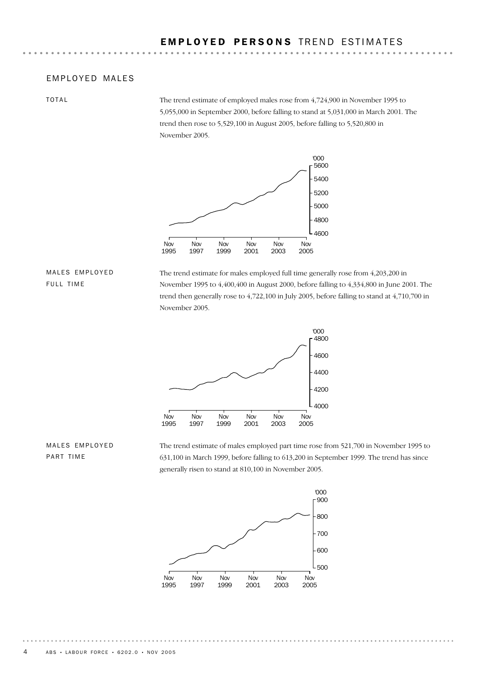### EMPLOYED MALES

TOTAL

The trend estimate of employed males rose from 4,724,900 in November 1995 to 5,055,000 in September 2000, before falling to stand at 5,031,000 in March 2001. The trend then rose to 5,529,100 in August 2005, before falling to 5,520,800 in November 2005.



### MALES EMPLOYED FULL TIME

The trend estimate for males employed full time generally rose from 4,203,200 in November 1995 to 4,400,400 in August 2000, before falling to 4,334,800 in June 2001. The trend then generally rose to 4,722,100 in July 2005, before falling to stand at 4,710,700 in November 2005.



The trend estimate of males employed part time rose from 521,700 in November 1995 to 631,100 in March 1999, before falling to 613,200 in September 1999. The trend has since generally risen to stand at 810,100 in November 2005.



## MALES EMPLOYED PART TIME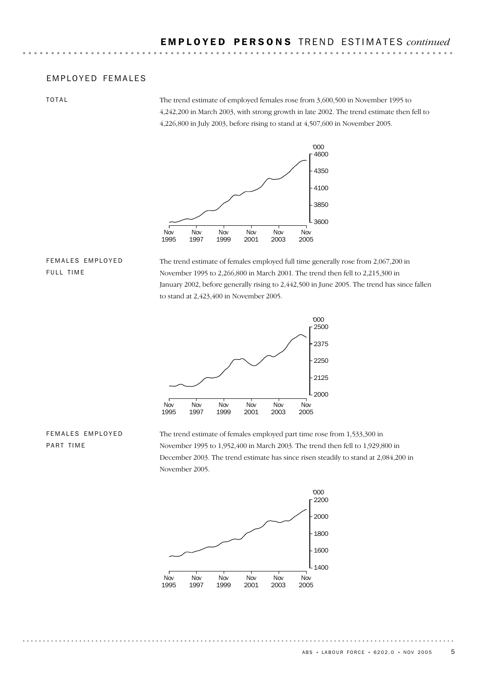### EMPLOYED FEMALES

TOTAL

The trend estimate of employed females rose from 3,600,500 in November 1995 to 4,242,200 in March 2003, with strong growth in late 2002. The trend estimate then fell to 4,226,800 in July 2003, before rising to stand at 4,507,600 in November 2005.



### FEMALES EMPLOYED FULL TIME

The trend estimate of females employed full time generally rose from 2,067,200 in November 1995 to 2,266,800 in March 2001. The trend then fell to 2,215,300 in January 2002, before generally rising to 2,442,500 in June 2005. The trend has since fallen to stand at 2,423,400 in November 2005.



## FEMALES EMPLOYED PART TIME

The trend estimate of females employed part time rose from 1,533,300 in November 1995 to 1,952,400 in March 2003. The trend then fell to 1,929,800 in December 2003. The trend estimate has since risen steadily to stand at 2,084,200 in November 2005.

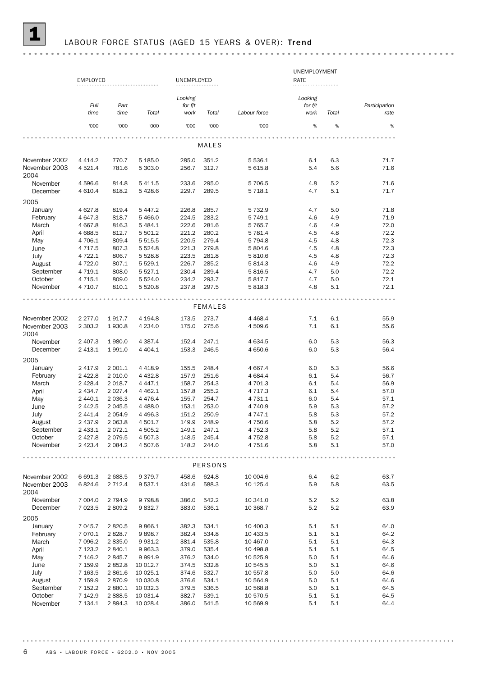|                       | <b>EMPLOYED</b>          |                |                       | UNEMPLOYED     |                |                     | UNEMPLOYMENT<br>RATE |            |               |
|-----------------------|--------------------------|----------------|-----------------------|----------------|----------------|---------------------|----------------------|------------|---------------|
|                       |                          |                |                       |                |                |                     |                      |            |               |
|                       |                          |                |                       | Looking        |                |                     | Looking              |            |               |
|                       | Full                     | Part           |                       | for $f/t$      |                |                     | for f/t              |            | Participation |
|                       | time                     | time           | Total                 | work           | Total          | Labour force        | work                 | Total      | rate          |
|                       | '000                     | '000           | '000                  | '000           | '000           | '000                | $\%$                 | %          | %             |
|                       |                          |                |                       |                |                |                     |                      |            |               |
|                       |                          |                |                       |                | MALES          |                     |                      |            |               |
| November 2002         | 4 4 1 4 .2               | 770.7          | 5 185.0               | 285.0          | 351.2          | 5 5 3 6.1           | 6.1                  | 6.3        | 71.7          |
| November 2003<br>2004 | 4521.4                   | 781.6          | 5 303.0               | 256.7          | 312.7          | 5 615.8             | 5.4                  | 5.6        | 71.6          |
| November<br>December  | 4596.6<br>4 6 1 0.4      | 814.8<br>818.2 | 5 4 1 1.5<br>5 4 28.6 | 233.6<br>229.7 | 295.0<br>289.5 | 5 706.5<br>5 7 18.1 | 4.8<br>4.7           | 5.2<br>5.1 | 71.6<br>71.7  |
| 2005                  |                          |                |                       |                |                |                     |                      |            |               |
| January               | 4 6 27.8                 | 819.4          | 5 4 4 7.2             | 226.8          | 285.7          | 5 7 3 2.9           | 4.7                  | 5.0        | 71.8          |
| February              | 4 647.3                  | 818.7          | 5 4 66.0              | 224.5          | 283.2          | 5 749.1             | 4.6                  | 4.9        | 71.9          |
| March                 | 4 6 6 7.8                | 816.3          | 5 4 8 4.1             | 222.6          | 281.6          | 5 7 6 5 . 7         | 4.6                  | 4.9        | 72.0          |
| April                 | 4 6 88.5                 | 812.7          | 5 501.2               | 221.2          | 280.2          | 5 781.4             | 4.5                  | 4.8        | 72.2          |
| May                   | 4 706.1                  | 809.4          | 5 5 1 5 .5            | 220.5          | 279.4          | 5 7 9 4.8           | 4.5                  | 4.8        | 72.3          |
| June                  | 4 7 1 7 .5               | 807.3          | 5 5 2 4.8             | 221.3          | 279.8          | 5 804.6             | 4.5                  | 4.8        | 72.3          |
| July                  | 4722.1                   | 806.7          | 5 5 28.8              | 223.5          | 281.8          | 5810.6              | 4.5                  | 4.8        | 72.3          |
|                       |                          | 807.1          |                       | 226.7          | 285.2          |                     |                      |            | 72.2          |
| August<br>September   | 4 7 2 2.0                |                | 5 5 2 9.1             |                |                | 5 8 1 4 . 3         | 4.6                  | 4.9        |               |
| October               | 4 7 1 9.1                | 808.0          | 5 5 2 7 . 1           | 230.4          | 289.4          | 5 816.5             | 4.7                  | 5.0        | 72.2          |
| November              | 4 7 1 5 . 1<br>4 7 1 0.7 | 809.0<br>810.1 | 5 5 2 4.0<br>5 5 20.8 | 234.2<br>237.8 | 293.7<br>297.5 | 5817.7<br>5818.3    | 4.7<br>4.8           | 5.0<br>5.1 | 72.1<br>72.1  |
|                       |                          |                |                       |                |                |                     |                      |            |               |
|                       |                          |                |                       |                | <b>FEMALES</b> |                     |                      |            |               |
| November 2002         | 2 2 7 7 .0               | 1917.7         | 4 194.8               | 173.5          | 273.7          | 4 4 68.4            | 7.1                  | 6.1        | 55.9          |
| November 2003<br>2004 | 2 3 0 3.2                | 1930.8         | 4 2 3 4 .0            | 175.0          | 275.6          | 4 509.6             | 7.1                  | 6.1        | 55.6          |
| November              | 2 407.3                  | 1980.0         | 4 3 8 7 . 4           | 152.4          | 247.1          | 4 6 3 4 .5          | 6.0                  | 5.3        | 56.3          |
| December              | 2 4 1 3.1                | 1991.0         | 4 4 0 4 .1            | 153.3          | 246.5          | 4 650.6             | 6.0                  | 5.3        | 56.4          |
| 2005                  |                          |                |                       |                |                |                     |                      |            |               |
| January               | 2 4 1 7 . 9              | 2 001.1        | 4 4 18.9              | 155.5          | 248.4          | 4 6 67.4            | 6.0                  | 5.3        | 56.6          |
| February              | 2 4 2 2.8                | 2 0 1 0.0      | 4 4 3 2.8             | 157.9          | 251.6          | 4 684.4             | 6.1                  | 5.4        | 56.7          |
| March                 | 2 4 2 8.4                | 2 0 18.7       | 4 4 4 7 . 1           | 158.7          | 254.3          | 4 701.3             | 6.1                  | 5.4        | 56.9          |
| April                 | 2 4 3 4.7                | 2 0 2 7 . 4    | 4 4 6 2.1             | 157.8          | 255.2          | 4 7 1 7 . 3         | 6.1                  | 5.4        | 57.0          |
| May                   | 2 440.1                  | 2 0 3 6.3      | 4 4 7 6.4             | 155.7          | 254.7          | 4 7 3 1 . 1         | 6.0                  | 5.4        | 57.1          |
| June                  | 2 4 4 2.5                | 2 0 4 5 .5     | 4 4 8 8.0             | 153.1          | 253.0          | 4 740.9             | 5.9                  | 5.3        | 57.2          |
| July                  | 2 441.4                  | 2 0 5 4.9      | 4 4 9 6.3             | 151.2          | 250.9          | 4 747.1             | 5.8                  | 5.3        | 57.2          |
| August                | 2 437.9                  | 2 0 6 3.8      | 4 501.7               | 149.9          | 248.9          | 4 750.6             | 5.8                  | 5.2        | 57.2          |
| September             | 2 4 3 3.1                | 2072.1         | 4 505.2               | 149.1          | 247.1          | 4 7 5 2.3           | 5.8                  | 5.2        | 57.1          |
| October               | 2 4 2 7 .8               | 2079.5         | 4 507.3               | 148.5          | 245.4          | 4 7 5 2.8           | 5.8                  | 5.2        | 57.1          |
| November              | 2 4 2 3 . 4              | 2 0 8 4 . 2    | 4 507.6               | 148.2          | 244.0          | 4 751.6             | 5.8                  | 5.1        | 57.0          |
|                       |                          |                |                       |                |                |                     |                      |            | $\cdots$      |
|                       |                          |                |                       |                | PERSONS        |                     |                      |            |               |
| November 2002         | 6 691.3                  | 2 688.5        | 9 3 7 9 . 7           | 458.6          | 624.8          | 10 004.6            | 6.4                  | 6.2        | 63.7          |
| November 2003<br>2004 | 6824.6                   | 2 7 1 2 . 4    | 9 537.1               | 431.6          | 588.3          | 10 125.4            | 5.9                  | 5.8        | 63.5          |
| November              | 7 004.0                  | 2 7 9 4 . 9    | 9 7 9 8.8             | 386.0          | 542.2          | 10 341.0            | 5.2                  | 5.2        | 63.8          |
| December              | 7 0 23.5                 | 2 809.2        | 9 832.7               | 383.0          | 536.1          | 10 368.7            | 5.2                  | 5.2        | 63.9          |
| 2005                  |                          |                |                       |                |                |                     |                      |            |               |
| January               | 7 045.7                  | 2820.5         | 9 866.1               | 382.3          | 534.1          | 10 400.3            | 5.1                  | 5.1        | 64.0          |
| February              | 7 0 7 0.1                | 2828.7         | 9898.7                | 382.4          | 534.8          | 10 433.5            | 5.1                  | 5.1        | 64.2          |
| March                 | 7 096.2                  | 2835.0         | 9 9 3 1.2             | 381.4          | 535.8          | 10 467.0            | 5.1                  | 5.1        | 64.3          |
| April                 | 7 1 2 3 . 2              | 2 840.1        | 9 9 63.3              | 379.0          | 535.4          | 10 498.8            | 5.1                  | 5.1        | 64.5          |
| May                   | 7 146.2                  | 2845.7         | 9 9 9 1.9             | 376.2          | 534.0          | 10 525.9            | 5.0                  | 5.1        | 64.6          |
| June                  | 7 159.9                  | 2852.8         | 10 012.7              | 374.5          | 532.8          | 10 545.5            | 5.0                  | 5.1        | 64.6          |
| July                  | 7 1 6 3.5                | 2861.6         | 10 025.1              | 374.6          | 532.7          | 10 557.8            | 5.0                  | 5.0        | 64.6          |
|                       |                          |                |                       |                |                |                     |                      |            |               |
| August                | 7 159.9                  | 2870.9         | 10 030.8              | 376.6          | 534.1          | 10 564.9            | 5.0                  | 5.1        | 64.6          |
| September             | 7 152.2                  | 2 880.1        | 10 032.3              | 379.5          | 536.5          | 10 568.8            | 5.0                  | 5.1        | 64.5          |
| October               | 7 142.9                  | 2888.5         | 10 031.4              | 382.7          | 539.1          | 10 570.5            | 5.1                  | 5.1        | 64.5          |
| November              | 7 134.1                  | 2894.3         | 10 028.4              | 386.0          | 541.5          | 10 569.9            | 5.1                  | 5.1        | 64.4          |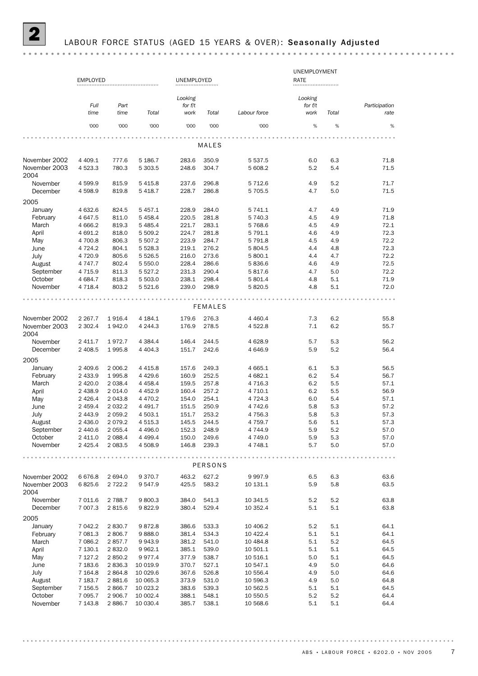|                       |                   |                |                       |                |                |                      | UNEMPLOYMENT |            |               |
|-----------------------|-------------------|----------------|-----------------------|----------------|----------------|----------------------|--------------|------------|---------------|
|                       | <b>EMPLOYED</b>   |                |                       | UNEMPLOYED     |                |                      | RATE         |            |               |
|                       |                   |                |                       |                |                |                      |              |            |               |
|                       |                   |                |                       | Looking        |                |                      | Looking      |            |               |
|                       | Full              | Part           |                       | for $f/t$      |                |                      | for $f/t$    |            | Participation |
|                       | time              | time           | Total                 | work           | Total          | Labour force         | work         | Total      | rate          |
|                       | '000              | '000           | '000                  | '000           | '000           | '000                 | $\%$         | $\%$       | $\%$          |
|                       |                   |                |                       |                |                |                      |              |            |               |
|                       |                   |                |                       |                | MALES          |                      |              |            |               |
| November 2002         | 4 4 0 9.1         | 777.6          | 5 186.7               | 283.6          | 350.9          | 5 5 3 7 . 5          | 6.0          | 6.3        | 71.8          |
| November 2003<br>2004 | 4523.3            | 780.3          | 5 303.5               | 248.6          | 304.7          | 5 608.2              | 5.2          | 5.4        | 71.5          |
| November<br>December  | 4 599.9<br>4598.9 | 815.9<br>819.8 | 5 4 1 5.8<br>5 4 18.7 | 237.6<br>228.7 | 296.8<br>286.8 | 5 7 1 2.6<br>5 705.5 | 4.9<br>4.7   | 5.2<br>5.0 | 71.7<br>71.5  |
| 2005                  |                   |                |                       |                |                |                      |              |            |               |
| January               | 4 632.6           | 824.5          | 5 4 5 7.1             | 228.9          | 284.0          | 5 741.1              | 4.7          | 4.9        | 71.9          |
| February              | 4 647.5           | 811.0          | 5 4 5 8.4             | 220.5          | 281.8          | 5 740.3              | 4.5          | 4.9        | 71.8          |
| March                 | 4 6 6 6.2         | 819.3          | 5 485.4               | 221.7          | 283.1          | 5768.6               | 4.5          | 4.9        | 72.1          |
| April                 | 4 691.2           | 818.0          | 5 509.2               | 224.7          | 281.8          | 5 791.1              | 4.6          | 4.9        | 72.3          |
| May                   | 4 700.8           | 806.3          | 5 507.2               | 223.9          | 284.7          | 5 7 9 1.8            | 4.5          | 4.9        | 72.2          |
|                       |                   |                |                       |                |                |                      |              |            |               |
| June                  | 4 7 2 4 . 2       | 804.1          | 5 5 28.3              | 219.1          | 276.2          | 5 804.5              | 4.4          | 4.8        | 72.3          |
| July                  | 4 7 2 0.9         | 805.6          | 5 5 2 6.5             | 216.0          | 273.6          | 5 800.1              | 4.4          | 4.7        | 72.2          |
| August                | 4 7 4 7 . 7       | 802.4          | 5 550.0               | 228.4          | 286.6          | 5836.6               | 4.6          | 4.9        | 72.5          |
| September             | 4 7 1 5.9         | 811.3          | 5 5 2 7 . 2           | 231.3          | 290.4          | 5817.6               | 4.7          | 5.0        | 72.2          |
| October               | 4 6 8 4.7         | 818.3          | 5 503.0               | 238.1          | 298.4          | 5 801.4              | 4.8          | 5.1        | 71.9          |
| November              | 4 7 1 8.4         | 803.2          | 5 5 2 1.6             | 239.0          | 298.9          | 5820.5               | 4.8          | 5.1        | 72.0          |
|                       |                   |                |                       |                | <b>FEMALES</b> |                      |              |            |               |
| November 2002         | 2 2 6 7 . 7       | 1916.4         | 4 184.1               | 179.6          | 276.3          | 4 4 6 0.4            | 7.3          | 6.2        | 55.8          |
| November 2003<br>2004 | 2 302.4           | 1942.0         | 4 2 4 4 .3            | 176.9          | 278.5          | 4 5 2 2.8            | 7.1          | 6.2        | 55.7          |
| November              | 2 4 1 1.7         | 1972.7         | 4 3 8 4 .4            | 146.4          | 244.5          | 4 6 28.9             | 5.7          | 5.3        | 56.2          |
| December              | 2 4 0 8.5         | 1995.8         | 4 4 0 4 .3            | 151.7          | 242.6          | 4 646.9              | 5.9          | 5.2        | 56.4          |
| 2005                  |                   |                |                       |                |                |                      |              |            |               |
| January               | 2 409.6           | 2 0 0 6.2      | 4 4 1 5.8             | 157.6          | 249.3          | 4 6 6 5.1            | 6.1          | 5.3        | 56.5          |
| February              | 2 433.9           | 1995.8         | 4 4 2 9.6             | 160.9          | 252.5          | 4 682.1              | 6.2          | 5.4        | 56.7          |
| March                 | 2 4 2 0.0         | 2 0 38.4       | 4 4 5 8.4             | 159.5          | 257.8          | 4 7 1 6.3            | 6.2          | 5.5        | 57.1          |
| April                 | 2 4 3 8.9         | 2 0 1 4 .0     | 4 4 5 2.9             | 160.4          | 257.2          | 4 7 1 0.1            | 6.2          | 5.5        | 56.9          |
| May                   | 2 4 2 6.4         | 2 043.8        | 4 4 7 0.2             | 154.0          | 254.1          | 4 7 2 4 .3           | 6.0          | 5.4        | 57.1          |
| June                  | 2 4 5 9.4         | 2 0 3 2.2      | 4 4 9 1.7             | 151.5          | 250.9          | 4 742.6              | 5.8          | 5.3        | 57.2          |
| July                  | 2 4 4 3.9         | 2 0 5 9.2      | 4 503.1               | 151.7          | 253.2          | 4 7 5 6.3            | 5.8          | 5.3        | 57.3          |
| August                | 2 4 3 6.0         | 2079.2         | 4 5 1 5 . 3           | 145.5          | 244.5          | 4 7 5 9.7            | 5.6          | 5.1        | 57.3          |
| September             | 2440.6            | 2 0 5 5.4      | 4 4 9 6.0             | 152.3          | 248.9          | 4 744.9              | 5.9          | 5.2        | 57.0          |
| October               | 2 411.0           | 2 0 8 8.4      | 4 4 9 9.4             | 150.0          | 249.6          | 4 749.0              | 5.9          | 5.3        | 57.0          |
| November              | 2 4 2 5.4         | 2 083.5        | 4 508.9               | 146.8          | 239.3          | 4 7 4 8.1            | 5.7          | 5.0        | 57.0          |
|                       |                   |                | 0.0.0.0.0.0.0.        |                |                |                      |              |            | $- - -$       |
|                       |                   |                |                       |                | PERSONS        |                      |              |            |               |
| November 2002         | 6676.8            | 2 694.0        | 9 3 7 0 . 7           | 463.2          | 627.2          | 9997.9               | 6.5          | 6.3        | 63.6          |
| November 2003<br>2004 | 6825.6            | 2 7 2 2.2      | 9 547.9               | 425.5          | 583.2          | 10 131.1             | 5.9          | 5.8        | 63.5          |
| November              | 7 011.6           | 2 7 8 8.7      | 9800.3                | 384.0          | 541.3          | 10 341.5             | 5.2          | 5.2        | 63.8          |
| December              | 7 007.3           | 2 8 1 5.6      | 9822.9                | 380.4          | 529.4          | 10 352.4             | 5.1          | 5.1        | 63.8          |
| 2005                  |                   |                |                       |                |                |                      |              |            |               |
| January               | 7 042.2           | 2830.7         | 9872.8                | 386.6          | 533.3          | 10 406.2             | 5.2          | 5.1        | 64.1          |
| February              | 7 081.3           | 2806.7         | 9888.0                | 381.4          | 534.3          | 10 422.4             | 5.1          | 5.1        | 64.1          |
| March                 | 7 0 8 6.2         | 2857.7         | 9943.9                | 381.2          | 541.0          | 10 484.8             | 5.1          | 5.2        | 64.5          |
| April                 | 7 130.1           | 2832.0         | 9 9 6 2.1             | 385.1          | 539.0          | 10 501.1             | 5.1          | 5.1        | 64.5          |
| May                   | 7 127.2           | 2850.2         | 9977.4                | 377.9          | 538.7          | 10 516.1             | 5.0          | 5.1        | 64.5          |
| June                  | 7 183.6           | 2836.3         | 10 019.9              | 370.7          | 527.1          | 10 547.1             | 4.9          | 5.0        | 64.6          |
| July                  | 7 1 6 4.8         | 2864.8         | 10 029.6              | 367.6          | 526.8          | 10 556.4             | 4.9          | 5.0        | 64.6          |
| August                | 7 183.7           | 2881.6         | 10 065.3              | 373.9          | 531.0          | 10 596.3             | 4.9          | 5.0        | 64.8          |
| September             | 7 156.5           | 2866.7         | 10 023.2              | 383.6          | 539.3          | 10 562.5             | 5.1          | 5.1        | 64.5          |
| October               | 7 0 9 5.7         | 2 906.7        | 10 002.4              | 388.1          | 548.1          | 10 550.5             | 5.2          | 5.2        | 64.4          |
|                       |                   |                |                       |                |                |                      |              |            |               |
| November              | 7 143.8           | 2886.7         | 10 030.4              | 385.7          | 538.1          | 10 568.6             | 5.1          | 5.1        | 64.4          |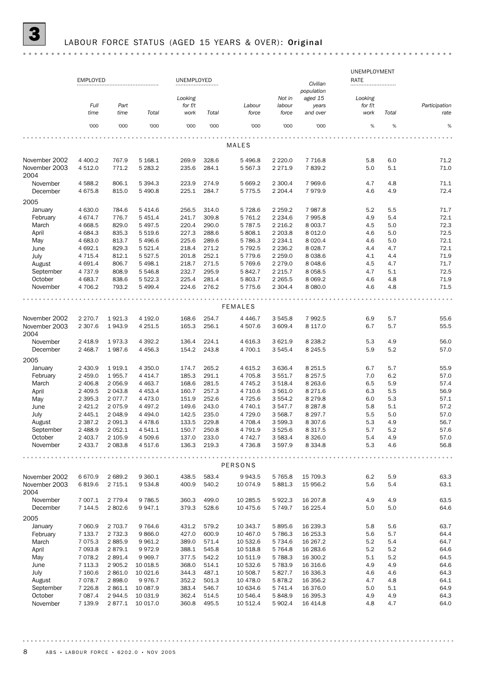|                       | <b>EMPLOYED</b>     |                        |                        | UNEMPLOYED                 |                |                        |                           | Civilian                                   | UNEMPLOYMENT<br><b>RATE</b>  |            |                       |
|-----------------------|---------------------|------------------------|------------------------|----------------------------|----------------|------------------------|---------------------------|--------------------------------------------|------------------------------|------------|-----------------------|
|                       | Full<br>time        | Part<br>time           | Total                  | Looking<br>for f/t<br>work | Total          | Labour<br>force        | Not in<br>labour<br>force | population<br>aged 15<br>years<br>and over | Looking<br>for $f/t$<br>work | Total      | Participation<br>rate |
|                       | '000                | '000                   | '000                   | '000                       | '000           | '000                   | '000                      | '000                                       | $\%$                         | $\%$       | %                     |
|                       |                     |                        |                        |                            |                | MALES                  |                           |                                            |                              |            |                       |
| November 2002         | 4 4 0 0.2           | 767.9                  | 5 168.1                | 269.9                      | 328.6          | 5 4 9 6.8              | 2 2 2 0 .0                | 7 7 1 6.8                                  | 5.8                          | 6.0        | 71.2                  |
| November 2003<br>2004 | 4 5 1 2.0           | 771.2                  | 5 283.2                | 235.6                      | 284.1          | 5 5 6 7 . 3            | 2 2 7 1.9                 | 7839.2                                     | 5.0                          | 5.1        | 71.0                  |
| November<br>December  | 4 5 8 8.2<br>4675.8 | 806.1<br>815.0         | 5 3 9 4 . 3<br>5 490.8 | 223.9<br>225.1             | 274.9<br>284.7 | 5 669.2<br>5 7 7 5 . 5 | 2 300.4<br>2 2 0 4.4      | 7969.6<br>7979.9                           | 4.7<br>4.6                   | 4.8<br>4.9 | 71.1<br>72.4          |
| 2005                  |                     |                        |                        |                            |                |                        |                           |                                            |                              |            |                       |
| January               | 4 630.0             | 784.6                  | 5 4 1 4.6              | 256.5                      | 314.0          | 5 7 28.6               | 2 2 5 9.2                 | 7987.8                                     | 5.2                          | 5.5        | 71.7                  |
| February              | 4674.7              | 776.7                  | 5 4 5 1.4              | 241.7                      | 309.8          | 5 761.2                | 2 2 3 4.6                 | 7 995.8                                    | 4.9                          | 5.4        | 72.1                  |
| March                 | 4 6 68.5            | 829.0                  | 5 4 9 7.5              | 220.4                      | 290.0          | 5 787.5                | 2 2 1 6.2                 | 8 0 0 3.7                                  | 4.5                          | 5.0        | 72.3                  |
| April                 | 4 6 8 4 .3          | 835.3                  | 5 5 1 9.6              | 227.3                      | 288.6          | 5 808.1                | 2 2 0 3.8                 | 8 0 1 2.0                                  | 4.6                          | 5.0        | 72.5                  |
| May                   | 4683.0              | 813.7                  | 5 4 9 6.6              | 225.6                      | 289.6          | 5 786.3                | 2 2 3 4 . 1               | 8 0 20.4                                   | 4.6                          | 5.0        | 72.1                  |
| June                  | 4 692.1             | 829.3                  | 5 5 2 1.4              | 218.4                      | 271.2          | 5 792.5                | 2 2 3 6.2                 | 8 0 28.7                                   | 4.4                          | 4.7        | 72.1                  |
| July                  | 4 7 1 5 . 4         | 812.1                  | 5 5 2 7 . 5            | 201.8                      | 252.1          | 5 7 7 9.6              | 2 2 5 9.0                 | 8 0 38.6                                   | 4.1                          | 4.4        | 71.9                  |
| August                | 4 691.4             | 806.7                  | 5 4 98.1               | 218.7                      | 271.5          | 5 769.6                | 2 2 7 9 . 0               | 8 0 48.6                                   | 4.5                          | 4.7        | 71.7                  |
| September             | 4 7 3 7 .9          | 808.9                  | 5 5 4 6.8              | 232.7                      | 295.9          | 5 842.7                | 2 2 1 5 . 7               | 8 0 58.5                                   | 4.7                          | 5.1        | 72.5                  |
| October<br>November   | 4683.7              | 838.6<br>793.2         | 5 5 2 2.3<br>5 4 9 9.4 | 225.4<br>224.6             | 281.4<br>276.2 | 5 803.7                | 2 2 6 5 .5                | 8 0 6 9.2                                  | 4.6<br>4.6                   | 4.8<br>4.8 | 71.9<br>71.5          |
|                       | 4 706.2             |                        |                        |                            |                | 5 7 7 5.6              | 2 3 0 4.4                 | 8 0 8 0.0                                  |                              |            |                       |
|                       |                     |                        |                        |                            |                | FEMALES                |                           |                                            |                              |            |                       |
| November 2002         | 2 2 7 0 . 7         | 1921.3                 | 4 192.0                | 168.6                      | 254.7          | 4 4 4 6.7              | 3 5 4 5.8                 | 7992.5                                     | 6.9                          | 5.7        | 55.6                  |
| November 2003<br>2004 | 2 3 0 7.6           | 1943.9                 | 4 2 5 1.5              | 165.3                      | 256.1          | 4 507.6                | 3 609.4                   | 8 1 1 7 .0                                 | 6.7                          | 5.7        | 55.5                  |
| November              | 2 4 18.9            | 1973.3                 | 4 3 9 2.2              | 136.4                      | 224.1          | 4 6 1 6.3              | 3 6 2 1.9                 | 8 2 3 8.2                                  | 5.3                          | 4.9        | 56.0                  |
| December              | 2 4 68.7            | 1987.6                 | 4 4 5 6.3              | 154.2                      | 243.8          | 4 700.1                | 3 5 4 5.4                 | 8 2 4 5 .5                                 | 5.9                          | 5.2        | 57.0                  |
| 2005                  |                     |                        |                        |                            |                |                        |                           |                                            |                              |            |                       |
| January               | 2 430.9             | 1919.1                 | 4 3 5 0.0              | 174.7                      | 265.2          | 4 615.2                | 3 6 3 6.4                 | 8 2 5 1.5                                  | 6.7                          | 5.7        | 55.9                  |
| February              | 2 459.0             | 1955.7                 | 4 4 1 4 .7             | 185.3                      | 291.1          | 4 705.8                | 3 5 5 1.7                 | 8 2 5 7 . 5                                | 7.0                          | 6.2        | 57.0                  |
| March                 | 2 406.8             | 2 0 5 6.9              | 4 4 6 3.7              | 168.6                      | 281.5          | 4 7 4 5.2              | 3 5 18.4                  | 8 2 6 3.6                                  | 6.5                          | 5.9        | 57.4                  |
| April                 | 2 409.5             | 2 043.8                | 4 4 5 3.4              | 160.7                      | 257.3          | 4 710.6                | 3 5 6 1.0                 | 8 2 7 1.6                                  | 6.3                          | 5.5        | 56.9                  |
| May                   | 2 3 9 5.3           | 2077.7                 | 4 4 7 3 .0             | 151.9                      | 252.6          | 4 7 2 5.6              | 3 5 5 4.2                 | 8 2 7 9.8                                  | 6.0                          | 5.3        | 57.1                  |
| June                  | 2 4 2 1.2           | 2075.9                 | 4 4 9 7.2              | 149.6                      | 243.0          | 4 740.1                | 3 547.7                   | 8 2 8 7 . 8                                | 5.8                          | 5.1        | 57.2                  |
| July                  | 2 4 4 5.1           | 2 0 4 8.9              | 4 4 9 4 .0             | 142.5                      | 235.0          | 4 729.0                | 3 5 68.7                  | 8 2 9 7 . 7                                | 5.5                          | 5.0        | 57.0                  |
| August                | 2 3 8 7 . 2         | 2 0 9 1.3              | 4 4 7 8.6              | 133.5                      | 229.8          | 4 708.4                | 3 599.3                   | 8 3 0 7.6                                  | 5.3                          | 4.9        | 56.7                  |
| September             | 2 4 8 8.9           | 2 0 5 2.1              | 4 541.1                | 150.7                      | 250.8          | 4 791.9                | 3 5 2 5 . 6               | 8 3 1 7 .5                                 | 5.7                          | 5.2        | 57.6                  |
| October<br>November   | 2 403.7<br>2 433.7  | 2 105.9<br>2 0 8 3 . 8 | 4 509.6<br>4 517.6     | 137.0<br>136.3             | 233.0<br>219.3 | 4 742.7<br>4 7 3 6.8   | 3 5 8 3.4<br>3 5 9 7 . 9  | 8 3 2 6 .0<br>8 3 3 4.8                    | 5.4<br>5.3                   | 4.9<br>4.6 | 57.0<br>56.8          |
|                       |                     |                        |                        |                            |                |                        |                           |                                            |                              |            | 0.0.1                 |
|                       |                     |                        |                        |                            |                | PERSONS                |                           |                                            |                              |            |                       |
| November 2002         | 6670.9              | 2 689.2                | 9 3 6 0.1              | 438.5                      | 583.4          | 9943.5                 | 5 7 6 5.8                 | 15 709.3                                   | 6.2                          | 5.9        | 63.3                  |
| November 2003<br>2004 | 6819.6              | 2 7 1 5 . 1            | 9 5 3 4.8              | 400.9                      | 540.2          | 10 074.9               | 5 881.3                   | 15 956.2                                   | 5.6                          | 5.4        | 63.1                  |
| November<br>December  | 7 007.1<br>7 144.5  | 2 7 7 9.4<br>2802.6    | 9 7 8 6.5<br>9 9 4 7.1 | 360.3<br>379.3             | 499.0<br>528.6 | 10 285.5<br>10 475.6   | 5922.3<br>5 7 4 9.7       | 16 207.8<br>16 225.4                       | 4.9<br>5.0                   | 4.9<br>5.0 | 63.5<br>64.6          |
| 2005                  |                     |                        |                        |                            |                |                        |                           |                                            |                              |            |                       |
| January               | 7 060.9             | 2 703.7                | 9 7 64.6               | 431.2                      | 579.2          | 10 343.7               | 5895.6                    | 16 239.3                                   | 5.8                          | 5.6        | 63.7                  |
| February              | 7 133.7             | 2 7 3 2.3              | 9866.0                 | 427.0                      | 600.9          | 10 467.0               | 5 7 8 6.3                 | 16 253.3                                   | 5.6                          | 5.7        | 64.4                  |
| March                 | 7 0 7 5.3           | 2885.9                 | 9 9 6 1.2              | 389.0                      | 571.4          | 10 532.6               | 5 7 3 4.6                 | 16 267.2                                   | 5.2                          | 5.4        | 64.7                  |
| April                 | 7 093.8             | 2879.1                 | 9972.9                 | 388.1                      | 545.8          | 10 518.8               | 5 7 64.8                  | 16 283.6                                   | 5.2                          | 5.2        | 64.6                  |
| May                   | 7078.2              | 2 8 9 1.4              | 9 9 6 9.7              | 377.5                      | 542.2          | 10 511.9               | 5788.3                    | 16 300.2                                   | 5.1                          | 5.2        | 64.5                  |
| June                  | 7 1 1 3 . 3         | 2 905.2                | 10 018.5               | 368.0                      | 514.1          | 10 532.6               | 5 7 8 3.9                 | 16 316.6                                   | 4.9                          | 4.9        | 64.6                  |
| July                  | 7 160.6             | 2 861.0                | 10 021.6               | 344.3                      | 487.1          | 10 508.7               | 5827.7                    | 16 336.3                                   | 4.6                          | 4.6        | 64.3                  |
| August                | 7078.7              | 2898.0                 | 9976.7                 | 352.2                      | 501.3          | 10 478.0               | 5878.2                    | 16 356.2                                   | 4.7                          | 4.8        | 64.1                  |

November 7 139.9 2 877.1 10 017.0 360.8 495.5 10 512.4 5 902.4 16 414.8 4.8 4.7 64.0 October 7 087.4 2 944.5 10 031.9 362.4 514.5 10 546.4 5 848.9 16 395.3 4.9 4.9 64.3 September 7 226.8 2 861.1 10 087.9 383.4 546.7 10 634.6 5 741.4 16 376.0 5.0 5.1 64.9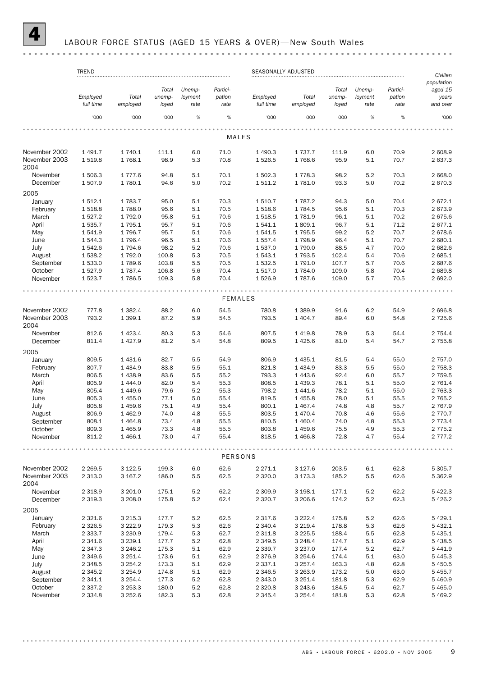### LABOUR FORCE STATUS (AGED 15 YEARS & OVER)-New South Wales

### 

|                       | <b>TREND</b>             |                      |                |            |                | SEASONALLY ADJUSTED  | Civilian               |                |            |              |                      |
|-----------------------|--------------------------|----------------------|----------------|------------|----------------|----------------------|------------------------|----------------|------------|--------------|----------------------|
|                       |                          |                      |                |            |                |                      |                        |                |            |              | population           |
|                       |                          |                      | Total          | Unemp-     | Partici-       |                      |                        | Total          | Unemp-     | Partici-     | aged 15              |
|                       | Employed                 | Total                | unemp-         | loyment    | pation         | Employed             | Total                  | unemp-         | loyment    | pation       | years                |
|                       | full time                | employed             | loyed          | rate       | rate           | full time            | employed               | loyed          | rate       | rate         | and over             |
|                       | '000                     | '000                 | '000           | $\%$       | $\%$           | '000                 | '000                   | '000           | %          | %            | '000                 |
|                       |                          |                      |                |            |                |                      |                        |                |            |              |                      |
|                       |                          |                      |                |            | <b>MALES</b>   |                      |                        |                |            |              |                      |
| November 2002         | 1 491.7                  | 1 740.1              | 111.1          | 6.0        | 71.0           | 1 490.3              | 1 7 3 7 . 7            | 111.9          | 6.0        | 70.9         | 2 608.9              |
| November 2003<br>2004 | 1 5 1 9.8                | 1768.1               | 98.9           | 5.3        | 70.8           | 1 5 2 6 .5           | 1768.6                 | 95.9           | 5.1        | 70.7         | 2637.3               |
| November              | 1 506.3                  | 1 7 7 7 .6           | 94.8           | 5.1        | 70.1           | 1 502.3              | 1778.3                 | 98.2           | 5.2        | 70.3         | 2 668.0              |
| December              | 1 507.9                  | 1780.1               | 94.6           | 5.0        | 70.2           | 1 511.2              | 1781.0                 | 93.3           | 5.0        | 70.2         | 2670.3               |
| 2005                  |                          |                      |                |            |                |                      |                        |                |            |              |                      |
| January               | 1 512.1                  | 1 783.7              | 95.0           | 5.1        | 70.3           | 1510.7               | 1 787.2                | 94.3           | 5.0        | 70.4         | 2672.1               |
| February              | 1 5 1 8.8                | 1788.0               | 95.6           | 5.1        | 70.5           | 1518.6               | 1784.5                 | 95.6           | 5.1        | 70.3         | 2673.9               |
| March                 | 1 5 2 7 . 2              | 1792.0               | 95.8           | 5.1        | 70.6           | 1 518.5              | 1781.9                 | 96.1           | 5.1        | 70.2         | 2675.6               |
| April                 | 1 535.7                  | 1 7 9 5.1            | 95.7           | 5.1        | 70.6           | 1541.1               | 1809.1                 | 96.7           | 5.1        | 71.2         | 2677.1               |
| May                   | 1 541.9                  | 1796.7               | 95.7           | 5.1        | 70.6           | 1541.5               | 1795.5                 | 99.2           | 5.2        | 70.7         | 2678.6               |
| June                  | 1 544.3                  | 1796.4               | 96.5           | 5.1        | 70.6           | 1557.4               | 1798.9                 | 96.4           | 5.1        | 70.7         | 2 680.1              |
| July                  | 1 542.6                  | 1794.6               | 98.2           | 5.2        | 70.6           | 1 537.0              | 1790.0                 | 88.5           | 4.7        | 70.0         | 2682.6               |
| August                | 1 538.2                  | 1792.0               | 100.8          | 5.3        | 70.5           | 1 543.1              | 1793.5                 | 102.4          | 5.4        | 70.6         | 2685.1               |
| September             | 1 533.0                  | 1789.6               | 103.8          | 5.5        | 70.5           | 1 532.5              | 1791.0                 | 107.7          | 5.7        | 70.6         | 2687.6               |
| October               | 1 5 2 7 . 9              | 1 7 8 7 . 4          | 106.8          | 5.6        | 70.4           | 1 517.0              | 1784.0                 | 109.0          | 5.8        | 70.4         | 2689.8               |
| November              | 1523.7                   | 1786.5               | 109.3          | 5.8        | 70.4           | 1526.9               | 1787.6                 | 109.0          | 5.7        | 70.5         | 2 692.0              |
|                       |                          |                      |                |            |                |                      |                        |                |            |              |                      |
|                       |                          |                      |                |            | <b>FEMALES</b> |                      |                        |                |            |              |                      |
| November 2002         | 777.8                    | 1 3 8 2.4            | 88.2           | 6.0        | 54.5           | 780.8                | 1 3 8 9.9              | 91.6           | 6.2        | 54.9         | 2696.8               |
| November 2003<br>2004 | 793.2                    | 1 3 9 9.1            | 87.2           | 5.9        | 54.5           | 793.5                | 1 4 0 4.7              | 89.4           | 6.0        | 54.8         | 2 7 2 5.6            |
| November              | 812.6                    | 1 4 2 3 . 4          | 80.3           | 5.3        | 54.6           | 807.5                | 1419.8                 | 78.9           | 5.3        | 54.4         | 2 7 5 4.4            |
| December              | 811.4                    | 1427.9               | 81.2           | 5.4        | 54.8           | 809.5                | 1425.6                 | 81.0           | 5.4        | 54.7         | 2 7 5 5.8            |
| 2005                  |                          |                      |                |            |                |                      |                        |                |            |              |                      |
| January               | 809.5                    | 1 4 3 1.6            | 82.7           | 5.5        | 54.9           | 806.9                | 1 4 3 5.1              | 81.5           | 5.4        | 55.0         | 2757.0               |
| February              | 807.7                    | 1 4 3 4 .9           | 83.8           | 5.5        | 55.1           | 821.8                | 1 4 3 4.9              | 83.3           | 5.5        | 55.0         | 2 7 5 8.3            |
| March                 | 806.5                    | 1 4 3 8.9            | 83.6           | 5.5        | 55.2           | 793.3                | 1443.6                 | 92.4           | 6.0        | 55.7         | 2759.5               |
| April                 | 805.9                    | 1 4 4 4 .0           | 82.0           | 5.4        | 55.3           | 808.5                | 1 4 3 9.3              | 78.1           | 5.1        | 55.0         | 2 761.4              |
|                       | 805.4                    | 1 4 4 9.6            | 79.6           | 5.2        | 55.3           | 798.2                | 1 4 4 1.6              | 78.2           | 5.1        | 55.0         | 2 7 6 3 . 3          |
| May                   |                          |                      |                |            |                |                      |                        |                |            |              |                      |
| June                  | 805.3                    | 1 4 5 5.0            | 77.1           | 5.0        | 55.4           | 819.5                | 1455.8                 | 78.0           | 5.1        | 55.5         | 2 7 6 5.2            |
| July                  | 805.8                    | 1459.6               | 75.1           | 4.9        | 55.4           | 800.1                | 1 4 6 7 . 4            | 74.8           | 4.8        | 55.7         | 2 767.9              |
| August                | 806.9                    | 1462.9               | 74.0           | 4.8        | 55.5           | 803.5                | 1470.4                 | 70.8           | 4.6        | 55.6         | 2 770.7              |
| September             | 808.1                    | 1464.8               | 73.4           | 4.8        | 55.5           | 810.5                | 1 4 6 0.4              | 74.0           | 4.8        | 55.3         | 2 7 7 3.4            |
| October               | 809.3                    | 1465.9               | 73.3           | 4.8        | 55.5           | 803.8                | 1459.6                 | 75.5           | 4.9        | 55.3         | 2 775.2              |
| November              | 811.2                    | 1466.1               | 73.0           | 4.7        | 55.4           | 818.5                | 1466.8                 | 72.8           | 4.7        | 55.4         | 2 7 7 7 . 2          |
|                       |                          |                      |                |            | PERSONS        |                      |                        |                |            |              |                      |
| November 2002         |                          |                      |                |            |                |                      |                        |                |            |              |                      |
| November 2003         | 2 2 6 9.5<br>2 3 1 3 . 0 | 3 1 2 2.5<br>3 167.2 | 199.3<br>186.0 | 6.0<br>5.5 | 62.6<br>62.5   | 2 271.1<br>2 3 2 0.0 | 3 1 2 7 . 6<br>3 173.3 | 203.5<br>185.2 | 6.1<br>5.5 | 62.8<br>62.6 | 5 305.7<br>5 3 6 2.9 |
| 2004                  |                          |                      |                |            |                |                      |                        |                |            |              |                      |
| November              | 2 3 18.9                 | 3 201.0              | 175.1          | 5.2        | 62.2           | 2 3 0 9.9            | 3 198.1                | 177.1          | 5.2        | 62.2         | 5422.3               |
| December              | 2 3 1 9 . 3              | 3 208.0              | 175.8          | 5.2        | 62.4           | 2 3 2 0.7            | 3 206.6                | 174.2          | 5.2        | 62.3         | 5426.2               |
| 2005                  |                          |                      |                |            |                |                      |                        |                |            |              |                      |
| January               | 2 3 2 1.6                | 3 2 1 5 . 3          | 177.7          | 5.2        | 62.5           | 2 3 1 7 .6           | 3 2 2 2 . 4            | 175.8          | 5.2        | 62.6         | 5 4 2 9.1            |
| February              | 2 3 2 6.5                | 3 2 2 2 . 9          | 179.3          | 5.3        | 62.6           | 2 340.4              | 3 2 1 9 . 4            | 178.8          | 5.3        | 62.6         | 5 432.1              |
| March                 | 2 3 3 3 . 7              | 3 2 3 0.9            | 179.4          | 5.3        | 62.7           | 2 3 1 1.8            | 3 2 2 5 .5             | 188.4          | 5.5        | 62.8         | 5 4 3 5.1            |
| April                 | 2 3 4 1.6                | 3 2 3 9 . 1          | 177.7          | 5.2        | 62.8           | 2 3 4 9.5            | 3 2 4 8.4              | 174.7          | 5.1        | 62.9         | 5 4 38.5             |
| May                   | 2 3 4 7 . 3              | 3 2 4 6.2            | 175.3          | 5.1        | 62.9           | 2 3 3 9.7            | 3 2 3 7 . 0            | 177.4          | 5.2        | 62.7         | 5 4 4 1.9            |
| June                  | 2 3 4 9.6                | 3 2 5 1.4            | 173.6          | 5.1        | 62.9           | 2 3 7 6.9            | 3 2 5 4.6              | 174.4          | 5.1        | 63.0         | 5 4 4 5 . 3          |
| July                  | 2 3 4 8.5                | 3 2 5 4.2            | 173.3          | 5.1        | 62.9           | 2 3 3 7 . 1          | 3 2 5 7 . 4            | 163.3          | 4.8        | 62.8         | 5 4 5 0.5            |
|                       | 2 3 4 5.2                | 3 2 5 4 .9           | 174.8          |            | 62.9           | 2 3 4 6.5            |                        | 173.2          | 5.0        | 63.0         | 5 4 5 5.7            |
| August                |                          |                      |                | 5.1        |                |                      | 3 2 6 3 .9             |                |            |              |                      |
| September             | 2 341.1                  | 3 2 5 4 . 4          | 177.3          | 5.2        | 62.8           | 2 3 4 3 .0           | 3 2 5 1.4              | 181.8          | 5.3        | 62.9         | 5 460.9              |
| October               | 2 3 3 7 . 2              | 3 2 5 3 . 3          | 180.0          | 5.2        | 62.8           | 2 3 2 0.8            | 3 2 4 3 . 6            | 184.5          | 5.4        | 62.7         | 5 4 6 5.0            |
| November              | 2 3 3 4.8                | 3 2 5 2.6            | 182.3          | 5.3        | 62.8           | 2 3 4 5.4            | 3 2 5 4 . 4            | 181.8          | 5.3        | 62.8         | 5 4 6 9.2            |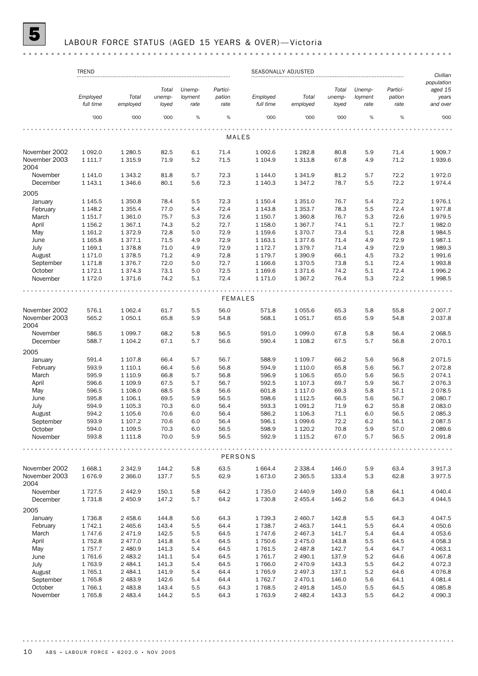# 5 LABOUR FORCE STATUS (AGED 15 YEARS & OVER)— Victoria

### 

|                       | <b>TREND</b><br>SEASONALLY ADJUSTED |                        |                 |                 |                |                       |                         |                 |                 |                |                                   |
|-----------------------|-------------------------------------|------------------------|-----------------|-----------------|----------------|-----------------------|-------------------------|-----------------|-----------------|----------------|-----------------------------------|
|                       |                                     |                        | Total           | Unemp-          | Partici-       |                       |                         | Total           | Unemp-          | Partici-       | Civilian<br>population<br>aged 15 |
|                       | Employed<br>full time               | Total<br>employed      | unemp-<br>loyed | loyment<br>rate | pation<br>rate | Employed<br>full time | Total<br>employed       | unemp-<br>loyed | loyment<br>rate | pation<br>rate | years<br>and over                 |
|                       | '000                                | '000                   | '000            | $\%$            | $\%$           | '000                  | '000                    | '000            | %               | %              | '000                              |
|                       |                                     |                        |                 |                 | MALES          |                       |                         |                 |                 |                |                                   |
| November 2002         | 1 0 9 2.0                           | 1 2 8 0.5              | 82.5            | 6.1             | 71.4           | 1 0 9 2.6             | 1 2 8 2.8               | 80.8            | 5.9             | 71.4           | 1909.7                            |
| November 2003         | 1 111.7                             | 1 3 1 5 . 9            | 71.9            | 5.2             | 71.5           | 1 1 0 4 .9            | 1 3 1 3 .8              | 67.8            | 4.9             | 71.2           | 1939.6                            |
| 2004                  |                                     |                        |                 |                 |                |                       |                         |                 |                 |                |                                   |
| November              | 1 141.0                             | 1 3 4 3.2              | 81.8            | 5.7             | 72.3           | 1 144.0               | 1 341.9                 | 81.2            | 5.7             | 72.2           | 1972.0                            |
| December              | 1 1 4 3 . 1                         | 1 3 4 6 . 6            | 80.1            | 5.6             | 72.3           | 1 140.3               | 1 3 4 7 . 2             | 78.7            | 5.5             | 72.2           | 1974.4                            |
| 2005                  |                                     |                        |                 |                 |                |                       |                         |                 |                 |                |                                   |
| January               | 1 1 4 5 .5                          | 1 3 5 0.8              | 78.4            | 5.5             | 72.3           | 1 150.4               | 1 3 5 1 . 0             | 76.7            | 5.4             | 72.2           | 1976.1                            |
| February              | 1 1 48.2                            | 1 3 5 5.4              | 77.0            | 5.4             | 72.4           | 1 1 4 3 . 8           | 1 3 5 3.7               | 78.3            | 5.5             | 72.4           | 1977.8                            |
| March                 | 1 151.7                             | 1 3 6 1 . 0            | 75.7            | 5.3             | 72.6           | 1 1 5 0 . 7           | 1 360.8                 | 76.7            | 5.3             | 72.6           | 1979.5                            |
| April<br>May          | 1 1 5 6.2<br>1 1 6 1 . 2            | 1 3 6 7 . 1<br>1372.9  | 74.3<br>72.8    | 5.2<br>5.0      | 72.7<br>72.9   | 1 1 58.0<br>1 1 5 9.6 | 1 3 6 7 . 7<br>1 370.7  | 74.1<br>73.4    | 5.1<br>5.1      | 72.7<br>72.8   | 1982.0<br>1984.5                  |
| June                  | 1 1 65.8                            | 1377.1                 | 71.5            | 4.9             | 72.9           | 1 1 6 3 . 1           | 1377.6                  | 71.4            | 4.9             | 72.9           | 1987.1                            |
| July                  | 1 169.1                             | 1378.8                 | 71.0            | 4.9             | 72.9           | 1 172.7               | 1 3 7 9 . 7             | 71.4            | 4.9             | 72.9           | 1989.3                            |
| August                | 1 171.0                             | 1 3 7 8.5              | 71.2            | 4.9             | 72.8           | 1 179.7               | 1 3 9 0.9               | 66.1            | 4.5             | 73.2           | 1991.6                            |
| September             | 1 171.8                             | 1376.7                 | 72.0            | 5.0             | 72.7           | 1 1 66.6              | 1370.5                  | 73.8            | 5.1             | 72.4           | 1993.8                            |
| October               | 1 172.1                             | 1 3 7 4 . 3            | 73.1            | 5.0             | 72.5           | 1 1 6 9.6             | 1371.6                  | 74.2            | 5.1             | 72.4           | 1996.2                            |
| November              | 1 172.0                             | 1371.6                 | 74.2            | 5.1             | 72.4           | 1 171.0               | 1 3 6 7 . 2             | 76.4            | 5.3             | 72.2           | 1998.5                            |
|                       |                                     |                        |                 |                 |                |                       |                         |                 |                 |                |                                   |
|                       |                                     |                        |                 |                 | <b>FEMALES</b> |                       |                         |                 |                 |                |                                   |
| November 2002         | 576.1                               | 1 0 6 2.4              | 61.7            | 5.5             | 56.0           | 571.8                 | 1 0 5 5.6               | 65.3            | 5.8             | 55.8           | 2 0 0 7.7                         |
| November 2003<br>2004 | 565.2                               | 1 0 5 0.1              | 65.8            | 5.9             | 54.8           | 568.1                 | 1 0 5 1.7               | 65.6            | 5.9             | 54.8           | 2 037.8                           |
| November              | 586.5<br>588.7                      | 1 0 9 9.7              | 68.2<br>67.1    | 5.8<br>5.7      | 56.5<br>56.6   | 591.0<br>590.4        | 1 0 9 9.0               | 67.8<br>67.5    | 5.8<br>5.7      | 56.4<br>56.8   | 2 0 68.5<br>2070.1                |
| December              |                                     | 1 104.2                |                 |                 |                |                       | 1 108.2                 |                 |                 |                |                                   |
| 2005                  |                                     |                        |                 |                 |                |                       |                         |                 |                 |                |                                   |
| January               | 591.4                               | 1 107.8                | 66.4            | 5.7             | 56.7           | 588.9                 | 1 109.7                 | 66.2            | 5.6             | 56.8           | 2071.5                            |
| February              | 593.9                               | 1 1 1 0 . 1            | 66.4            | 5.6             | 56.8           | 594.9                 | 1 1 1 0 . 0             | 65.8            | 5.6             | 56.7           | 2072.8                            |
| March                 | 595.9                               | 1 1 1 0.9              | 66.8            | 5.7             | 56.8           | 596.9                 | 1 106.5                 | 65.0            | 5.6             | 56.5           | 2074.1                            |
| April                 | 596.6                               | 1 109.9                | 67.5            | 5.7             | 56.7           | 592.5                 | 1 107.3                 | 69.7            | 5.9             | 56.7           | 2076.3                            |
| May                   | 596.5                               | 1 108.0                | 68.5            | 5.8             | 56.6           | 601.8                 | 1 1 1 7 .0              | 69.3            | 5.8             | 57.1           | 2078.5                            |
| June<br>July          | 595.8<br>594.9                      | 1 106.1                | 69.5<br>70.3    | 5.9             | 56.5<br>56.4   | 598.6<br>593.3        | 1 1 1 2 .5<br>1 0 9 1.2 | 66.5<br>71.9    | 5.6<br>6.2      | 56.7<br>55.8   | 2 080.7<br>2 083.0                |
| August                | 594.2                               | 1 1 0 5 . 3<br>1 105.6 | 70.6            | 6.0<br>6.0      | 56.4           | 586.2                 | 1 106.3                 | 71.1            | 6.0             | 56.5           | 2 0 8 5.3                         |
| September             | 593.9                               | 1 107.2                | 70.6            | 6.0             | 56.4           | 596.1                 | 1 0 9 9.6               | 72.2            | 6.2             | 56.1           | 2 0 8 7 .5                        |
| October               | 594.0                               | 1 109.5                | 70.3            | 6.0             | 56.5           | 598.9                 | 1 1 2 0 . 2             | 70.8            | 5.9             | 57.0           | 2 089.6                           |
| November              | 593.8                               | 1 1 1 1 .8             | 70.0            | 5.9             | 56.5           | 592.9                 | 1 1 1 5 . 2             | 67.0            | 5.7             | 56.5           | 2 091.8                           |
|                       |                                     |                        |                 |                 |                |                       |                         |                 |                 |                |                                   |
|                       |                                     |                        |                 |                 | PERSONS        |                       |                         |                 |                 |                |                                   |
| November 2002         | 1 668.1                             | 2 3 4 2.9              | 144.2           | 5.8             | 63.5           | 1 664.4               | 2 3 3 8.4               | 146.0           | 5.9             | 63.4           | 3917.3                            |
| November 2003<br>2004 | 1676.9                              | 2 3 6 6.0              | 137.7           | 5.5             | 62.9           | 1 673.0               | 2 3 6 5 .5              | 133.4           | 5.3             | 62.8           | 3977.5                            |
| November              | 1 7 2 7 .5                          | 2 4 4 2.9              | 150.1           | 5.8             | 64.2           | 1735.0                | 2 4 4 0.9               | 149.0           | 5.8             | 64.1           | 4 0 4 0.4                         |
| December              | 1 7 3 1.8                           | 2 450.9                | 147.2           | 5.7             | 64.2           | 1 730.8               | 2 4 5 5.4               | 146.2           | 5.6             | 64.3           | 4 0 4 4 .5                        |
| 2005                  |                                     |                        |                 |                 |                |                       |                         |                 |                 |                |                                   |
| January               | 1736.8                              | 2 458.6                | 144.8           | 5.6             | 64.3           | 1 739.3               | 2 460.7                 | 142.8           | 5.5             | 64.3           | 4 0 4 7 .5                        |
| February              | 1 742.1                             | 2 4 6 5.6              | 143.4           | 5.5             | 64.4           | 1738.7                | 2 4 6 3.7               | 144.1           | 5.5             | 64.4           | 4 0 5 0.6                         |
| March                 | 1 747.6                             | 2 4 7 1.9              | 142.5           | 5.5             | 64.5           | 1747.6                | 2 467.3                 | 141.7           | 5.4             | 64.4           | 4 0 5 3.6                         |
| April<br>May          | 1 752.8<br>1 757.7                  | 2 477.0<br>2 480.9     | 141.8<br>141.3  | 5.4<br>5.4      | 64.5<br>64.5   | 1750.6<br>1761.5      | 2 475.0<br>2 487.8      | 143.8<br>142.7  | 5.5<br>5.4      | 64.5<br>64.7   | 4 0 58.3<br>4 0 63.1              |
| June                  | 1761.6                              | 2 4 8 3.2              | 141.1           | 5.4             | 64.5           | 1761.7                | 2 490.1                 | 137.9           | 5.2             | 64.6           | 4 0 67.8                          |
| July                  | 1763.9                              | 2 4 8 4.1              | 141.3           | 5.4             | 64.5           | 1766.0                | 2 470.9                 | 143.3           | 5.5             | 64.2           | 4 0 7 2.3                         |
| August                | 1 765.1                             | 2 4 8 4.1              | 141.9           | 5.4             | 64.4           | 1765.9                | 2 497.3                 | 137.1           | 5.2             | 64.6           | 4 0 7 6.8                         |
| September             | 1 765.8                             | 2 4 8 3.9              | 142.6           | 5.4             | 64.4           | 1762.7                | 2 470.1                 | 146.0           | 5.6             | 64.1           | 4 0 8 1.4                         |
| October               | 1766.1                              | 2 4 8 3.8              | 143.4           | 5.5             | 64.3           | 1768.5                | 2 491.8                 | 145.0           | 5.5             | 64.5           | 4 0 8 5.8                         |
| November              | 1765.8                              | 2 4 8 3.4              | 144.2           | 5.5             | 64.3           | 1763.9                | 2 4 8 2.4               | 143.3           | 5.5             | 64.2           | 4 090.3                           |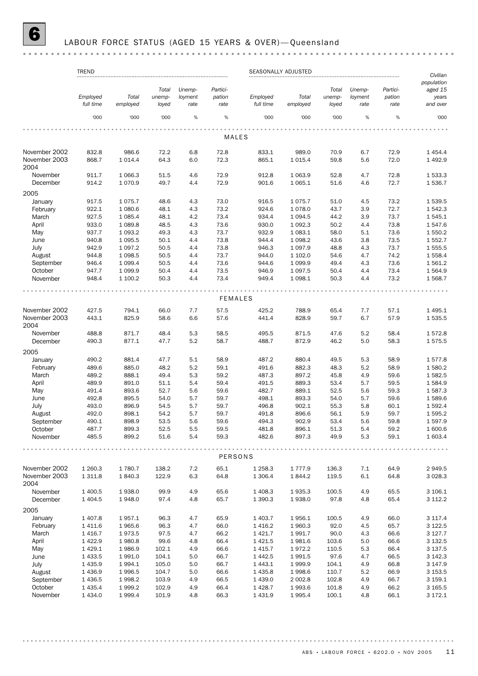# 6 LABOUR FORCE STATUS (AGED 15 YEARS & OVER)— Queensland

|                       | <b>TREND</b>            |                        |                          |                           |                            | SEASONALLY ADJUSTED   |                     |                          |                           |                            | Civilian                                   |
|-----------------------|-------------------------|------------------------|--------------------------|---------------------------|----------------------------|-----------------------|---------------------|--------------------------|---------------------------|----------------------------|--------------------------------------------|
|                       | Employed<br>full time   | Total<br>employed      | Total<br>unemp-<br>loyed | Unemp-<br>loyment<br>rate | Partici-<br>pation<br>rate | Employed<br>full time | Total<br>employed   | Total<br>unemp-<br>loyed | Unemp-<br>loyment<br>rate | Partici-<br>pation<br>rate | population<br>aged 15<br>years<br>and over |
|                       | '000                    | '000                   | '000                     | %                         | $\%$                       | '000                  | '000                | '000                     | %                         | $\%$                       | '000                                       |
|                       |                         |                        |                          |                           |                            |                       |                     |                          |                           |                            |                                            |
|                       |                         |                        |                          |                           | MALES                      |                       |                     |                          |                           |                            |                                            |
| November 2002         | 832.8                   | 986.6                  | 72.2                     | 6.8                       | 72.8                       | 833.1                 | 989.0               | 70.9                     | 6.7                       | 72.9                       | 1 4 5 4 .4                                 |
| November 2003<br>2004 | 868.7                   | 1014.4                 | 64.3                     | 6.0                       | 72.3                       | 865.1                 | 1015.4              | 59.8                     | 5.6                       | 72.0                       | 1 4 9 2.9                                  |
| November              | 911.7                   | 1 0 66.3               | 51.5                     | 4.6                       | 72.9                       | 912.8                 | 1 0 6 3.9           | 52.8                     | 4.7                       | 72.8                       | 1 533.3                                    |
| December              | 914.2                   | 1070.9                 | 49.7                     | 4.4                       | 72.9                       | 901.6                 | 1 0 6 5.1           | 51.6                     | 4.6                       | 72.7                       | 1536.7                                     |
| 2005                  |                         |                        |                          |                           |                            |                       |                     |                          |                           |                            |                                            |
| January               | 917.5                   | 1075.7                 | 48.6                     | 4.3                       | 73.0                       | 916.5                 | 1075.7              | 51.0                     | 4.5                       | 73.2                       | 1539.5                                     |
| February              | 922.1                   | 1 080.6                | 48.1                     | 4.3                       | 73.2                       | 924.6                 | 1078.0              | 43.7                     | 3.9                       | 72.7                       | 1542.3                                     |
| March                 | 927.5                   | 1 0 8 5.4              | 48.1                     | 4.2                       | 73.4                       | 934.4                 | 1 0 9 4.5           | 44.2                     | 3.9                       | 73.7                       | 1545.1                                     |
| April                 | 933.0                   | 1 0 8 9.8              | 48.5                     | 4.3                       | 73.6                       | 930.0                 | 1 0 9 2.3           | 50.2                     | 4.4                       | 73.8                       | 1547.6                                     |
| May<br>June           | 937.7<br>940.8          | 1 0 9 3.2<br>1 0 9 5.5 | 49.3<br>50.1             | 4.3<br>4.4                | 73.7<br>73.8               | 932.9<br>944.4        | 1 083.1<br>1 0 98.2 | 58.0<br>43.6             | 5.1<br>3.8                | 73.6<br>73.5               | 1 550.2<br>1 552.7                         |
| July                  | 942.9                   | 1 0 9 7 . 2            | 50.5                     | 4.4                       | 73.8                       | 946.3                 | 1 0 9 7 . 9         | 48.8                     | 4.3                       | 73.7                       | 1555.5                                     |
| August                | 944.8                   | 1 0 98.5               | 50.5                     | 4.4                       | 73.7                       | 944.0                 | 1 102.0             | 54.6                     | 4.7                       | 74.2                       | 1558.4                                     |
| September             | 946.4                   | 1 0 9 9.4              | 50.5                     | 4.4                       | 73.6                       | 944.6                 | 1 0 9 9.9           | 49.4                     | 4.3                       | 73.6                       | 1 561.2                                    |
| October               | 947.7                   | 1 0 9 9.9              | 50.4                     | 4.4                       | 73.5                       | 946.9                 | 1 0 9 7.5           | 50.4                     | 4.4                       | 73.4                       | 1 5 6 4.9                                  |
| November              | 948.4                   | 1 100.2                | 50.3                     | 4.4                       | 73.4                       | 949.4                 | 1 0 98.1            | 50.3                     | 4.4                       | 73.2                       | 1 568.7                                    |
|                       |                         |                        |                          |                           |                            |                       |                     |                          |                           |                            |                                            |
|                       |                         |                        |                          |                           | <b>FEMALES</b>             |                       |                     |                          |                           |                            |                                            |
| November 2002         | 427.5                   | 794.1                  | 66.0                     | 7.7                       | 57.5                       | 425.2                 | 788.9               | 65.4                     | 7.7                       | 57.1                       | 1 4 9 5.1                                  |
| November 2003<br>2004 | 443.1                   | 825.9                  | 58.6                     | 6.6                       | 57.6                       | 441.4                 | 828.9               | 59.7                     | 6.7                       | 57.9                       | 1 535.5                                    |
| November              | 488.8                   | 871.7                  | 48.4                     | 5.3                       | 58.5                       | 495.5                 | 871.5               | 47.6                     | 5.2                       | 58.4                       | 1572.8                                     |
| December              | 490.3                   | 877.1                  | 47.7                     | 5.2                       | 58.7                       | 488.7                 | 872.9               | 46.2                     | 5.0                       | 58.3                       | 1575.5                                     |
| 2005                  |                         |                        |                          |                           |                            |                       |                     |                          |                           |                            |                                            |
| January               | 490.2                   | 881.4                  | 47.7                     | 5.1                       | 58.9                       | 487.2                 | 880.4               | 49.5                     | 5.3                       | 58.9                       | 1577.8                                     |
| February              | 489.6                   | 885.0                  | 48.2                     | 5.2                       | 59.1                       | 491.6                 | 882.3               | 48.3                     | 5.2                       | 58.9                       | 1 580.2                                    |
| March                 | 489.2                   | 888.1                  | 49.4                     | 5.3                       | 59.2                       | 487.3                 | 897.2               | 45.8                     | 4.9                       | 59.6                       | 1582.5                                     |
| April                 | 489.9                   | 891.0                  | 51.1                     | 5.4                       | 59.4                       | 491.5                 | 889.3               | 53.4                     | 5.7                       | 59.5                       | 1584.9                                     |
| May                   | 491.4                   | 893.6                  | 52.7                     | 5.6                       | 59.6                       | 482.7                 | 889.1               | 52.5                     | 5.6                       | 59.3                       | 1 587.3                                    |
| June                  | 492.8                   | 895.5                  | 54.0                     | 5.7                       | 59.7                       | 498.1                 | 893.3               | 54.0                     | 5.7                       | 59.6                       | 1589.6                                     |
| July                  | 493.0                   | 896.9                  | 54.5                     | 5.7                       | 59.7                       | 496.8                 | 902.1               | 55.3                     | 5.8                       | 60.1                       | 1592.4                                     |
| August                | 492.0                   | 898.1                  | 54.2                     | 5.7                       | 59.7                       | 491.8                 | 896.6               | 56.1                     | 5.9                       | 59.7                       | 1 595.2                                    |
| September             | 490.1                   | 898.9                  | 53.5                     | 5.6                       | 59.6                       | 494.3                 | 902.9               | 53.4                     | 5.6                       | 59.8                       | 1 597.9                                    |
| October               | 487.7                   | 899.3                  | 52.5                     | 5.5                       | 59.5                       | 481.8                 | 896.1               | 51.3                     | 5.4                       | 59.2                       | 1 600.6                                    |
| November              | 485.5                   | 899.2                  | 51.6                     | 5.4                       | 59.3                       | 482.6                 | 897.3               | 49.9                     | 5.3                       | 59.1                       | 1 603.4                                    |
|                       |                         |                        |                          |                           | PERSONS                    |                       |                     |                          |                           |                            |                                            |
| November 2002         | 1 260.3                 | 1780.7                 | 138.2                    | 7.2                       | 65.1                       | 1 2 5 8.3             | 1777.9              | 136.3                    | $7.1\,$                   | 64.9                       | 2949.5                                     |
| November 2003<br>2004 | 1 3 1 1.8               | 1840.3                 | 122.9                    | 6.3                       | 64.8                       | 1 306.4               | 1844.2              | 119.5                    | 6.1                       | 64.8                       | 3 0 28.3                                   |
| November              | 1 400.5                 | 1938.0                 | 99.9                     | 4.9                       | 65.6                       | 1 408.3               | 1935.3              | 100.5                    | 4.9                       | 65.5                       | 3 106.1                                    |
| December              | 1 4 0 4 .5              | 1948.0                 | 97.4                     | 4.8                       | 65.7                       | 1 390.3               | 1938.0              | 97.8                     | 4.8                       | 65.4                       | 3 112.2                                    |
| 2005                  |                         |                        |                          |                           |                            |                       |                     |                          |                           |                            |                                            |
| January               | 1 407.8                 | 1957.1                 | 96.3                     | 4.7                       | 65.9                       | 1 403.7               | 1956.1              | 100.5                    | 4.9                       | 66.0                       | 3 117.4                                    |
| February              | 1 4 1 1.6               | 1965.6                 | 96.3                     | 4.7                       | 66.0                       | 1 4 1 6.2             | 1960.3              | 92.0                     | 4.5                       | 65.7                       | 3 1 2 2.5                                  |
| March                 | 1 4 1 6.7               | 1973.5                 | 97.5                     | 4.7                       | 66.2                       | 1 4 2 1.7             | 1991.7              | 90.0                     | 4.3                       | 66.6                       | 3 1 2 7 . 7                                |
| April                 | 1 4 2 2.9               | 1980.8                 | 99.6                     | 4.8                       | 66.4                       | 1 4 2 1.5             | 1981.6              | 103.6                    | 5.0                       | 66.6                       | 3 1 3 2.5                                  |
| May                   | 1 4 2 9.1               | 1986.9                 | 102.1                    | 4.9                       | 66.6                       | 1415.7                | 1972.2              | 110.5                    | 5.3                       | 66.4                       | 3 1 3 7 .5                                 |
| June                  | 1 433.5                 | 1991.0                 | 104.1                    | 5.0                       | 66.7                       | 1442.5                | 1991.5              | 97.6                     | 4.7                       | 66.5                       | 3 142.3                                    |
| July                  | 1 4 3 5.9               | 1994.1                 | 105.0                    | 5.0                       | 66.7                       | 1 4 4 3 . 1           | 1999.9              | 104.1                    | 4.9                       | 66.8                       | 3 147.9                                    |
| August                | 1 4 3 6.9               | 1996.5                 | 104.7                    | 5.0                       | 66.6                       | 1435.8                | 1998.6              | 110.7                    | 5.2                       | 66.9                       | 3 1 5 3 . 5                                |
| September             | 1 4 3 6.5               | 1998.2                 | 103.9                    | 4.9                       | 66.5                       | 1439.0                | 2 002.8             | 102.8                    | 4.9                       | 66.7                       | 3 159.1                                    |
| October<br>November   | 1 4 3 5.4<br>1 4 3 4 .0 | 1999.2<br>1999.4       | 102.9<br>101.9           | 4.9<br>4.8                | 66.4<br>66.3               | 1 4 28.7<br>1 4 3 1.9 | 1993.6<br>1995.4    | 101.8<br>100.1           | 4.9<br>4.8                | 66.2<br>66.1               | 3 165.5<br>3 172.1                         |
|                       |                         |                        |                          |                           |                            |                       |                     |                          |                           |                            |                                            |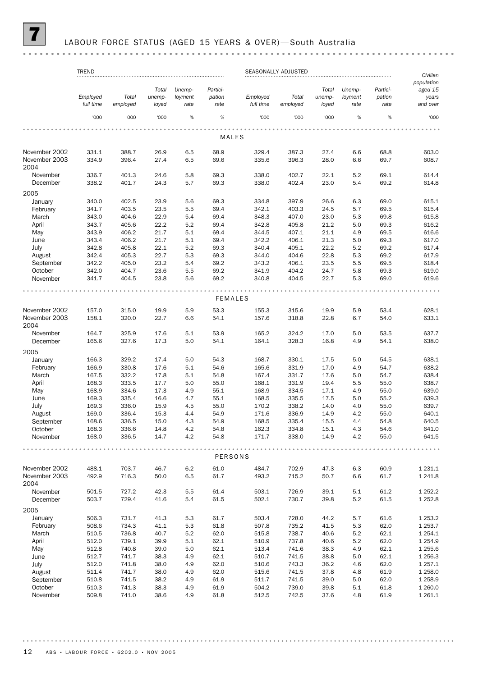### LABOUR FORCE STATUS (AGED 15 YEARS & OVER)-South Australia

#### TREND SEASONALLY ADJUSTED *Civilian population Total Unemp-Partici-Total Unemp-Particiaged 15 Employed Total unemployment pation Employed Total unemployment pation years full time employed loyed rate rate full time employed loyed rate rate and over* '000 '000 '000 % % '000 '000 '000 % % '000  $\frac{1}{2}$ MALES November 2002 331.1 388.7 26.9 6.5 68.9 329.4 387.3 27.4 6.6 68.8 603.0 November 2003 334.9 396.4 27.4 6.5 69.6 335.6 396.3 28.0 6.6 69.7 608.7 2004 November 336.7 401.3 24.6 5.8 69.3 338.0 402.7 22.1 5.2 69.1 614.4 December 338.2 401.7 24.3 5.7 69.3 338.0 402.4 23.0 5.4 69.2 614.8 2005 January 340.0 402.5 23.9 5.6 69.3 334.8 397.9 26.6 6.3 69.0 615.1 February 341.7 403.5 23.5 5.5 69.4 342.1 403.3 24.5 5.7 69.5 615.4 March 343.0 404.6 22.9 5.4 69.4 348.3 407.0 23.0 5.3 69.8 615.8 April 343.7 405.6 22.2 5.2 69.4 342.8 405.8 21.2 5.0 69.3 616.2 May 343.9 406.2 21.7 5.1 69.4 344.5 407.1 21.1 4.9 69.5 616.6 June 343.4 406.2 21.7 5.1 69.4 342.2 406.1 21.3 5.0 69.3 617.0 July 342.8 405.8 22.1 5.2 69.3 340.4 405.1 22.2 5.2 69.2 617.4 August 342.4 405.3 22.7 5.3 69.3 344.0 404.6 22.8 5.3 69.2 617.9 September 342.2 405.0 23.2 5.4 69.2 343.2 406.1 23.5 5.5 69.5 618.4 October 342.0 404.7 23.6 5.5 69.2 341.9 404.2 24.7 5.8 69.3 619.0 November 341.7 404.5 23.8 5.6 69.2 340.8 404.5 22.7 5.3 69.0 619.6 FEMALES November 2002 157.0 315.0 19.9 5.9 53.3 155.3 315.6 19.9 5.9 53.4 628.1 November 2003 158.1 320.0 22.7 6.6 54.1 157.6 318.8 22.8 6.7 54.0 633.1 2004 November 164.7 325.9 17.6 5.1 53.9 165.2 324.2 17.0 5.0 53.5 637.7 December 165.6 327.6 17.3 5.0 54.1 164.1 328.3 16.8 4.9 54.1 638.0 2005 January 166.3 329.2 17.4 5.0 54.3 168.7 330.1 17.5 5.0 54.5 638.1 February 166.9 330.8 17.6 5.1 54.6 165.6 331.9 17.0 4.9 54.7 638.2 March 167.5 332.2 17.8 5.1 54.8 167.4 331.7 17.6 5.0 54.7 638.4 April 168.3 333.5 17.7 5.0 55.0 168.1 331.9 19.4 5.5 55.0 638.7 May 168.9 334.6 17.3 4.9 55.1 168.9 334.5 17.1 4.9 55.0 639.0 June 169.3 335.4 16.6 4.7 55.1 168.5 335.5 17.5 5.0 55.2 639.3 July 169.3 336.0 15.9 4.5 55.0 170.2 338.2 14.0 4.0 55.0 639.7 August 169.0 336.4 15.3 4.4 54.9 171.6 336.9 14.9 4.2 55.0 640.1 September 168.6 336.5 15.0 4.3 54.9 168.5 335.4 15.5 4.4 54.8 640.5 October 168.3 336.6 14.8 4.2 54.8 162.3 334.8 15.1 4.3 54.6 641.0 November 168.0 336.5 14.7 4.2 54.8 171.7 338.0 14.9 4.2 55.0 641.5 . . . . . . . . . . . . . . . . . . . PERSONS November 2002 488.1 703.7 46.7 6.2 61.0 484.7 702.9 47.3 6.3 60.9 1 231.1 November 2003 492.9 716.3 50.0 6.5 61.7 493.2 715.2 50.7 6.6 61.7 1 241.8 2004 November 501.5 727.2 42.3 5.5 61.4 503.1 726.9 39.1 5.1 61.2 1 252.2 December 503.7 729.4 41.6 5.4 61.5 502.1 730.7 39.8 5.2 61.5 1 252.8 2005 January 506.3 731.7 41.3 5.3 61.7 503.4 728.0 44.2 5.7 61.6 1 253.2 February 508.6 734.3 41.1 5.3 61.8 507.8 735.2 41.5 5.3 62.0 1 253.7 March 510.5 736.8 40.7 5.2 62.0 515.8 738.7 40.6 5.2 62.1 1 254.1 April 512.0 739.1 39.9 5.1 62.1 510.9 737.8 40.6 5.2 62.0 1 254.9 May 512.8 740.8 39.0 5.0 62.1 513.4 741.6 38.3 4.9 62.1 1 255.6 June 512.7 741.7 38.3 4.9 62.1 510.7 741.5 38.8 5.0 62.1 1 256.3 July 512.0 741.8 38.0 4.9 62.0 510.6 743.3 36.2 4.6 62.0 1 257.1 August 511.4 741.7 38.0 4.9 62.0 515.6 741.5 37.8 4.8 61.9 1 258.0 September 510.8 741.5 38.2 4.9 61.9 511.7 741.5 39.0 5.0 62.0 1 258.9 October 510.3 741.3 38.3 4.9 61.9 504.2 739.0 39.8 5.1 61.8 1 260.0 November 509.8 741.0 38.6 4.9 61.8 512.5 742.5 37.6 4.8 61.9 1 261.1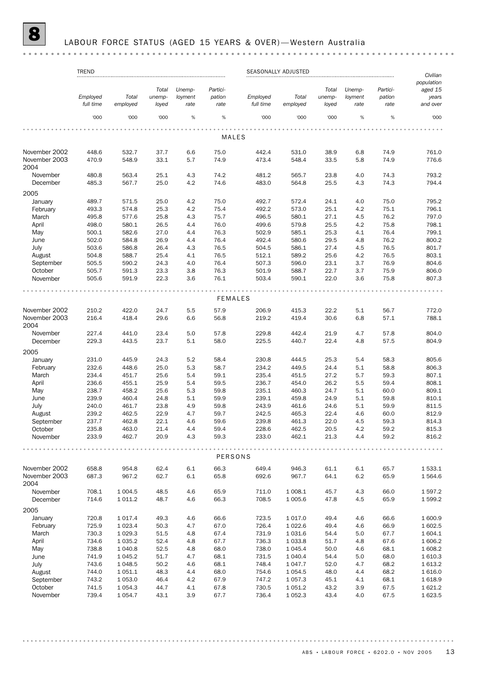# 8 LABOUR FORCE STATUS (AGED 15 YEARS & OVER)— Western Australia

|                       | <b>TREND</b><br>SEASONALLY ADJUSTED |             |        |         |                |           |             |        | Civilian |          |            |
|-----------------------|-------------------------------------|-------------|--------|---------|----------------|-----------|-------------|--------|----------|----------|------------|
|                       |                                     |             |        |         |                |           |             |        |          |          | population |
|                       |                                     |             | Total  | Unemp-  | Partici-       |           |             | Total  | Unemp-   | Partici- | aged 15    |
|                       | Employed                            | Total       | unemp- | loyment | pation         | Employed  | Total       | unemp- | loyment  | pation   | years      |
|                       | full time                           | employed    | loyed  | rate    | rate           | full time | employed    | loyed  | rate     | rate     | and over   |
|                       | '000                                | '000        | '000   | %       | %              | '000      | '000        | '000   | %        | %        | '000       |
|                       |                                     |             |        |         |                |           |             |        |          |          |            |
|                       |                                     |             |        |         | <b>MALES</b>   |           |             |        |          |          |            |
| November 2002         | 448.6                               | 532.7       | 37.7   | 6.6     | 75.0           | 442.4     | 531.0       | 38.9   | 6.8      | 74.9     | 761.0      |
| November 2003<br>2004 | 470.9                               | 548.9       | 33.1   | 5.7     | 74.9           | 473.4     | 548.4       | 33.5   | 5.8      | 74.9     | 776.6      |
| November              | 480.8                               | 563.4       | 25.1   | 4.3     | 74.2           | 481.2     | 565.7       | 23.8   | 4.0      | 74.3     | 793.2      |
| December              | 485.3                               | 567.7       | 25.0   | 4.2     | 74.6           | 483.0     | 564.8       | 25.5   | 4.3      | 74.3     | 794.4      |
| 2005                  |                                     |             |        |         |                |           |             |        |          |          |            |
| January               | 489.7                               | 571.5       | 25.0   | 4.2     | 75.0           | 492.7     | 572.4       | 24.1   | 4.0      | 75.0     | 795.2      |
| February              | 493.3                               | 574.8       | 25.3   | 4.2     | 75.4           | 492.2     | 573.0       | 25.1   | 4.2      | 75.1     | 796.1      |
| March                 | 495.8                               | 577.6       | 25.8   | 4.3     | 75.7           | 496.5     | 580.1       | 27.1   | 4.5      | 76.2     | 797.0      |
| April                 | 498.0                               | 580.1       | 26.5   | 4.4     | 76.0           | 499.6     | 579.8       | 25.5   | 4.2      | 75.8     | 798.1      |
| May                   | 500.1                               | 582.6       | 27.0   | 4.4     | 76.3           | 502.9     | 585.1       | 25.3   | 4.1      | 76.4     | 799.1      |
| June                  | 502.0                               | 584.8       | 26.9   | 4.4     | 76.4           | 492.4     | 580.6       | 29.5   | 4.8      | 76.2     | 800.2      |
| July                  | 503.6                               | 586.8       | 26.4   | 4.3     | 76.5           | 504.5     | 586.1       | 27.4   | 4.5      | 76.5     | 801.7      |
| August                | 504.8                               | 588.7       | 25.4   | 4.1     | 76.5           | 512.1     | 589.2       | 25.6   | 4.2      | 76.5     | 803.1      |
| September             | 505.5                               | 590.2       | 24.3   | 4.0     | 76.4           | 507.3     | 596.0       | 23.1   | 3.7      | 76.9     | 804.6      |
| October               | 505.7                               | 591.3       | 23.3   | 3.8     | 76.3           | 501.9     | 588.7       | 22.7   | 3.7      | 75.9     | 806.0      |
| November              | 505.6                               | 591.9       | 22.3   | 3.6     | 76.1           | 503.4     | 590.1       | 22.0   | 3.6      | 75.8     | 807.3      |
|                       |                                     |             |        |         |                |           |             |        |          |          |            |
|                       |                                     |             |        |         | <b>FEMALES</b> |           |             |        |          |          |            |
| November 2002         | 210.2                               | 422.0       | 24.7   | 5.5     | 57.9           | 206.9     | 415.3       | 22.2   | 5.1      | 56.7     | 772.0      |
| November 2003<br>2004 | 216.4                               | 418.4       | 29.6   | 6.6     | 56.8           | 219.2     | 419.4       | 30.6   | 6.8      | 57.1     | 788.1      |
| November              | 227.4                               | 441.0       | 23.4   | 5.0     | 57.8           | 229.8     | 442.4       | 21.9   | 4.7      | 57.8     | 804.0      |
| December              | 229.3                               | 443.5       | 23.7   | 5.1     | 58.0           | 225.5     | 440.7       | 22.4   | 4.8      | 57.5     | 804.9      |
| 2005                  |                                     |             |        |         |                |           |             |        |          |          |            |
| January               | 231.0                               | 445.9       | 24.3   | 5.2     | 58.4           | 230.8     | 444.5       | 25.3   | 5.4      | 58.3     | 805.6      |
| February              | 232.6                               | 448.6       | 25.0   | 5.3     | 58.7           | 234.2     | 449.5       | 24.4   | 5.1      | 58.8     | 806.3      |
| March                 | 234.4                               | 451.7       | 25.6   | 5.4     | 59.1           | 235.4     | 451.5       | 27.2   | 5.7      | 59.3     | 807.1      |
| April                 | 236.6                               | 455.1       | 25.9   | 5.4     | 59.5           | 236.7     | 454.0       | 26.2   | 5.5      | 59.4     | 808.1      |
| May                   | 238.7                               | 458.2       | 25.6   | 5.3     | 59.8           | 235.1     | 460.3       | 24.7   | 5.1      | 60.0     | 809.1      |
| June                  | 239.9                               | 460.4       | 24.8   | 5.1     | 59.9           | 239.1     | 459.8       | 24.9   | 5.1      | 59.8     | 810.1      |
| July                  | 240.0                               | 461.7       | 23.8   | 4.9     | 59.8           | 243.9     | 461.6       | 24.6   | 5.1      | 59.9     | 811.5      |
| August                | 239.2                               | 462.5       | 22.9   | 4.7     | 59.7           | 242.5     | 465.3       | 22.4   | 4.6      | 60.0     | 812.9      |
| September             | 237.7                               | 462.8       | 22.1   | 4.6     | 59.6           | 239.8     | 461.3       | 22.0   | 4.5      | 59.3     | 814.3      |
| October               | 235.8                               | 463.0       | 21.4   | 4.4     | 59.4           | 228.6     | 462.5       | 20.5   | 4.2      | 59.2     | 815.3      |
| November              | 233.9                               | 462.7       | 20.9   | 4.3     | 59.3           | 233.0     | 462.1       | 21.3   | 4.4      | 59.2     | 816.2      |
|                       |                                     |             |        |         |                |           |             |        |          |          |            |
|                       |                                     |             |        |         | PERSONS        |           |             |        |          |          |            |
| November 2002         | 658.8                               | 954.8       | 62.4   | 6.1     | 66.3           | 649.4     | 946.3       | 61.1   | 6.1      | 65.7     | 1 533.1    |
| November 2003<br>2004 | 687.3                               | 967.2       | 62.7   | 6.1     | 65.8           | 692.6     | 967.7       | 64.1   | 6.2      | 65.9     | 1564.6     |
| November              | 708.1                               | 1 0 0 4.5   | 48.5   | 4.6     | 65.9           | 711.0     | 1 008.1     | 45.7   | 4.3      | 66.0     | 1 597.2    |
| December              | 714.6                               | 1011.2      | 48.7   | 4.6     | 66.3           | 708.5     | 1 0 0 5.6   | 47.8   | 4.5      | 65.9     | 1 599.2    |
| 2005                  |                                     |             |        |         |                |           |             |        |          |          |            |
| January               | 720.8                               | 1017.4      | 49.3   | 4.6     | 66.6           | 723.5     | 1 0 1 7 .0  | 49.4   | 4.6      | 66.6     | 1 600.9    |
| February              | 725.9                               | 1 0 2 3.4   | 50.3   | 4.7     | 67.0           | 726.4     | 1 0 2 2.6   | 49.4   | 4.6      | 66.9     | 1 602.5    |
| March                 | 730.3                               | 1 0 29.3    | 51.5   | 4.8     | 67.4           | 731.9     | 1031.6      | 54.4   | 5.0      | 67.7     | 1604.1     |
| April                 | 734.6                               | 1 0 3 5.2   | 52.4   | 4.8     | 67.7           | 736.3     | 1 0 3 3.8   | 51.7   | 4.8      | 67.6     | 1606.2     |
| May                   | 738.8                               | 1 0 4 0.8   | 52.5   | 4.8     | 68.0           | 738.0     | 1 0 4 5.4   | 50.0   | 4.6      | 68.1     | 1 608.2    |
| June                  | 741.9                               | 1 0 4 5 .2  | 51.7   | 4.7     | 68.1           | 731.5     | 1 040.4     | 54.4   | 5.0      | 68.0     | 1610.3     |
| July                  | 743.6                               | 1 0 48.5    | 50.2   | 4.6     | 68.1           | 748.4     | 1 0 4 7 . 7 | 52.0   | 4.7      | 68.2     | 1613.2     |
| August                | 744.0                               | 1 0 5 1 . 1 | 48.3   | 4.4     | 68.0           | 754.6     | 1 0 5 4 .5  | 48.0   | 4.4      | 68.2     | 1616.0     |
| September             | 743.2                               | 1 0 5 3 .0  | 46.4   | 4.2     | 67.9           | 747.2     | 1057.3      | 45.1   | 4.1      | 68.1     | 1618.9     |
| October               | 741.5                               | 1 0 5 4 . 3 | 44.7   | 4.1     | 67.8           | 730.5     | 1 0 5 1 . 2 | 43.2   | 3.9      | 67.5     | 1621.2     |
| November              | 739.4                               | 1054.7      | 43.1   | 3.9     | 67.7           | 736.4     | 1 0 5 2.3   | 43.4   | 4.0      | 67.5     | 1623.5     |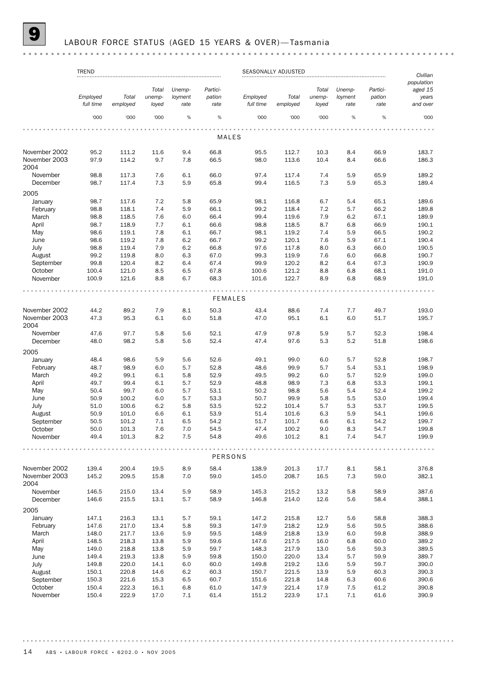# **9** LABOUR FORCE STATUS (AGED 15 YEARS & OVER)-Tasmania

|                                | <b>TREND</b>          |                |              |            |                | SEASONALLY ADJUSTED |                |              |            |              | Civilian<br>population |
|--------------------------------|-----------------------|----------------|--------------|------------|----------------|---------------------|----------------|--------------|------------|--------------|------------------------|
|                                |                       |                | Total        | Unemp-     | Partici-       |                     |                | Total        | Unemp-     | Partici-     | aged 15                |
|                                |                       |                |              |            |                |                     |                |              |            |              |                        |
|                                | Employed<br>full time | Total          | unemp-       | loyment    | pation         | Employed            | Total          | unemp-       | loyment    | pation       | years                  |
|                                |                       | employed       | loyed        | rate       | rate           | full time           | employed       | loyed        | rate       | rate         | and over               |
|                                | '000                  | '000           | '000         | %          | %              | '000                | '000           | '000         | $\%$       | %            | '000                   |
|                                |                       |                |              |            |                |                     |                |              |            |              |                        |
|                                |                       |                |              |            | MALES          |                     |                |              |            |              |                        |
| November 2002                  | 95.2                  | 111.2          | 11.6         | 9.4        | 66.8           | 95.5                | 112.7          | 10.3         | 8.4        | 66.9         | 183.7                  |
| November 2003<br>2004          | 97.9                  | 114.2          | 9.7          | 7.8        | 66.5           | 98.0                | 113.6          | 10.4         | 8.4        | 66.6         | 186.3                  |
| November                       | 98.8                  | 117.3          | 7.6          | 6.1        | 66.0           | 97.4                | 117.4          | 7.4          | 5.9        | 65.9         | 189.2                  |
| December                       | 98.7                  | 117.4          | 7.3          | 5.9        | 65.8           | 99.4                | 116.5          | 7.3          | 5.9        | 65.3         | 189.4                  |
| 2005                           |                       |                |              |            |                |                     |                |              |            |              |                        |
| January                        | 98.7                  | 117.6          | 7.2          | 5.8        | 65.9           | 98.1                | 116.8          | 6.7          | 5.4        | 65.1         | 189.6                  |
| February                       | 98.8                  | 118.1          | 7.4          | 5.9        | 66.1           | 99.2                | 118.4          | 7.2          | 5.7        | 66.2         | 189.8                  |
| March                          |                       |                |              |            |                |                     |                |              |            |              |                        |
|                                | 98.8                  | 118.5          | 7.6          | 6.0        | 66.4           | 99.4                | 119.6          | 7.9          | 6.2        | 67.1         | 189.9                  |
| April                          | 98.7                  | 118.9          | 7.7          | 6.1        | 66.6           | 98.8                | 118.5          | 8.7          | 6.8        | 66.9         | 190.1                  |
| May                            | 98.6                  | 119.1          | 7.8          | 6.1        | 66.7           | 98.1                | 119.2          | 7.4          | 5.9        | 66.5         | 190.2                  |
| June                           | 98.6                  | 119.2          | 7.8          | 6.2        | 66.7           | 99.2                | 120.1          | 7.6          | 5.9        | 67.1         | 190.4                  |
| July                           | 98.8                  | 119.4          | 7.9          | 6.2        | 66.8           | 97.6                | 117.8          | 8.0          | 6.3        | 66.0         | 190.5                  |
| August                         | 99.2                  | 119.8          | 8.0          | 6.3        | 67.0           | 99.3                | 119.9          | 7.6          | 6.0        | 66.8         | 190.7                  |
| September                      | 99.8                  | 120.4          | 8.2          | 6.4        | 67.4           | 99.9                | 120.2          | 8.2          | 6.4        | 67.3         | 190.9                  |
| October                        | 100.4                 | 121.0          | 8.5          | 6.5        | 67.8           | 100.6               | 121.2          | 8.8          | 6.8        | 68.1         | 191.0                  |
| November                       | 100.9                 | 121.6          | 8.8          | 6.7        | 68.3           | 101.6               | 122.7          | 8.9          | 6.8        | 68.9         | 191.0                  |
|                                |                       |                |              |            |                |                     |                |              |            |              |                        |
|                                |                       |                |              |            | <b>FEMALES</b> |                     |                |              |            |              |                        |
| November 2002                  | 44.2                  | 89.2           | 7.9          | 8.1        | 50.3           | 43.4                | 88.6           | 7.4          | 7.7        | 49.7         | 193.0                  |
| November 2003<br>2004          | 47.3                  | 95.3           | 6.1          | 6.0        | 51.8           | 47.0                | 95.1           | 6.1          | 6.0        | 51.7         | 195.7                  |
| November                       | 47.6                  | 97.7           | 5.8          | 5.6        | 52.1           | 47.9                | 97.8           | 5.9          | 5.7        | 52.3         | 198.4                  |
| December                       | 48.0                  | 98.2           | 5.8          | 5.6        | 52.4           | 47.4                | 97.6           | 5.3          | 5.2        | 51.8         | 198.6                  |
| 2005                           |                       |                |              |            |                |                     |                |              |            |              |                        |
| January                        | 48.4                  | 98.6           | 5.9          | 5.6        | 52.6           | 49.1                | 99.0           | 6.0          | 5.7        | 52.8         | 198.7                  |
| February                       | 48.7                  | 98.9           | 6.0          | 5.7        | 52.8           | 48.6                | 99.9           | 5.7          | 5.4        | 53.1         | 198.9                  |
| March                          | 49.2                  | 99.1           | 6.1          | 5.8        | 52.9           | 49.5                | 99.2           | 6.0          | 5.7        | 52.9         | 199.0                  |
| April                          | 49.7                  | 99.4           | 6.1          | 5.7        | 52.9           | 48.8                | 98.9           | 7.3          | 6.8        | 53.3         | 199.1                  |
| May                            | 50.4                  | 99.7           | 6.0          | 5.7        | 53.1           | 50.2                | 98.8           | 5.6          | 5.4        | 52.4         | 199.2                  |
|                                | 50.9                  | 100.2          | 6.0          | 5.7        | 53.3           | 50.7                | 99.9           | 5.8          | 5.5        | 53.0         | 199.4                  |
| June                           |                       |                |              |            |                |                     |                |              |            |              |                        |
| July                           | 51.0                  | 100.6          | 6.2          | 5.8        | 53.5           | 52.2                | 101.4          | 5.7          | 5.3        | 53.7         | 199.5                  |
| August                         | 50.9                  | 101.0          | 6.6          | 6.1        | 53.9           | 51.4                | 101.6          | 6.3          | 5.9        | 54.1         | 199.6                  |
| September                      | 50.5                  | 101.2          | 7.1          | 6.5        | 54.2           | 51.7                | 101.7          | 6.6          | 6.1        | 54.2         | 199.7                  |
| October                        | 50.0                  | 101.3          | 7.6          | 7.0        | 54.5           | 47.4                | 100.2          | 9.0          | 8.3        | 54.7         | 199.8                  |
| November                       | 49.4                  | 101.3          | 8.2          | 7.5        | 54.8           | 49.6                | 101.2          | 8.1          | 7.4        | 54.7         | 199.9                  |
|                                |                       |                |              |            | PERSONS        |                     |                |              |            |              |                        |
|                                |                       |                |              |            |                |                     |                |              |            |              |                        |
| November 2002<br>November 2003 | 139.4<br>145.2        | 200.4<br>209.5 | 19.5<br>15.8 | 8.9<br>7.0 | 58.4<br>59.0   | 138.9<br>145.0      | 201.3<br>208.7 | 17.7<br>16.5 | 8.1<br>7.3 | 58.1<br>59.0 | 376.8<br>382.1         |
| 2004                           |                       |                |              |            |                |                     |                |              |            |              |                        |
| November                       | 146.5                 | 215.0          | 13.4         | 5.9        | 58.9           | 145.3               | 215.2          | 13.2         | 5.8        | 58.9         | 387.6                  |
| December                       | 146.6                 | 215.5          | 13.1         | 5.7        | 58.9           | 146.8               | 214.0          | 12.6         | 5.6        | 58.4         | 388.1                  |
| 2005                           |                       |                |              |            |                |                     |                |              |            |              |                        |
| January                        | 147.1                 | 216.3          | 13.1         | 5.7        | 59.1           | 147.2               | 215.8          | 12.7         | 5.6        | 58.8         | 388.3                  |
| February                       | 147.6                 | 217.0          | 13.4         | 5.8        | 59.3           | 147.9               | 218.2          | 12.9         | 5.6        | 59.5         | 388.6                  |
| March                          | 148.0                 | 217.7          | 13.6         | 5.9        | 59.5           | 148.9               | 218.8          | 13.9         | 6.0        | 59.8         | 388.9                  |
| April                          | 148.5                 | 218.3          | 13.8         | 5.9        | 59.6           | 147.6               | 217.5          | 16.0         | 6.8        | 60.0         | 389.2                  |
| May                            | 149.0                 | 218.8          | 13.8         | 5.9        | 59.7           | 148.3               | 217.9          | 13.0         | 5.6        | 59.3         | 389.5                  |
| June                           | 149.4                 | 219.3          | 13.8         | 5.9        | 59.8           | 150.0               | 220.0          | 13.4         | 5.7        | 59.9         | 389.7                  |
|                                |                       |                |              |            |                |                     |                |              |            |              |                        |
| July                           | 149.8                 | 220.0          | 14.1         | 6.0        | 60.0           | 149.8               | 219.2          | 13.6         | 5.9        | 59.7         | 390.0                  |
| August                         | 150.1                 | 220.8          | 14.6         | 6.2        | 60.3           | 150.7               | 221.5          | 13.9         | 5.9        | 60.3         | 390.3                  |
| September                      | 150.3                 | 221.6          | 15.3         | 6.5        | 60.7           | 151.6               | 221.8          | 14.8         | 6.3        | 60.6         | 390.6                  |
| October                        | 150.4                 | 222.3          | 16.1         | 6.8        | 61.0           | 147.9               | 221.4          | 17.9         | 7.5        | 61.2         | 390.8                  |
| November                       | 150.4                 | 222.9          | 17.0         | 7.1        | 61.4           | 151.2               | 223.9          | 17.1         | 7.1        | 61.6         | 390.9                  |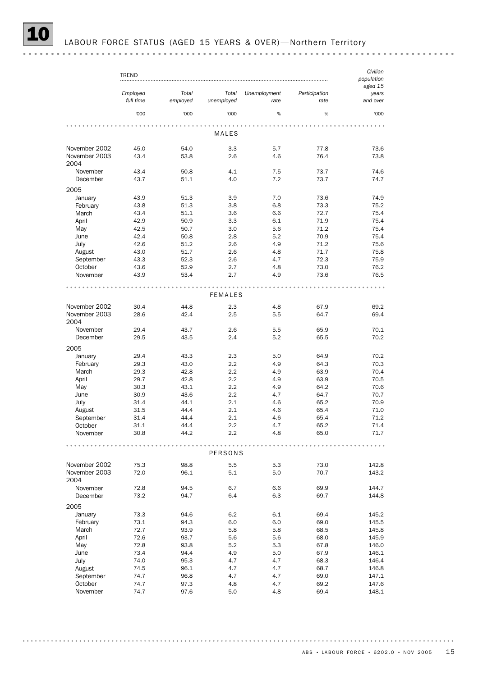|                                | <b>TREND</b>          |                   |                     |                      |                       | Civilian<br>population       |
|--------------------------------|-----------------------|-------------------|---------------------|----------------------|-----------------------|------------------------------|
|                                | Employed<br>full time | Total<br>employed | Total<br>unemployed | Unemployment<br>rate | Participation<br>rate | aged 15<br>years<br>and over |
|                                | '000                  | '000              | '000                | %                    | %                     | '000                         |
|                                |                       |                   | MALES               |                      |                       |                              |
|                                |                       |                   |                     |                      |                       |                              |
| November 2002<br>November 2003 | 45.0<br>43.4          | 54.0<br>53.8      | 3.3<br>2.6          | 5.7<br>4.6           | 77.8<br>76.4          | 73.6<br>73.8                 |
| 2004                           |                       |                   |                     |                      |                       |                              |
| November                       | 43.4                  | 50.8              | 4.1                 | 7.5                  | 73.7                  | 74.6                         |
| December                       | 43.7                  | 51.1              | 4.0                 | 7.2                  | 73.7                  | 74.7                         |
| 2005<br>January                | 43.9                  | 51.3              | 3.9                 | 7.0                  | 73.6                  | 74.9                         |
| February                       | 43.8                  | 51.3              | 3.8                 | 6.8                  | 73.3                  | 75.2                         |
| March                          | 43.4                  | 51.1              | 3.6                 | 6.6                  | 72.7                  | 75.4                         |
| April                          | 42.9                  | 50.9              | 3.3                 | 6.1                  | 71.9                  | 75.4                         |
| May                            | 42.5                  | 50.7              | 3.0                 | 5.6                  | 71.2                  | 75.4                         |
| June                           | 42.4                  | 50.8              | 2.8                 | 5.2                  | 70.9                  | 75.4                         |
| July                           | 42.6                  | 51.2              | 2.6                 | 4.9                  | 71.2                  | 75.6                         |
| August                         | 43.0                  | 51.7              | 2.6                 | 4.8                  | 71.7                  | 75.8                         |
| September                      | 43.3                  | 52.3              | 2.6                 | 4.7                  | 72.3                  | 75.9                         |
| October                        | 43.6                  | 52.9              | 2.7                 | 4.8                  | 73.0                  | 76.2                         |
| November                       | 43.9                  | 53.4              | 2.7                 | 4.9                  | 73.6                  | 76.5                         |
|                                |                       |                   | <b>FEMALES</b>      |                      |                       |                              |
|                                |                       |                   |                     |                      |                       |                              |
| November 2002                  | 30.4                  | 44.8              | 2.3                 | 4.8                  | 67.9                  | 69.2                         |
| November 2003<br>2004          | 28.6                  | 42.4              | 2.5                 | 5.5                  | 64.7                  | 69.4                         |
| November                       | 29.4                  | 43.7<br>43.5      | 2.6<br>2.4          | 5.5<br>5.2           | 65.9                  | 70.1<br>70.2                 |
| December                       | 29.5                  |                   |                     |                      | 65.5                  |                              |
| 2005                           |                       |                   |                     |                      |                       |                              |
| January                        | 29.4                  | 43.3              | 2.3                 | 5.0                  | 64.9                  | 70.2                         |
| February                       | 29.3                  | 43.0              | 2.2                 | 4.9                  | 64.3                  | 70.3                         |
| March                          | 29.3                  | 42.8              | 2.2                 | 4.9                  | 63.9                  | 70.4                         |
| April                          | 29.7                  | 42.8              | 2.2                 | 4.9                  | 63.9                  | 70.5                         |
| May                            | 30.3                  | 43.1              | 2.2                 | 4.9                  | 64.2                  | 70.6                         |
| June                           | 30.9                  | 43.6              | 2.2                 | 4.7                  | 64.7                  | 70.7                         |
| July                           | 31.4                  | 44.1              | 2.1                 | 4.6                  | 65.2                  | 70.9                         |
| August                         | 31.5                  | 44.4              | 2.1                 | 4.6                  | 65.4                  | 71.0                         |
| September                      | 31.4                  | 44.4              | 2.1                 | 4.6                  | 65.4                  | 71.2                         |
| October                        | 31.1                  | 44.4              | 2.2                 | 4.7                  | 65.2                  | 71.4                         |
| November                       | 30.8                  | 44.2              | 2.2                 | 4.8                  | 65.0                  | 71.7                         |
|                                |                       |                   | PERSONS             |                      |                       |                              |
| November 2002                  | 75.3                  | 98.8              | 5.5                 | 5.3                  | 73.0                  | 142.8                        |
| November 2003<br>2004          | 72.0                  | 96.1              | 5.1                 | 5.0                  | 70.7                  | 143.2                        |
| November                       | 72.8                  | 94.5              | 6.7                 | 6.6                  | 69.9                  | 144.7                        |
| December                       | 73.2                  | 94.7              | 6.4                 | 6.3                  | 69.7                  | 144.8                        |
| 2005                           |                       |                   |                     |                      |                       |                              |
| January                        | 73.3                  | 94.6              | 6.2                 | 6.1                  | 69.4                  | 145.2                        |
| February                       | 73.1                  | 94.3              | 6.0                 | 6.0                  | 69.0                  | 145.5                        |
| March                          | 72.7                  | 93.9              | 5.8                 | 5.8                  | 68.5                  | 145.8                        |
| April                          | 72.6                  | 93.7              | 5.6                 | 5.6                  | 68.0                  | 145.9                        |
| May                            | 72.8                  | 93.8              | 5.2                 | 5.3                  | 67.8                  | 146.0                        |
| June                           | 73.4                  | 94.4              | 4.9                 | 5.0                  | 67.9                  | 146.1                        |
| July                           | 74.0                  | 95.3              | 4.7                 | 4.7                  | 68.3                  | 146.4                        |
| August                         | 74.5                  | 96.1              | 4.7                 | 4.7                  | 68.7                  | 146.8                        |
| September                      | 74.7                  | 96.8              | 4.7                 | 4.7                  | 69.0                  | 147.1                        |
| October                        | 74.7                  | 97.3              | 4.8                 | 4.7                  | 69.2                  | 147.6                        |
| November                       | 74.7                  | 97.6              | $5.0\,$             | 4.8                  | 69.4                  | 148.1                        |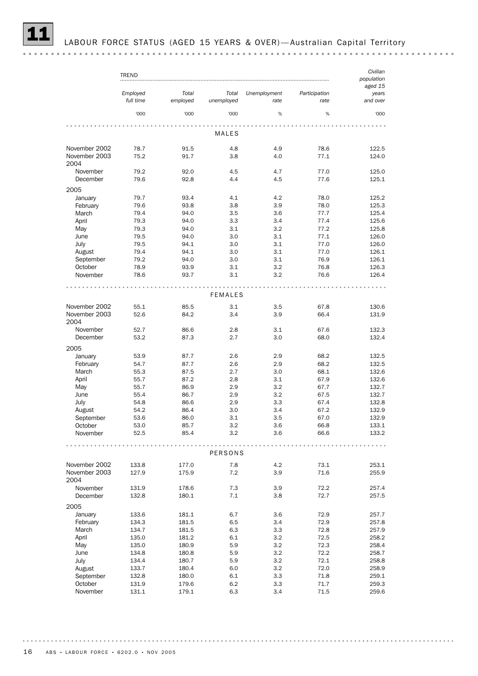|                       | TREND                 |                   |                     |                      |                       | Civilian<br>population<br>aged 15 |
|-----------------------|-----------------------|-------------------|---------------------|----------------------|-----------------------|-----------------------------------|
|                       | Employed<br>full time | Total<br>employed | Total<br>unemployed | Unemployment<br>rate | Participation<br>rate | years<br>and over                 |
|                       | '000                  | '000              | '000                | %                    | %                     | '000                              |
|                       |                       |                   | MALES               |                      |                       |                                   |
| November 2002         | 78.7                  | 91.5              | 4.8                 | 4.9                  | 78.6                  | 122.5                             |
| November 2003<br>2004 | 75.2                  | 91.7              | 3.8                 | 4.0                  | 77.1                  | 124.0                             |
| November              | 79.2                  | 92.0              | 4.5                 | 4.7                  | 77.0                  | 125.0                             |
| December              | 79.6                  | 92.8              | 4.4                 | 4.5                  | 77.6                  | 125.1                             |
| 2005<br>January       | 79.7                  | 93.4              | 4.1                 | 4.2                  | 78.0                  | 125.2                             |
| February              | 79.6                  | 93.8              | 3.8                 | 3.9                  | 78.0                  | 125.3                             |
| March                 | 79.4                  | 94.0              | 3.5                 | 3.6                  | 77.7                  | 125.4                             |
| April                 | 79.3                  | 94.0              | 3.3                 | 3.4                  | 77.4                  | 125.6                             |
| May                   | 79.3                  | 94.0              | 3.1                 | 3.2                  | 77.2                  | 125.8                             |
| June                  | 79.5                  | 94.0              | 3.0                 | 3.1                  | 77.1                  | 126.0                             |
| July                  | 79.5                  | 94.1              | 3.0                 | 3.1                  | 77.0                  | 126.0                             |
| August                | 79.4                  | 94.1              | 3.0                 | 3.1                  | 77.0                  | 126.1                             |
| September             | 79.2                  | 94.0              | 3.0                 | 3.1                  | 76.9                  | 126.1                             |
| October               | 78.9                  | 93.9              | 3.1                 | 3.2                  | 76.8                  | 126.3                             |
| November              | 78.6                  | 93.7              | 3.1                 | 3.2                  | 76.6                  | 126.4                             |
|                       |                       |                   | <b>FEMALES</b>      |                      |                       |                                   |
| November 2002         | 55.1                  | 85.5              | 3.1                 | 3.5                  | 67.8                  | 130.6                             |
| November 2003         | 52.6                  | 84.2              | 3.4                 | 3.9                  | 66.4                  | 131.9                             |
| 2004                  |                       |                   |                     |                      |                       |                                   |
| November<br>December  | 52.7<br>53.2          | 86.6<br>87.3      | 2.8<br>2.7          | 3.1<br>3.0           | 67.6<br>68.0          | 132.3<br>132.4                    |
| 2005                  |                       |                   |                     |                      |                       |                                   |
| January               | 53.9                  | 87.7              | 2.6                 | 2.9                  | 68.2                  | 132.5                             |
| February              | 54.7                  | 87.7              | 2.6                 | 2.9                  | 68.2                  | 132.5                             |
| March                 | 55.3                  | 87.5              | 2.7                 | 3.0                  | 68.1                  | 132.6                             |
| April                 | 55.7                  | 87.2              | 2.8                 | 3.1                  | 67.9                  | 132.6                             |
| May                   | 55.7                  | 86.9              | 2.9                 | 3.2                  | 67.7                  | 132.7                             |
| June                  | 55.4                  | 86.7              | 2.9                 | 3.2                  | 67.5                  | 132.7                             |
| July                  | 54.8                  | 86.6              | 2.9                 | 3.3                  | 67.4                  | 132.8                             |
| August                | 54.2                  | 86.4              | 3.0                 | 3.4                  | 67.2                  | 132.9                             |
| September             | 53.6                  | 86.0              | 3.1                 | 3.5                  | 67.0                  | 132.9                             |
| October               | 53.0                  | 85.7              | 3.2                 | 3.6                  | 66.8                  | 133.1                             |
| November              | 52.5                  | 85.4              | 3.2                 | 3.6                  | 66.6                  | 133.2                             |
|                       |                       |                   | PERSONS             |                      |                       |                                   |
| November 2002         | 133.8                 | 177.0             | 7.8                 | 4.2                  | 73.1                  | 253.1                             |
| November 2003<br>2004 | 127.9                 | 175.9             | 7.2                 | 3.9                  | 71.6                  | 255.9                             |
| November              | 131.9                 | 178.6             | 7.3                 | 3.9                  | 72.2                  | 257.4                             |
| December              | 132.8                 | 180.1             | 7.1                 | 3.8                  | 72.7                  | 257.5                             |
| 2005                  |                       |                   |                     |                      |                       |                                   |
| January               | 133.6                 | 181.1             | 6.7                 | 3.6                  | 72.9                  | 257.7                             |
| February              | 134.3                 | 181.5             | 6.5                 | 3.4                  | 72.9                  | 257.8                             |
| March                 | 134.7                 | 181.5             | 6.3                 | 3.3                  | 72.8                  | 257.9                             |
| April                 | 135.0                 | 181.2             | 6.1                 | 3.2                  | 72.5                  | 258.2                             |
| May                   | 135.0                 | 180.9             | 5.9                 | 3.2                  | 72.3                  | 258.4                             |
| June                  | 134.8                 | 180.8             | 5.9                 | 3.2                  | 72.2                  | 258.7                             |
| July                  | 134.4                 | 180.7             | 5.9                 | 3.2                  | 72.1                  | 258.8                             |
| August                | 133.7                 | 180.4             | 6.0                 | 3.2                  | 72.0                  | 258.9                             |
| September             | 132.8                 | 180.0             | 6.1                 | 3.3                  | 71.8                  | 259.1                             |
| October               | 131.9                 | 179.6             | 6.2                 | 3.3                  | 71.7                  | 259.3                             |
| November              | 131.1                 | 179.1             | 6.3                 | 3.4                  | 71.5                  | 259.6                             |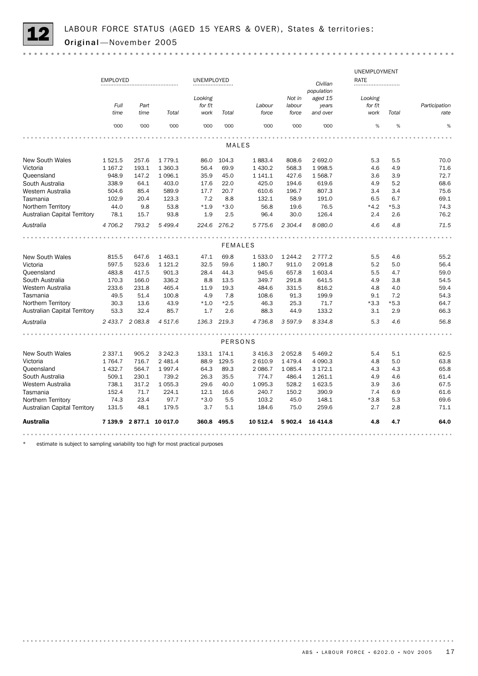

|                                     |                 |                 |                          |             |                |           |             |             | UNEMPLOYMENT |        |               |
|-------------------------------------|-----------------|-----------------|--------------------------|-------------|----------------|-----------|-------------|-------------|--------------|--------|---------------|
|                                     | <b>EMPLOYED</b> |                 |                          | UNEMPLOYED  |                |           |             | Civilian    | RATE         |        |               |
|                                     |                 |                 |                          |             |                |           |             | population  |              |        |               |
|                                     |                 |                 |                          | Looking     |                |           | Not in      | aged 15     | Looking      |        |               |
|                                     | Full            | Part            |                          | for f/t     |                | Labour    | labour      | years       | for f/t      |        | Participation |
|                                     | time            | time            | Total                    | work        | Total          | force     | force       | and over    | work         | Total  | rate          |
|                                     | '000            | '000            | '000                     | '000        | '000           | '000      | '000        | '000        | %            | %      | %             |
|                                     |                 |                 |                          |             |                |           |             |             |              |        |               |
|                                     |                 |                 |                          |             | <b>MALES</b>   |           |             |             |              |        |               |
| <b>New South Wales</b>              | 1521.5          | 257.6           | 1 7 7 9 . 1              | 86.0        | 104.3          | 1883.4    | 808.6       | 2 692.0     | 5.3          | 5.5    | 70.0          |
| Victoria                            | 1 1 6 7 . 2     | 193.1           | 1 360.3                  | 56.4        | 69.9           | 1 430.2   | 568.3       | 1998.5      | 4.6          | 4.9    | 71.6          |
| Queensland                          | 948.9           | 147.2           | 1 0 9 6.1                | 35.9        | 45.0           | 1 141.1   | 427.6       | 1568.7      | 3.6          | 3.9    | 72.7          |
| South Australia                     | 338.9           | 64.1            | 403.0                    | 17.6        | 22.0           | 425.0     | 194.6       | 619.6       | 4.9          | 5.2    | 68.6          |
| Western Australia                   | 504.6           | 85.4            | 589.9                    | 17.7        | 20.7           | 610.6     | 196.7       | 807.3       | 3.4          | 3.4    | 75.6          |
| Tasmania                            | 102.9           | 20.4            | 123.3                    | 7.2         | 8.8            | 132.1     | 58.9        | 191.0       | 6.5          | 6.7    | 69.1          |
| Northern Territory                  | 44.0            | 9.8             | 53.8                     | $*1.9$      | $*3.0$         | 56.8      | 19.6        | 76.5        | $*4.2$       | $*5.3$ | 74.3          |
| <b>Australian Capital Territory</b> | 78.1            | 15.7            | 93.8                     | 1.9         | 2.5            | 96.4      | 30.0        | 126.4       | 2.4          | 2.6    | 76.2          |
| Australia                           | 4706.2          | 793.2           | 5 499.4                  | 224.6       | 276.2          | 5 7 7 5.6 | 2 3 0 4.4   | 8 0 8 0.0   | 4.6          | 4.8    | 71.5          |
|                                     |                 |                 |                          |             |                |           |             |             |              |        |               |
|                                     |                 |                 |                          |             | <b>FEMALES</b> |           |             |             |              |        |               |
| <b>New South Wales</b>              | 815.5           | 647.6           | 1 4 6 3.1                | 47.1        | 69.8           | 1 533.0   | 1 244.2     | 2 7 7 7 . 2 | 5.5          | 4.6    | 55.2          |
| Victoria                            | 597.5           | 523.6           | 1 1 2 1 . 2              | 32.5        | 59.6           | 1 180.7   | 911.0       | 2 0 9 1.8   | 5.2          | 5.0    | 56.4          |
| Queensland                          | 483.8           | 417.5           | 901.3                    | 28.4        | 44.3           | 945.6     | 657.8       | 1 603.4     | 5.5          | 4.7    | 59.0          |
| South Australia                     | 170.3           | 166.0           | 336.2                    | 8.8         | 13.5           | 349.7     | 291.8       | 641.5       | 4.9          | 3.8    | 54.5          |
| Western Australia                   | 233.6           | 231.8           | 465.4                    | 11.9        | 19.3           | 484.6     | 331.5       | 816.2       | 4.8          | 4.0    | 59.4          |
| Tasmania                            | 49.5            | 51.4            | 100.8                    | 4.9         | 7.8            | 108.6     | 91.3        | 199.9       | 9.1          | 7.2    | 54.3          |
| Northern Territory                  | 30.3            | 13.6            | 43.9                     | $*1.0$      | $*2.5$         | 46.3      | 25.3        | 71.7        | $*3.3$       | $*5.3$ | 64.7          |
| <b>Australian Capital Territory</b> | 53.3            | 32.4            | 85.7                     | 1.7         | 2.6            | 88.3      | 44.9        | 133.2       | 3.1          | 2.9    | 66.3          |
| Australia                           |                 | 2 433.7 2 083.8 | 4 517.6                  | 136.3       | 219.3          | 4736.8    | 3 5 9 7.9   | 8 3 3 4.8   | 5.3          | 4.6    | 56.8          |
|                                     |                 |                 |                          |             |                |           |             |             |              |        |               |
|                                     |                 |                 |                          |             | PERSONS        |           |             |             |              |        |               |
| <b>New South Wales</b>              | 2 3 3 7 . 1     | 905.2           | 3 2 4 2 . 3              | 133.1       | 174.1          | 3 4 1 6.3 | 2 0 5 2.8   | 5 4 69.2    | 5.4          | 5.1    | 62.5          |
| Victoria                            | 1764.7          | 716.7           | 2 4 8 1.4                | 88.9        | 129.5          | 2 610.9   | 1 4 7 9 . 4 | 4 0 9 0.3   | 4.8          | 5.0    | 63.8          |
| Queensland                          | 1 4 3 2.7       | 564.7           | 1997.4                   | 64.3        | 89.3           | 2 0 8 6.7 | 1 0 8 5.4   | 3 172.1     | 4.3          | 4.3    | 65.8          |
| South Australia                     | 509.1           | 230.1           | 739.2                    | 26.3        | 35.5           | 774.7     | 486.4       | 1 2 6 1 . 1 | 4.9          | 4.6    | 61.4          |
| Western Australia                   | 738.1           | 317.2           | 1 0 5 5.3                | 29.6        | 40.0           | 1 0 9 5.3 | 528.2       | 1 623.5     | 3.9          | 3.6    | 67.5          |
| Tasmania                            | 152.4           | 71.7            | 224.1                    | 12.1        | 16.6           | 240.7     | 150.2       | 390.9       | 7.4          | 6.9    | 61.6          |
| Northern Territory                  | 74.3            | 23.4            | 97.7                     | $*3.0$      | 5.5            | 103.2     | 45.0        | 148.1       | $*3.8$       | 5.3    | 69.6          |
| <b>Australian Capital Territory</b> | 131.5           | 48.1            | 179.5                    | 3.7         | 5.1            | 184.6     | 75.0        | 259.6       | 2.7          | 2.8    | 71.1          |
| Australia                           |                 |                 | 7 139.9 2 877.1 10 017.0 | 360.8 495.5 |                | 10 512.4  | 5902.4      | 16 4 14.8   | 4.8          | 4.7    | 64.0          |
|                                     |                 |                 |                          |             |                |           |             |             |              |        |               |

\* estimate is subject to sampling variability too high for most practical purposes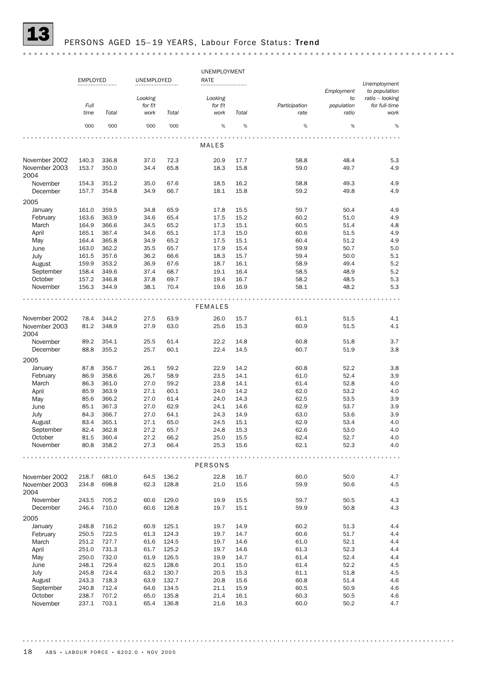

# PERSONS AGED 15-19 YEARS, Labour Force Status: Trend

|                                |                |                 |                 |              | UNEMPLOYMENT    |              |                       |                     |                                  |  |  |  |  |
|--------------------------------|----------------|-----------------|-----------------|--------------|-----------------|--------------|-----------------------|---------------------|----------------------------------|--|--|--|--|
|                                |                | <b>EMPLOYED</b> |                 | UNEMPLOYED   | RATE            |              |                       | Unemployment        |                                  |  |  |  |  |
|                                |                |                 | Looking         |              | Looking         |              |                       | Employment<br>to    | to population<br>ratio - looking |  |  |  |  |
|                                | Full<br>time   | Total           | for f/t<br>work | Total        | for f/t<br>work | Total        | Participation<br>rate | population<br>ratio | for full-time<br>work            |  |  |  |  |
|                                | '000           | '000            | '000            | '000         | %               | $\%$         | %                     | %                   | %                                |  |  |  |  |
|                                |                |                 |                 |              |                 |              |                       |                     |                                  |  |  |  |  |
|                                |                |                 |                 |              | MALES           |              |                       |                     |                                  |  |  |  |  |
| November 2002<br>November 2003 | 140.3<br>153.7 | 336.8<br>350.0  | 37.0<br>34.4    | 72.3<br>65.8 | 20.9<br>18.3    | 17.7<br>15.8 | 58.8<br>59.0          | 48.4<br>49.7        | 5.3<br>4.9                       |  |  |  |  |
| 2004                           |                |                 |                 |              |                 |              |                       |                     |                                  |  |  |  |  |
| November<br>December           | 154.3<br>157.7 | 351.2<br>354.8  | 35.0<br>34.9    | 67.6<br>66.7 | 18.5<br>18.1    | 16.2<br>15.8 | 58.8<br>59.2          | 49.3<br>49.8        | 4.9<br>4.9                       |  |  |  |  |
| 2005                           |                |                 |                 |              |                 |              |                       |                     |                                  |  |  |  |  |
| January                        | 161.0          | 359.5           | 34.8            | 65.9         | 17.8            | 15.5         | 59.7                  | 50.4                | 4.9                              |  |  |  |  |
| February                       | 163.6          | 363.9           | 34.6            | 65.4         | 17.5            | 15.2         | 60.2                  | 51.0                | 4.9                              |  |  |  |  |
| March                          | 164.9          | 366.6           | 34.5            | 65.2         | 17.3            | 15.1         | 60.5                  | 51.4                | 4.8                              |  |  |  |  |
| April                          | 165.1<br>164.4 | 367.4<br>365.8  | 34.6<br>34.9    | 65.1<br>65.2 | 17.3<br>17.5    | 15.0<br>15.1 | 60.6<br>60.4          | 51.5<br>51.2        | 4.9<br>4.9                       |  |  |  |  |
| May<br>June                    | 163.0          | 362.2           | 35.5            | 65.7         | 17.9            | 15.4         | 59.9                  | 50.7                | 5.0                              |  |  |  |  |
| July                           | 161.5          | 357.6           | 36.2            | 66.6         | 18.3            | 15.7         | 59.4                  | 50.0                | 5.1                              |  |  |  |  |
| August                         | 159.9          | 353.2           | 36.9            | 67.6         | 18.7            | 16.1         | 58.9                  | 49.4                | 5.2                              |  |  |  |  |
| September                      | 158.4          | 349.6           | 37.4            | 68.7         | 19.1            | 16.4         | 58.5                  | 48.9                | 5.2                              |  |  |  |  |
| October                        | 157.2          | 346.8           | 37.8            | 69.7         | 19.4            | 16.7         | 58.2                  | 48.5                | 5.3                              |  |  |  |  |
| November                       | 156.3          | 344.9           | 38.1            | 70.4         | 19.6            | 16.9         | 58.1                  | 48.2                | 5.3                              |  |  |  |  |
|                                |                |                 |                 |              |                 |              |                       |                     |                                  |  |  |  |  |
|                                |                |                 |                 |              | <b>FEMALES</b>  |              |                       |                     |                                  |  |  |  |  |
| November 2002                  | 78.4           | 344.2           | 27.5            | 63.9         | 26.0            | 15.7         | 61.1                  | 51.5                | 4.1                              |  |  |  |  |
| November 2003<br>2004          | 81.2           | 348.9           | 27.9            | 63.0         | 25.6            | 15.3         | 60.9                  | 51.5                | 4.1                              |  |  |  |  |
| November<br>December           | 89.2<br>88.8   | 354.1<br>355.2  | 25.5<br>25.7    | 61.4<br>60.1 | 22.2<br>22.4    | 14.8<br>14.5 | 60.8<br>60.7          | 51.8<br>51.9        | 3.7<br>3.8                       |  |  |  |  |
| 2005                           |                |                 |                 |              |                 |              |                       |                     |                                  |  |  |  |  |
| January                        | 87.8           | 356.7           | 26.1            | 59.2         | 22.9            | 14.2         | 60.8                  | 52.2                | 3.8                              |  |  |  |  |
| February                       | 86.9           | 358.6           | 26.7            | 58.9         | 23.5            | 14.1         | 61.0                  | 52.4                | 3.9                              |  |  |  |  |
| March                          | 86.3           | 361.0           | 27.0            | 59.2         | 23.8            | 14.1         | 61.4                  | 52.8                | 4.0                              |  |  |  |  |
| April                          | 85.9           | 363.9           | 27.1            | 60.1         | 24.0            | 14.2         | 62.0                  | 53.2                | 4.0                              |  |  |  |  |
| May                            | 85.6           | 366.2           | 27.0            | 61.4         | 24.0            | 14.3         | 62.5                  | 53.5                | 3.9                              |  |  |  |  |
| June                           | 85.1           | 367.3           | 27.0            | 62.9         | 24.1            | 14.6         | 62.9                  | 53.7                | 3.9                              |  |  |  |  |
| July                           | 84.3           | 366.7           | 27.0            | 64.1         | 24.3            | 14.9         | 63.0                  | 53.6                | 3.9                              |  |  |  |  |
| August                         | 83.4           | 365.1           | 27.1            | 65.0         | 24.5            | 15.1         | 62.9                  | 53.4                | 4.0                              |  |  |  |  |
| September                      | 82.4           | 362.8           | 27.2            | 65.7         | 24.8            | 15.3         | 62.6                  | 53.0                | 4.0                              |  |  |  |  |
| October<br>November            | 81.5<br>80.8   | 360.4<br>358.2  | 27.2<br>27.3    | 66.2<br>66.4 | 25.0<br>25.3    | 15.5<br>15.6 | 62.4<br>62.1          | 52.7<br>52.3        | 4.0<br>4.0                       |  |  |  |  |
|                                |                |                 |                 |              |                 |              |                       |                     |                                  |  |  |  |  |
|                                |                |                 |                 |              | <b>PERSONS</b>  |              |                       |                     |                                  |  |  |  |  |
| November 2002                  | 218.7          | 681.0           | 64.5            | 136.2        | 22.8            | 16.7         | 60.0                  | 50.0                | 4.7                              |  |  |  |  |
| November 2003<br>2004          | 234.8          | 698.8           | 62.3            | 128.8        | 21.0            | 15.6         | 59.9                  | 50.6                | 4.5                              |  |  |  |  |
| November                       | 243.5          | 705.2           | 60.6            | 129.0        | 19.9            | 15.5         | 59.7                  | 50.5                | 4.3                              |  |  |  |  |
| December                       | 246.4          | 710.0           | 60.6            | 126.8        | 19.7            | 15.1         | 59.9                  | 50.8                | 4.3                              |  |  |  |  |
| 2005<br>January                | 248.8          | 716.2           | 60.9            | 125.1        | 19.7            | 14.9         | 60.2                  | 51.3                | 4.4                              |  |  |  |  |
| February                       | 250.5          | 722.5           | 61.3            | 124.3        | 19.7            | 14.7         | 60.6                  | 51.7                | 4.4                              |  |  |  |  |
| March                          | 251.2          | 727.7           | 61.6            | 124.5        | 19.7            | 14.6         | 61.0                  | 52.1                | 4.4                              |  |  |  |  |
| April                          | 251.0          | 731.3           | 61.7            | 125.2        | 19.7            | 14.6         | 61.3                  | 52.3                | 4.4                              |  |  |  |  |
| May                            | 250.0          | 732.0           | 61.9            | 126.5        | 19.9            | 14.7         | 61.4                  | 52.4                | 4.4                              |  |  |  |  |
| June                           | 248.1          | 729.4           | 62.5            | 128.6        | 20.1            | 15.0         | 61.4                  | 52.2                | 4.5                              |  |  |  |  |
| July                           | 245.8          | 724.4           | 63.2            | 130.7        | 20.5            | 15.3         | 61.1                  | 51.8                | 4.5                              |  |  |  |  |
| August                         | 243.3          | 718.3           | 63.9            | 132.7        | 20.8            | 15.6         | 60.8                  | 51.4                | 4.6                              |  |  |  |  |
| September                      | 240.8          | 712.4           | 64.6            | 134.5        | 21.1            | 15.9         | 60.5                  | 50.9                | 4.6                              |  |  |  |  |
| October                        | 238.7          | 707.2           | 65.0            | 135.8        | 21.4            | 16.1         | 60.3                  | 50.5                | 4.6                              |  |  |  |  |
| November                       | 237.1          | 703.1           | 65.4            | 136.8        | 21.6            | 16.3         | 60.0                  | 50.2                | 4.7                              |  |  |  |  |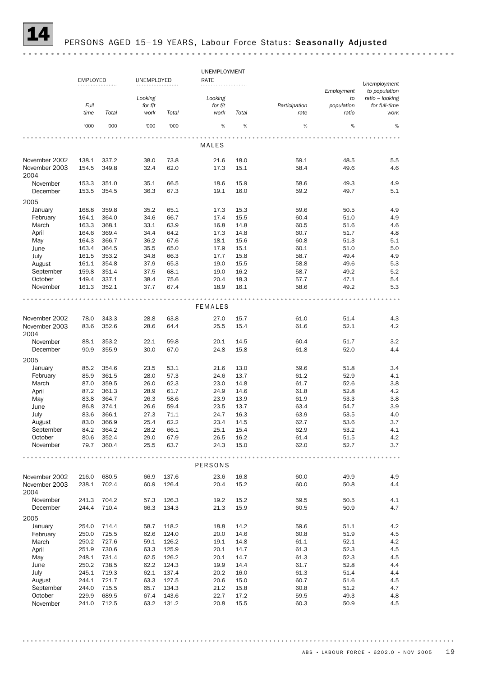

### PERSONS AGED 15-19 YEARS, Labour Force Status: Seasonally Adjusted

UNEMPLOYMENT EMPLOYED UNEMPLOYED RATE *Unemployment Employment to population Looking ratio – looking Looking to Full for f/t for f/t Participation population for full-time Total work Total work Total ratio time rate work* '000 '000 '000 '000 % % % % % MALES November 2002 138.1 337.2 38.0 73.8 21.6 18.0 59.1 48.5 5.5 November 2003 154.5 349.8 32.4 62.0 17.3 15.1 58.4 49.6 4.6 2004 November 153.3 351.0 35.1 66.5 18.6 15.9 58.6 49.3 4.9 December 153.5 354.5 36.3 67.3 19.1 16.0 59.2 49.7 5.1 2005 January 168.8 359.8 35.2 65.1 17.3 15.3 59.6 50.5 4.9 February 164.1 364.0 34.6 66.7 17.4 15.5 60.4 51.0 4.9 March 163.3 368.1 33.1 63.9 16.8 14.8 60.5 51.6 4.6 April 164.6 369.4 34.4 64.2 17.3 14.8 60.7 51.7 4.8 May 164.3 366.7 36.2 67.6 18.1 15.6 60.8 51.3 5.1 June 163.4 364.5 35.5 65.0 17.9 15.1 60.1 51.0 5.0 July 161.5 353.2 34.8 66.3 17.7 15.8 58.7 49.4 4.9 August 161.1 354.8 37.9 65.3 19.0 15.5 58.8 49.6 5.3 September 159.8 351.4 37.5 68.1 19.0 16.2 58.7 49.2 5.2 October 149.4 337.1 38.4 75.6 20.4 18.3 57.7 47.1 5.4 November 161.3 352.1 37.7 67.4 18.9 16.1 58.6 49.2 5.3 FEMALES November 2002 78.0 343.3 28.8 63.8 27.0 15.7 61.0 51.4 4.3 November 2003 83.6 352.6 28.6 64.4 25.5 15.4 61.6 52.1 4.2 2004 November 88.1 353.2 22.1 59.8 20.1 14.5 60.4 51.7 3.2 December 90.9 355.9 30.0 67.0 24.8 15.8 61.8 52.0 4.4 2005 January 85.2 354.6 23.5 53.1 21.6 13.0 59.6 51.8 3.4 February 85.9 361.5 28.0 57.3 24.6 13.7 61.2 52.9 4.1 March 87.0 359.5 26.0 62.3 23.0 14.8 61.7 52.6 3.8 April 87.2 361.3 28.9 61.7 24.9 14.6 61.8 52.8 4.2 May 83.8 364.7 26.3 58.6 23.9 13.9 61.9 53.3 3.8 June 86.8 374.1 26.6 59.4 23.5 13.7 63.4 54.7 3.9 July 83.6 366.1 27.3 71.1 24.7 16.3 63.9 53.5 4.0 August 83.0 366.9 25.4 62.2 23.4 14.5 62.7 53.6 3.7 September 84.2 364.2 28.2 66.1 25.1 15.4 62.9 53.2 4.1 October 80.6 352.4 29.0 67.9 26.5 16.2 61.4 51.5 4.2 November 79.7 360.4 25.5 63.7 24.3 15.0 62.0 52.7 3.7 . . . . . . . . . . . . . . . . . . . . . . . . . . . . . . . . . . . . . . . . . . . PERSONS November 2002 216.0 680.5 66.9 137.6 23.6 16.8 60.0 49.9 4.9 November 2003 238.1 702.4 60.9 126.4 20.4 15.2 60.0 50.8 4.4 2004 November 241.3 704.2 57.3 126.3 19.2 15.2 59.5 50.5 4.1 December 244.4 710.4 66.3 134.3 21.3 15.9 60.5 50.9 4.7 2005 January 254.0 714.4 58.7 118.2 18.8 14.2 59.6 51.1 4.2 February 250.0 725.5 62.6 124.0 20.0 14.6 60.8 51.9 4.5 April 251.9 730.6 63.3 125.9 20.1 14.7 61.3 52.3 4.5 March 250.2 727.6 59.1 126.2 19.1 14.8 61.1 52.1 4.2 May 248.1 731.4 62.5 126.2 20.1 14.7 61.3 52.3 4.5 June 250.2 738.5 62.2 124.3 19.9 14.4 61.7 52.8 4.4 July 245.1 719.3 62.1 137.4 20.2 16.0 61.3 51.4 4.4 August 244.1 721.7 63.3 127.5 20.6 15.0 60.7 51.6 4.5 September 244.0 715.5 65.7 134.3 21.2 15.8 60.8 51.2 4.7 October 229.9 689.5 67.4 143.6 22.7 17.2 59.5 49.3 4.8 November 241.0 712.5 63.2 131.2 20.8 15.5 60.3 50.9 4.5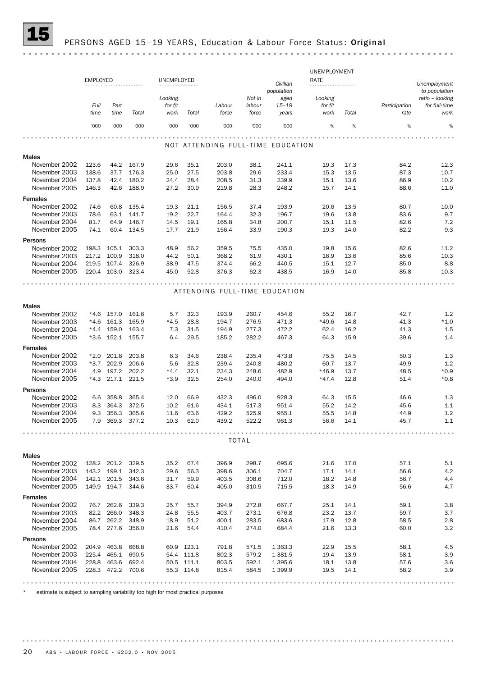# PERSONS AGED 15-19 YEARS, Education & Labour Force Status: Original

|                                | <b>EMPLOYED</b> |                |                | UNEMPLOYED   |              |                                   |              |                        | UNEMPLOYMENT<br>RATE |              |               |                               |
|--------------------------------|-----------------|----------------|----------------|--------------|--------------|-----------------------------------|--------------|------------------------|----------------------|--------------|---------------|-------------------------------|
|                                |                 |                |                |              |              |                                   |              | Civilian<br>population |                      |              |               | Unemployment<br>to population |
|                                |                 |                |                | Looking      |              |                                   | Not in       | aged                   | Looking              |              |               | ratio – looking               |
|                                | Full            | Part           |                | for f/t      |              | Labour                            | labour       | $15 - 19$              | for f/t              |              | Participation | for full-time                 |
|                                | time            | time           | Total          | work         | Total        | force                             | force        | years                  | work                 | Total        | rate          | work                          |
|                                | '000            | '000           | '000           | '000         | '000         | '000                              | '000         | '000                   | %                    | %            | %             | %                             |
|                                |                 |                |                |              |              |                                   |              |                        |                      |              |               |                               |
|                                |                 |                |                |              |              | NOT ATTENDING FULL-TIME EDUCATION |              |                        |                      |              |               |                               |
| <b>Males</b>                   |                 |                |                |              |              |                                   |              |                        |                      |              |               |                               |
| November 2002                  | 123.6           | 44.2           | 167.9          | 29.6         | 35.1         | 203.0                             | 38.1         | 241.1                  | 19.3                 | 17.3         | 84.2          | 12.3                          |
| November 2003                  | 138.6           | 37.7           | 176.3          | 25.0         | 27.5         | 203.8                             | 29.6         | 233.4                  | 15.3                 | 13.5         | 87.3          | 10.7                          |
| November 2004                  | 137.8           | 42.4           | 180.2          | 24.4         | 28.4         | 208.5                             | 31.3         | 239.9                  | 15.1                 | 13.6         | 86.9          | 10.2                          |
| November 2005                  | 146.3           | 42.6           | 188.9          | 27.2         | 30.9         | 219.8                             | 28.3         | 248.2                  | 15.7                 | 14.1         | 88.6          | 11.0                          |
| <b>Females</b>                 |                 |                |                |              |              |                                   |              |                        |                      |              |               |                               |
| November 2002                  | 74.6            | 60.8           | 135.4          | 19.3         | 21.1         | 156.5                             | 37.4         | 193.9                  | 20.6                 | 13.5         | 80.7          | 10.0                          |
| November 2003                  | 78.6            | 63.1           | 141.7          | 19.2         | 22.7         | 164.4                             | 32.3         | 196.7                  | 19.6                 | 13.8         | 83.6          | 9.7                           |
| November 2004                  | 81.7            | 64.9           | 146.7          | 14.5         | 19.1         | 165.8                             | 34.8         | 200.7                  | 15.1                 | 11.5         | 82.6          | 7.2<br>9.3                    |
| November 2005                  | 74.1            | 60.4           | 134.5          | 17.7         | 21.9         | 156.4                             | 33.9         | 190.3                  | 19.3                 | 14.0         | 82.2          |                               |
| Persons                        |                 |                |                |              |              |                                   |              |                        |                      |              |               |                               |
| November 2002                  | 198.3           | 105.1          | 303.3          | 48.9         | 56.2         | 359.5                             | 75.5         | 435.0                  | 19.8                 | 15.6         | 82.6          | 11.2                          |
| November 2003                  | 217.2           | 100.9<br>107.4 | 318.0          | 44.2         | 50.1         | 368.2                             | 61.9         | 430.1                  | 16.9                 | 13.6         | 85.6          | 10.3                          |
| November 2004<br>November 2005 | 219.5<br>220.4  | 103.0          | 326.9<br>323.4 | 38.9<br>45.0 | 47.5<br>52.8 | 374.4<br>376.3                    | 66.2<br>62.3 | 440.5<br>438.5         | 15.1<br>16.9         | 12.7<br>14.0 | 85.0<br>85.8  | 8.8<br>10.3                   |
|                                |                 |                |                |              |              |                                   |              |                        |                      |              |               |                               |
|                                |                 |                |                |              |              | ATTENDING FULL-TIME EDUCATION     |              |                        |                      |              |               |                               |
|                                |                 |                |                |              |              |                                   |              |                        |                      |              |               |                               |
| Males                          |                 |                |                |              |              |                                   |              |                        |                      |              |               |                               |
| November 2002                  | *4.6            | 157.0          | 161.6          | 5.7          | 32.3         | 193.9                             | 260.7        | 454.6                  | 55.2                 | 16.7         | 42.7          | 1.2                           |
| November 2003                  | $*4.6$          | 161.3          | 165.9          | *4.5         | 28.8         | 194.7                             | 276.5        | 471.3                  | *49.6                | 14.8         | 41.3          | $*1.0$                        |
| November 2004                  | $*4.4$          | 159.0          | 163.4          | 7.3          | 31.5         | 194.9                             | 277.3        | 472.2                  | 62.4                 | 16.2         | 41.3          | 1.5                           |
| November 2005                  | $*3.6$          | 152.1          | 155.7          | 6.4          | 29.5         | 185.2                             | 282.2        | 467.3                  | 64.3                 | 15.9         | 39.6          | 1.4                           |
| <b>Females</b>                 |                 |                |                |              |              |                                   |              |                        |                      |              |               |                               |
| November 2002                  | *2.0            | 201.8          | 203.8          | 6.3          | 34.6         | 238.4                             | 235.4        | 473.8                  | 75.5                 | 14.5         | 50.3          | 1.3                           |
| November 2003                  | $*3.7$          | 202.9          | 206.6          | 5.6          | 32.8         | 239.4                             | 240.8        | 480.2                  | 60.7                 | 13.7         | 49.9          | 1.2                           |
| November 2004                  | 4.9             | 197.2          | 202.2          | $*4.4$       | 32.1         | 234.3                             | 248.6        | 482.9                  | $*46.9$              | 13.7         | 48.5          | $*0.9$                        |
| November 2005                  | $*4.3$          | 217.1          | 221.5          | $*3.9$       | 32.5         | 254.0                             | 240.0        | 494.0                  | $*47.4$              | 12.8         | 51.4          | $*0.8$                        |
| Persons                        |                 |                |                |              |              |                                   |              |                        |                      |              |               |                               |
| November 2002                  | 6.6             | 358.8          | 365.4          | 12.0         | 66.9         | 432.3                             | 496.0        | 928.3                  | 64.3                 | 15.5         | 46.6          | 1.3                           |
| November 2003                  | 8.3             | 364.3          | 372.5          | 10.2         | 61.6         | 434.1                             | 517.3        | 951.4                  | 55.2                 | 14.2         | 45.6          | 1.1                           |
| November 2004                  | 9.3             | 356.3          | 365.6          | 11.6         | 63.6         | 429.2                             | 525.9        | 955.1                  | 55.5                 | 14.8         | 44.9          | 1.2                           |
| November 2005                  | 7.9             | 369.3          | 377.2          | 10.3         | 62.0         | 439.2                             | 522.2        | 961.3                  | 56.6                 | 14.1         | 45.7          | 1.1                           |
|                                |                 |                |                |              |              | <b>TOTAL</b>                      |              |                        |                      |              |               |                               |
|                                |                 |                |                |              |              |                                   |              |                        |                      |              |               |                               |
| Males                          |                 |                |                |              |              |                                   |              |                        |                      |              |               |                               |
| November 2002                  |                 | 128.2 201.2    | 329.5          | 35.2         | 67.4         | 396.9                             | 298.7        | 695.6                  | 21.6                 | 17.0         | 57.1          | 5.1                           |
| November 2003                  |                 | 143.2 199.1    | 342.3          | 29.6         | 56.3         | 398.6                             | 306.1        | 704.7                  | 17.1                 | 14.1         | 56.6          | 4.2                           |
| November 2004                  |                 | 142.1 201.5    | 343.6          | 31.7         | 59.9         | 403.5                             | 308.6        | 712.0                  | 18.2                 | 14.8         | 56.7          | 4.4                           |
| November 2005                  |                 | 149.9 194.7    | 344.6          | 33.7         | 60.4         | 405.0                             | 310.5        | 715.5                  | 18.3                 | 14.9         | 56.6          | 4.7                           |
| <b>Females</b>                 |                 |                |                |              |              |                                   |              |                        |                      |              |               |                               |
| November 2002                  |                 | 76.7 262.6     | 339.3          | 25.7         | 55.7         | 394.9                             | 272.8        | 667.7                  | 25.1                 | 14.1         | 59.1          | 3.8                           |
| November 2003                  | 82.2            | 266.0          | 348.3          | 24.8         | 55.5         | 403.7                             | 273.1        | 676.8                  | 23.2                 | 13.7         | 59.7          | 3.7                           |
| November 2004                  |                 | 86.7 262.2     | 348.9          | 18.9         | 51.2         | 400.1                             | 283.5        | 683.6                  | 17.9                 | 12.8         | 58.5          | 2.8                           |
| November 2005                  |                 | 78.4 277.6     | 356.0          | 21.6         | 54.4         | 410.4                             | 274.0        | 684.4                  | 21.6                 | 13.3         | 60.0          | 3.2                           |
| Persons                        |                 |                |                |              |              |                                   |              |                        |                      |              |               |                               |
| November 2002                  | 204.9           | 463.8          | 668.8          |              | 60.9 123.1   | 791.8                             | 571.5        | 1 3 6 3 . 3            | 22.9                 | 15.5         | 58.1          | 4.5                           |
| November 2003                  | 225.4           | 465.1          | 690.5          |              | 54.4 111.8   | 802.3                             | 579.2        | 1 3 8 1.5              | 19.4                 | 13.9         | 58.1          | 3.9                           |
| November 2004                  |                 | 228.8 463.6    | 692.4          |              | 50.5 111.1   | 803.5                             | 592.1        | 1 3 9 5.6              | 18.1                 | 13.8         | 57.6          | 3.6                           |
| November 2005                  |                 | 228.3 472.2    | 700.6          |              | 55.3 114.8   | 815.4                             | 584.5        | 1 3 9 9.9              | 19.5                 | 14.1         | 58.2          | 3.9                           |
|                                |                 |                |                |              |              |                                   |              |                        |                      |              |               |                               |

\* estimate is subject to sampling variability too high for most practical purposes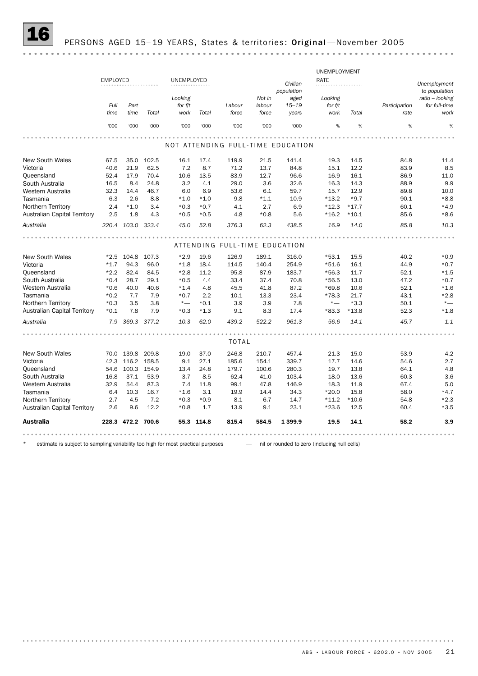# PERSONS AGED 15-19 YEARS, States & territories: Original-November 2005

| <b>Australia</b>                    |                 | 228.3 472.2 700.6 |             |            | 55.3 114.8 | 815.4                                  | 584.5  | 1 3 9 9.9                         | 19.5         | 14.1    | 58.2          | 3.9             |
|-------------------------------------|-----------------|-------------------|-------------|------------|------------|----------------------------------------|--------|-----------------------------------|--------------|---------|---------------|-----------------|
| <b>Australian Capital Territory</b> | 2.6             | 9.6               | 12.2        | $*0.8$     | 1.7        | 13.9                                   | 9.1    | 23.1                              | $*23.6$      | 12.5    | 60.4          | $*3.5$          |
| Northern Territory                  | 2.7             | 4.5               | 7.2         | $*0.3$     | $*0.9$     | 8.1                                    | 6.7    | 14.7                              | $*11.2$      | $*10.6$ | 54.8          | $*2.3$          |
| Tasmania                            | 6.4             | 10.3              | 16.7        | $*1.6$     | 3.1        | 19.9                                   | 14.4   | 34.3                              | $*20.0$      | 15.8    | 58.0          | $*4.7$          |
| Western Australia                   | 32.9            | 54.4              | 87.3        | 7.4        | 11.8       | 99.1                                   | 47.8   | 146.9                             | 18.3         | 11.9    | 67.4          | 5.0             |
| South Australia                     | 16.8            | 37.1              | 53.9        | 3.7        | 8.5        | 62.4                                   | 41.0   | 103.4                             | 18.0         | 13.6    | 60.3          | 3.6             |
| Queensland                          | 54.6            | 100.3             | 154.9       | 13.4       | 24.8       | 179.7                                  | 100.6  | 280.3                             | 19.7         | 13.8    | 64.1          | 4.8             |
| Victoria                            | 42.3            |                   | 116.2 158.5 | 9.1        | 27.1       | 185.6                                  | 154.1  | 339.7                             | 17.7         | 14.6    | 54.6          | 2.7             |
| <b>New South Wales</b>              |                 | 70.0 139.8 209.8  |             | 19.0       | 37.0       | 246.8                                  | 210.7  | 457.4                             | 21.3         | 15.0    | 53.9          | 4.2             |
|                                     |                 |                   |             |            |            | <b>TOTAL</b>                           |        |                                   |              |         |               |                 |
|                                     |                 |                   |             |            |            |                                        |        |                                   |              |         |               |                 |
| Australia                           |                 | 7.9 369.3         | 377.2       | 10.3       | 62.0       | 439.2                                  | 522.2  | 961.3                             | 56.6         | 14.1    | 45.7          | 1.1             |
| Australian Capital Territory        | $*0.1$          | 7.8               | 7.9         | $*0.3$     | $*1.3$     | 9.1                                    | 8.3    | 17.4                              | $*83.3$      | $*13.8$ | 52.3          | $*1.8$          |
| Northern Territory                  | $*0.3$          | 3.5               | 3.8         | $*_{-}$    | $*0.1$     | 3.9                                    | 3.9    | 7.8                               | $^{\star}-$  | $*3.3$  | 50.1          | $^{\star}-$     |
| Tasmania                            | $*0.2$          | 7.7               | 7.9         | $*0.7$     | 2.2        | 10.1                                   | 13.3   | 23.4                              | $*78.3$      | 21.7    | 43.1          | $*2.8$          |
| Western Australia                   | $*0.6$          | 40.0              | 40.6        | $*1.4$     | 4.8        | 45.5                                   | 41.8   | 87.2                              | $*69.8$      | 10.6    | 52.1          | $*1.6$          |
| South Australia                     | $*0.4$          | 28.7              | 29.1        | $*0.5$     | 4.4        | 33.4                                   | 37.4   | 70.8                              | $*56.5$      | 13.0    | 47.2          | $*0.7$          |
| Queensland                          | $*2.2$          | 82.4              | 84.5        | $*2.8$     | 11.2       | 95.8                                   | 87.9   | 183.7                             | $*56.3$      | 11.7    | 52.1          | $*1.5$          |
| Victoria                            | $*1.7$          | 94.3              | 96.0        | $*1.8$     | 18.4       | 114.5                                  | 140.4  | 254.9                             | $*51.6$      | 16.1    | 44.9          | $*0.7$          |
| <b>New South Wales</b>              |                 | $*2.5$ 104.8      | 107.3       | $*2.9$     | 19.6       | ATTENDING FULL-TIME EDUCATION<br>126.9 | 189.1  | 316.0                             | $*53.1$      | 15.5    | 40.2          | $*0.9$          |
|                                     |                 |                   |             |            |            |                                        |        |                                   |              |         |               |                 |
| Australia                           |                 | 220.4 103.0 323.4 |             | 45.0       | 52.8       | 376.3                                  | 62.3   | 438.5                             | 16.9         | 14.0    | 85.8          | 10.3            |
| <b>Australian Capital Territory</b> | 2.5             | 1.8               | 4.3         | $*0.5$     | $*0.5$     | 4.8                                    | $*0.8$ | 5.6                               | $*16.2$      | $*10.1$ | 85.6          | $*8.6$          |
| Northern Territory                  | 2.4             | $*1.0$            | 3.4         | $*0.3$     | $*0.7$     | 4.1                                    | 2.7    | 6.9                               | $*12.3$      | $*17.7$ | 60.1          | $*4.9$          |
| Tasmania                            | 6.3             | 2.6               | 8.8         | $*1.0$     | $*1.0$     | 9.8                                    | $*1.1$ | 10.9                              | $*13.2$      | $*9.7$  | 90.1          | $*8.8$          |
| Western Australia                   | 32.3            | 14.4              | 46.7        | 6.0        | 6.9        | 53.6                                   | 6.1    | 59.7                              | 15.7         | 12.9    | 89.8          | 10.0            |
| South Australia                     | 16.5            | 8.4               | 24.8        | 3.2        | 4.1        | 29.0                                   | 3.6    | 32.6                              | 16.3         | 14.3    | 88.9          | 9.9             |
| Queensland                          | 52.4            | 17.9              | 70.4        | 10.6       | 13.5       | 83.9                                   | 12.7   | 96.6                              | 16.9         | 16.1    | 86.9          | 11.0            |
| Victoria                            | 40.6            | 21.9              | 62.5        | 7.2        | 8.7        | 71.2                                   | 13.7   | 84.8                              | 15.1         | 12.2    | 83.9          | 8.5             |
| <b>New South Wales</b>              | 67.5            | 35.0              | 102.5       | 16.1       | 17.4       | 119.9                                  | 21.5   | 141.4                             | 19.3         | 14.5    | 84.8          | 11.4            |
|                                     |                 |                   |             |            |            |                                        |        | NOT ATTENDING FULL-TIME EDUCATION |              |         |               |                 |
|                                     | '000            | '000              | '000        | '000       | '000       | '000                                   | '000   | '000                              | %            | %       | %             | %               |
|                                     | time            | time              | Total       | work       | Total      | force                                  | force  | years                             | work         | Total   | rate          | work            |
|                                     | Full            | Part              |             | for f/t    |            | Labour                                 | labour | $15 - 19$                         | for f/t      |         | Participation | for full-time   |
|                                     |                 |                   |             | Looking    |            |                                        | Not in | aged                              | Looking      |         |               | ratio - looking |
|                                     |                 |                   |             |            |            |                                        |        | population                        |              |         |               | to population   |
|                                     | <b>EMPLOYED</b> |                   |             | UNEMPLOYED |            |                                        |        | Civilian                          | RATE         |         |               | Unemployment    |
|                                     |                 |                   |             |            |            |                                        |        |                                   | UNEMPLOYMENT |         |               |                 |

\* estimate is subject to sampling variability too high for most practical purposes — nil or rounded to zero (including null cells)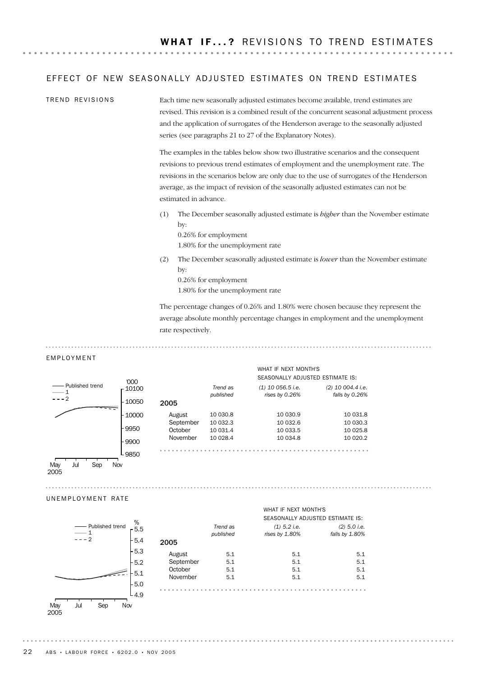### EFFECT OF NEW SEASONALLY ADJUSTED ESTIMATES ON TREND ESTIMATES

Each time new seasonally adjusted estimates become available, trend estimates are revised. This revision is a combined result of the concurrent seasonal adjustment process and the application of surrogates of the Henderson average to the seasonally adjusted series (see paragraphs 21 to 27 of the Explanatory Notes). TREND REVISIONS

> The examples in the tables below show two illustrative scenarios and the consequent revisions to previous trend estimates of employment and the unemployment rate. The revisions in the scenarios below are only due to the use of surrogates of the Henderson average, as the impact of revision of the seasonally adjusted estimates can not be estimated in advance.

> (1) The December seasonally adjusted estimate is *higher* than the November estimate by:

0.26% for employment 1.80% for the unemployment rate

(2) The December seasonally adjusted estimate is *lower* than the November estimate by: 0.26% for employment

1.80% for the unemployment rate

The percentage changes of 0.26% and 1.80% were chosen because they represent the average absolute monthly percentage changes in employment and the unemployment rate respectively.

#### EMPLOYMENT

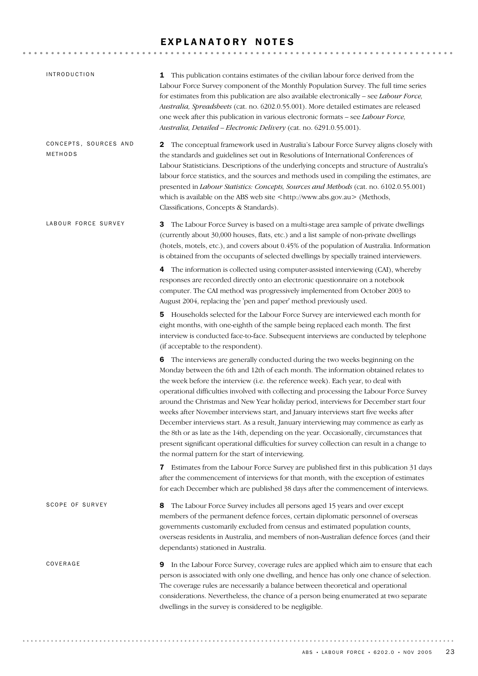# EXPLANATORY NOTES

| <i><b>INTRODUCTION</b></i>       | <b>1</b> This publication contains estimates of the civilian labour force derived from the<br>Labour Force Survey component of the Monthly Population Survey. The full time series<br>for estimates from this publication are also available electronically - see Labour Force,<br>Australia, Spreadsheets (cat. no. 6202.0.55.001). More detailed estimates are released<br>one week after this publication in various electronic formats - see Labour Force,<br>Australia, Detailed - Electronic Delivery (cat. no. 6291.0.55.001).                                                                                                                                                                                                                                                                                                                                         |
|----------------------------------|-------------------------------------------------------------------------------------------------------------------------------------------------------------------------------------------------------------------------------------------------------------------------------------------------------------------------------------------------------------------------------------------------------------------------------------------------------------------------------------------------------------------------------------------------------------------------------------------------------------------------------------------------------------------------------------------------------------------------------------------------------------------------------------------------------------------------------------------------------------------------------|
| CONCEPTS, SOURCES AND<br>METHODS | The conceptual framework used in Australia's Labour Force Survey aligns closely with<br>2<br>the standards and guidelines set out in Resolutions of International Conferences of<br>Labour Statisticians. Descriptions of the underlying concepts and structure of Australia's<br>labour force statistics, and the sources and methods used in compiling the estimates, are<br>presented in Labour Statistics: Concepts, Sources and Methods (cat. no. 6102.0.55.001)<br>which is available on the ABS web site <http: www.abs.gov.au=""> (Methods,<br/>Classifications, Concepts &amp; Standards).</http:>                                                                                                                                                                                                                                                                   |
| LABOUR FORCE SURVEY              | The Labour Force Survey is based on a multi-stage area sample of private dwellings<br>З<br>(currently about 30,000 houses, flats, etc.) and a list sample of non-private dwellings<br>(hotels, motels, etc.), and covers about 0.45% of the population of Australia. Information<br>is obtained from the occupants of selected dwellings by specially trained interviewers.                                                                                                                                                                                                                                                                                                                                                                                                                                                                                                   |
|                                  | The information is collected using computer-assisted interviewing (CAI), whereby<br>4<br>responses are recorded directly onto an electronic questionnaire on a notebook<br>computer. The CAI method was progressively implemented from October 2003 to<br>August 2004, replacing the 'pen and paper' method previously used.                                                                                                                                                                                                                                                                                                                                                                                                                                                                                                                                                  |
|                                  | 5 Households selected for the Labour Force Survey are interviewed each month for<br>eight months, with one-eighth of the sample being replaced each month. The first<br>interview is conducted face-to-face. Subsequent interviews are conducted by telephone<br>(if acceptable to the respondent).                                                                                                                                                                                                                                                                                                                                                                                                                                                                                                                                                                           |
|                                  | 6 The interviews are generally conducted during the two weeks beginning on the<br>Monday between the 6th and 12th of each month. The information obtained relates to<br>the week before the interview (i.e. the reference week). Each year, to deal with<br>operational difficulties involved with collecting and processing the Labour Force Survey<br>around the Christmas and New Year holiday period, interviews for December start four<br>weeks after November interviews start, and January interviews start five weeks after<br>December interviews start. As a result, January interviewing may commence as early as<br>the 8th or as late as the 14th, depending on the year. Occasionally, circumstances that<br>present significant operational difficulties for survey collection can result in a change to<br>the normal pattern for the start of interviewing. |
|                                  | Estimates from the Labour Force Survey are published first in this publication 31 days<br>7<br>after the commencement of interviews for that month, with the exception of estimates<br>for each December which are published 38 days after the commencement of interviews.                                                                                                                                                                                                                                                                                                                                                                                                                                                                                                                                                                                                    |
| SCOPE OF SURVEY                  | The Labour Force Survey includes all persons aged 15 years and over except<br>8<br>members of the permanent defence forces, certain diplomatic personnel of overseas<br>governments customarily excluded from census and estimated population counts,<br>overseas residents in Australia, and members of non-Australian defence forces (and their<br>dependants) stationed in Australia.                                                                                                                                                                                                                                                                                                                                                                                                                                                                                      |
| COVERAGE                         | <b>9</b> In the Labour Force Survey, coverage rules are applied which aim to ensure that each<br>person is associated with only one dwelling, and hence has only one chance of selection.<br>The coverage rules are necessarily a balance between theoretical and operational<br>considerations. Nevertheless, the chance of a person being enumerated at two separate<br>dwellings in the survey is considered to be negligible.                                                                                                                                                                                                                                                                                                                                                                                                                                             |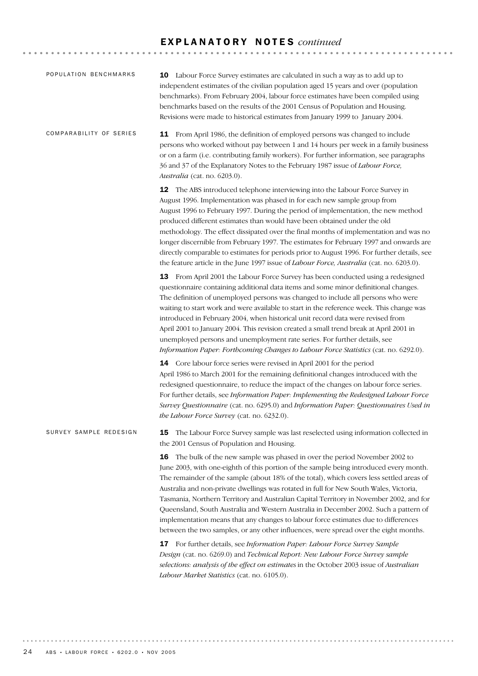## E X P L A N A T O R Y N O T E S *continued*

| POPULATION BENCHMARKS   | 10 Labour Force Survey estimates are calculated in such a way as to add up to<br>independent estimates of the civilian population aged 15 years and over (population<br>benchmarks). From February 2004, labour force estimates have been compiled using<br>benchmarks based on the results of the 2001 Census of Population and Housing.<br>Revisions were made to historical estimates from January 1999 to January 2004.                                                                                                                                                                                                                                                                                                                                                                                                                                                                  |  |  |  |  |  |  |  |  |
|-------------------------|----------------------------------------------------------------------------------------------------------------------------------------------------------------------------------------------------------------------------------------------------------------------------------------------------------------------------------------------------------------------------------------------------------------------------------------------------------------------------------------------------------------------------------------------------------------------------------------------------------------------------------------------------------------------------------------------------------------------------------------------------------------------------------------------------------------------------------------------------------------------------------------------|--|--|--|--|--|--|--|--|
| COMPARABILITY OF SERIES | 11 From April 1986, the definition of employed persons was changed to include<br>persons who worked without pay between 1 and 14 hours per week in a family business<br>or on a farm (i.e. contributing family workers). For further information, see paragraphs<br>36 and 37 of the Explanatory Notes to the February 1987 issue of Labour Force,<br>Australia (cat. no. 6203.0).                                                                                                                                                                                                                                                                                                                                                                                                                                                                                                           |  |  |  |  |  |  |  |  |
|                         | 12 The ABS introduced telephone interviewing into the Labour Force Survey in<br>August 1996. Implementation was phased in for each new sample group from<br>August 1996 to February 1997. During the period of implementation, the new method<br>produced different estimates than would have been obtained under the old<br>methodology. The effect dissipated over the final months of implementation and was no<br>longer discernible from February 1997. The estimates for February 1997 and onwards are<br>directly comparable to estimates for periods prior to August 1996. For further details, see<br>the feature article in the June 1997 issue of <i>Labour Force</i> , <i>Australia</i> (cat. no. 6203.0).                                                                                                                                                                       |  |  |  |  |  |  |  |  |
|                         | 13 From April 2001 the Labour Force Survey has been conducted using a redesigned<br>questionnaire containing additional data items and some minor definitional changes.<br>The definition of unemployed persons was changed to include all persons who were<br>waiting to start work and were available to start in the reference week. This change was<br>introduced in February 2004, when historical unit record data were revised from<br>April 2001 to January 2004. This revision created a small trend break at April 2001 in<br>unemployed persons and unemployment rate series. For further details, see<br>Information Paper: Forthcoming Changes to Labour Force Statistics (cat. no. 6292.0).                                                                                                                                                                                    |  |  |  |  |  |  |  |  |
|                         | 14 Core labour force series were revised in April 2001 for the period<br>April 1986 to March 2001 for the remaining definitional changes introduced with the<br>redesigned questionnaire, to reduce the impact of the changes on labour force series.<br>For further details, see Information Paper: Implementing the Redesigned Labour Force<br>Survey Questionnaire (cat. no. 6295.0) and Information Paper: Questionnaires Used in<br>the Labour Force Survey (cat. no. 6232.0).                                                                                                                                                                                                                                                                                                                                                                                                          |  |  |  |  |  |  |  |  |
| SURVEY SAMPLE REDESIGN  | The Labour Force Survey sample was last reselected using information collected in<br>15<br>the 2001 Census of Population and Housing.                                                                                                                                                                                                                                                                                                                                                                                                                                                                                                                                                                                                                                                                                                                                                        |  |  |  |  |  |  |  |  |
|                         | 16 The bulk of the new sample was phased in over the period November 2002 to<br>June 2003, with one-eighth of this portion of the sample being introduced every month.<br>The remainder of the sample (about 18% of the total), which covers less settled areas of<br>Australia and non-private dwellings was rotated in full for New South Wales, Victoria,<br>Tasmania, Northern Territory and Australian Capital Territory in November 2002, and for<br>Queensland, South Australia and Western Australia in December 2002. Such a pattern of<br>implementation means that any changes to labour force estimates due to differences<br>between the two samples, or any other influences, were spread over the eight months.<br>17 For further details, see Information Paper: Labour Force Survey Sample<br>Design (cat. no. 6269.0) and Technical Report: New Labour Force Survey sample |  |  |  |  |  |  |  |  |
|                         | selections: analysis of the effect on estimates in the October 2003 issue of Australian<br>Labour Market Statistics (cat. no. 6105.0).                                                                                                                                                                                                                                                                                                                                                                                                                                                                                                                                                                                                                                                                                                                                                       |  |  |  |  |  |  |  |  |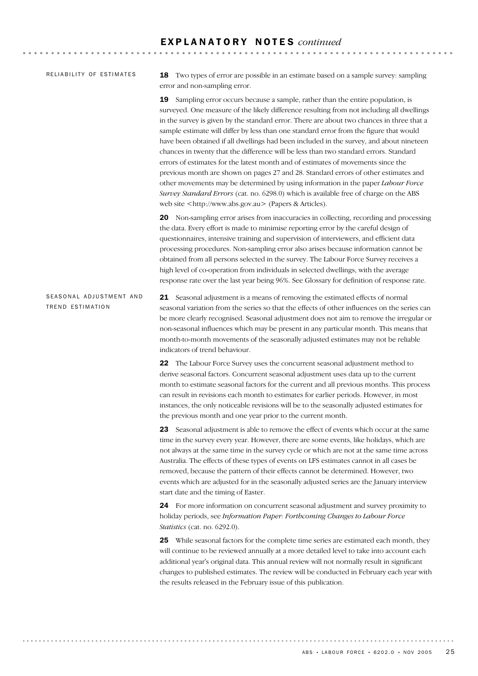### RELIABILITY OF ESTIMATES

18 Two types of error are possible in an estimate based on a sample survey: sampling error and non-sampling error.

19 Sampling error occurs because a sample, rather than the entire population, is surveyed. One measure of the likely difference resulting from not including all dwellings in the survey is given by the standard error. There are about two chances in three that a sample estimate will differ by less than one standard error from the figure that would have been obtained if all dwellings had been included in the survey, and about nineteen chances in twenty that the difference will be less than two standard errors. Standard errors of estimates for the latest month and of estimates of movements since the previous month are shown on pages 27 and 28. Standard errors of other estimates and other movements may be determined by using information in the paper *Labour Force Survey Standard Errors* (cat. no. 6298.0) which is available free of charge on the ABS web site <http://www.abs.gov.au> (Papers & Articles).

20 Non-sampling error arises from inaccuracies in collecting, recording and processing the data. Every effort is made to minimise reporting error by the careful design of questionnaires, intensive training and supervision of interviewers, and efficient data processing procedures. Non-sampling error also arises because information cannot be obtained from all persons selected in the survey. The Labour Force Survey receives a high level of co-operation from individuals in selected dwellings, with the average response rate over the last year being 96%. See Glossary for definition of response rate.

21 Seasonal adjustment is a means of removing the estimated effects of normal seasonal variation from the series so that the effects of other influences on the series can be more clearly recognised. Seasonal adjustment does not aim to remove the irregular or non-seasonal influences which may be present in any particular month. This means that month-to-month movements of the seasonally adjusted estimates may not be reliable indicators of trend behaviour. SEASONAL ADJUSTMENT AND TREND ESTIMATION

> 22 The Labour Force Survey uses the concurrent seasonal adjustment method to derive seasonal factors. Concurrent seasonal adjustment uses data up to the current month to estimate seasonal factors for the current and all previous months. This process can result in revisions each month to estimates for earlier periods. However, in most instances, the only noticeable revisions will be to the seasonally adjusted estimates for the previous month and one year prior to the current month.

> 23 Seasonal adjustment is able to remove the effect of events which occur at the same time in the survey every year. However, there are some events, like holidays, which are not always at the same time in the survey cycle or which are not at the same time across Australia. The effects of these types of events on LFS estimates cannot in all cases be removed, because the pattern of their effects cannot be determined. However, two events which are adjusted for in the seasonally adjusted series are the January interview start date and the timing of Easter.

24 For more information on concurrent seasonal adjustment and survey proximity to holiday periods, see *Information Paper: Forthcoming Changes to Labour Force Statistics* (cat. no. 6292.0).

25 While seasonal factors for the complete time series are estimated each month, they will continue to be reviewed annually at a more detailed level to take into account each additional year's original data. This annual review will not normally result in significant changes to published estimates. The review will be conducted in February each year with the results released in the February issue of this publication.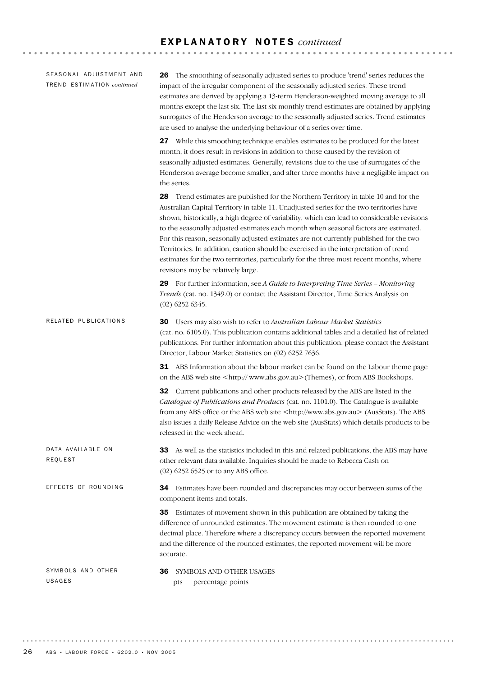### E X P L A N A T O R Y N O T E S *continued*

**\*\*\*\*\*\*\*\*\*\*\*\*\*\*\*\*\*** 

36 SYMBOLS AND OTHER USAGES pts percentage points SYMBOLS AND OTHER USAGES 34 Estimates have been rounded and discrepancies may occur between sums of the component items and totals. 35 Estimates of movement shown in this publication are obtained by taking the difference of unrounded estimates. The movement estimate is then rounded to one decimal place. Therefore where a discrepancy occurs between the reported movement and the difference of the rounded estimates, the reported movement will be more accurate. EFFECTS OF ROUNDING 33 As well as the statistics included in this and related publications, the ABS may have other relevant data available. Inquiries should be made to Rebecca Cash on (02) 6252 6525 or to any ABS office. DATA AVAILABLE ON REQUEST 30 Users may also wish to refer to *Australian Labour Market Statistics* (cat. no. 6105.0). This publication contains additional tables and a detailed list of related publications. For further information about this publication, please contact the Assistant Director, Labour Market Statistics on (02) 6252 7636. **31** ABS Information about the labour market can be found on the Labour theme page on the ABS web site <http:// www.abs.gov.au>(Themes), or from ABS Bookshops. 32 Current publications and other products released by the ABS are listed in the *Catalogue of Publications and Products* (cat. no. 1101.0). The Catalogue is available from any ABS office or the ABS web site <http://www.abs.gov.au> (AusStats). The ABS also issues a daily Release Advice on the web site (AusStats) which details products to be released in the week ahead. RELATED PUBLICATIONS 26 The smoothing of seasonally adjusted series to produce 'trend' series reduces the impact of the irregular component of the seasonally adjusted series. These trend estimates are derived by applying a 13-term Henderson-weighted moving average to all months except the last six. The last six monthly trend estimates are obtained by applying surrogates of the Henderson average to the seasonally adjusted series. Trend estimates are used to analyse the underlying behaviour of a series over time. 27 While this smoothing technique enables estimates to be produced for the latest month, it does result in revisions in addition to those caused by the revision of seasonally adjusted estimates. Generally, revisions due to the use of surrogates of the Henderson average become smaller, and after three months have a negligible impact on the series. 28 Trend estimates are published for the Northern Territory in table 10 and for the Australian Capital Territory in table 11. Unadjusted series for the two territories have shown, historically, a high degree of variability, which can lead to considerable revisions to the seasonally adjusted estimates each month when seasonal factors are estimated. For this reason, seasonally adjusted estimates are not currently published for the two Territories. In addition, caution should be exercised in the interpretation of trend estimates for the two territories, particularly for the three most recent months, where revisions may be relatively large. 29 For further information, see *A Guide to Interpreting Time Series – Monitoring Trends* (cat. no. 1349.0) or contact the Assistant Director, Time Series Analysis on (02) 6252 6345. SEASONAL ADJUSTMENT AND TR E N D ES T I M A T I O N *continued*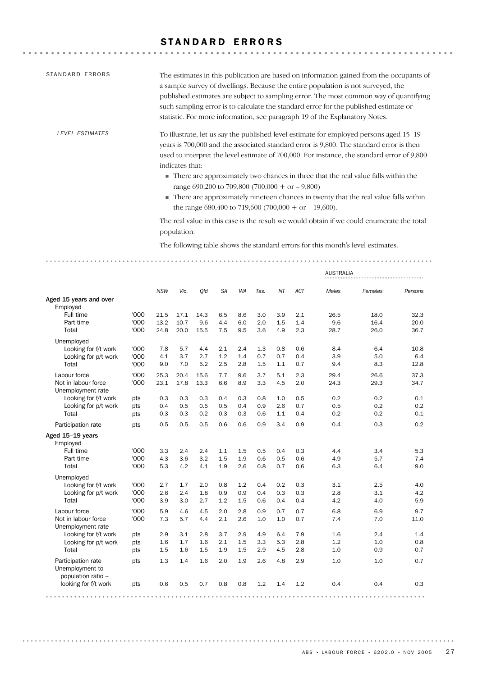# STANDARD ERRORS

| STANDARD ERRORS | The estimates in this publication are based on information gained from the occupants of<br>a sample survey of dwellings. Because the entire population is not surveyed, the<br>published estimates are subject to sampling error. The most common way of quantifying<br>such sampling error is to calculate the standard error for the published estimate or<br>statistic. For more information, see paragraph 19 of the Explanatory Notes.                                                                                                                                                          |
|-----------------|------------------------------------------------------------------------------------------------------------------------------------------------------------------------------------------------------------------------------------------------------------------------------------------------------------------------------------------------------------------------------------------------------------------------------------------------------------------------------------------------------------------------------------------------------------------------------------------------------|
| LEVEL ESTIMATES | To illustrate, let us say the published level estimate for employed persons aged 15–19<br>years is 700,000 and the associated standard error is 9,800. The standard error is then<br>used to interpret the level estimate of 700,000. For instance, the standard error of 9,800<br>indicates that:<br>• There are approximately two chances in three that the real value falls within the<br>range 690,200 to 709,800 (700,000 + or $-9,800$ )<br>• There are approximately nineteen chances in twenty that the real value falls within<br>the range $680,400$ to 719,600 (700,000 + or $-19,600$ ). |
|                 | The real value in this case is the result we would obtain if we could enumerate the total<br>population.                                                                                                                                                                                                                                                                                                                                                                                                                                                                                             |
|                 | The following table shows the standard errors for this month's level estimates.                                                                                                                                                                                                                                                                                                                                                                                                                                                                                                                      |

|                                                             |      |            |      |      |           |           |      |     |     | <b>AUSTRALIA</b> |         |         |
|-------------------------------------------------------------|------|------------|------|------|-----------|-----------|------|-----|-----|------------------|---------|---------|
|                                                             |      | <b>NSW</b> | Vic. | Old  | <b>SA</b> | <b>WA</b> | Tas. | NT  | ACT | Males            | Females | Persons |
| Aged 15 years and over<br>Employed                          |      |            |      |      |           |           |      |     |     |                  |         |         |
| Full time                                                   | '000 | 21.5       | 17.1 | 14.3 | 6.5       | 8.6       | 3.0  | 3.9 | 2.1 | 26.5             | 18.0    | 32.3    |
| Part time                                                   | '000 | 13.2       | 10.7 | 9.6  | 4.4       | 6.0       | 2.0  | 1.5 | 1.4 | 9.6              | 16.4    | 20.0    |
| Total                                                       | '000 | 24.8       | 20.0 | 15.5 | 7.5       | 9.5       | 3.6  | 4.9 | 2.3 | 28.7             | 26.0    | 36.7    |
| Unemployed                                                  |      |            |      |      |           |           |      |     |     |                  |         |         |
| Looking for f/t work                                        | '000 | 7.8        | 5.7  | 4.4  | 2.1       | 2.4       | 1.3  | 0.8 | 0.6 | 8.4              | 6.4     | 10.8    |
| Looking for p/t work                                        | '000 | 4.1        | 3.7  | 2.7  | 1.2       | 1.4       | 0.7  | 0.7 | 0.4 | 3.9              | 5.0     | 6.4     |
| Total                                                       | '000 | 9.0        | 7.0  | 5.2  | 2.5       | 2.8       | 1.5  | 1.1 | 0.7 | 9.4              | 8.3     | 12.8    |
| Labour force                                                | '000 | 25.3       | 20.4 | 15.6 | 7.7       | 9.6       | 3.7  | 5.1 | 2.3 | 29.4             | 26.6    | 37.3    |
| Not in labour force<br>Unemployment rate                    | '000 | 23.1       | 17.8 | 13.3 | 6.6       | 8.9       | 3.3  | 4.5 | 2.0 | 24.3             | 29.3    | 34.7    |
| Looking for f/t work                                        | pts  | 0.3        | 0.3  | 0.3  | 0.4       | 0.3       | 0.8  | 1.0 | 0.5 | 0.2              | 0.2     | 0.1     |
| Looking for p/t work                                        | pts  | 0.4        | 0.5  | 0.5  | 0.5       | 0.4       | 0.9  | 2.6 | 0.7 | 0.5              | 0.2     | 0.2     |
| Total                                                       | pts  | 0.3        | 0.3  | 0.2  | 0.3       | 0.3       | 0.6  | 1.1 | 0.4 | 0.2              | 0.2     | 0.1     |
| Participation rate                                          | pts  | 0.5        | 0.5  | 0.5  | 0.6       | 0.6       | 0.9  | 3.4 | 0.9 | 0.4              | 0.3     | 0.2     |
| Aged 15-19 years<br>Employed                                |      |            |      |      |           |           |      |     |     |                  |         |         |
| Full time                                                   | '000 | 3.3        | 2.4  | 2.4  | 1.1       | 1.5       | 0.5  | 0.4 | 0.3 | 4.4              | 3.4     | 5.3     |
| Part time                                                   | '000 | 4.3        | 3.6  | 3.2  | 1.5       | 1.9       | 0.6  | 0.5 | 0.6 | 4.9              | 5.7     | 7.4     |
| Total                                                       | '000 | 5.3        | 4.2  | 4.1  | 1.9       | 2.6       | 0.8  | 0.7 | 0.6 | 6.3              | 6.4     | 9.0     |
| Unemployed                                                  |      |            |      |      |           |           |      |     |     |                  |         |         |
| Looking for f/t work                                        | '000 | 2.7        | 1.7  | 2.0  | 0.8       | 1.2       | 0.4  | 0.2 | 0.3 | 3.1              | 2.5     | 4.0     |
| Looking for p/t work                                        | '000 | 2.6        | 2.4  | 1.8  | 0.9       | 0.9       | 0.4  | 0.3 | 0.3 | 2.8              | 3.1     | 4.2     |
| Total                                                       | '000 | 3.9        | 3.0  | 2.7  | 1.2       | 1.5       | 0.6  | 0.4 | 0.4 | 4.2              | 4.0     | 5.9     |
| Labour force                                                | '000 | 5.9        | 4.6  | 4.5  | 2.0       | 2.8       | 0.9  | 0.7 | 0.7 | 6.8              | 6.9     | 9.7     |
| Not in labour force<br>Unemployment rate                    | '000 | 7.3        | 5.7  | 4.4  | 2.1       | 2.6       | 1.0  | 1.0 | 0.7 | 7.4              | 7.0     | 11.0    |
| Looking for f/t work                                        | pts  | 2.9        | 3.1  | 2.8  | 3.7       | 2.9       | 4.9  | 6.4 | 7.9 | 1.6              | 2.4     | 1.4     |
| Looking for p/t work                                        | pts  | 1.6        | 1.7  | 1.6  | 2.1       | 1.5       | 3.3  | 5.3 | 2.8 | 1.2              | 1.0     | 0.8     |
| Total                                                       | pts  | 1.5        | 1.6  | 1.5  | 1.9       | 1.5       | 2.9  | 4.5 | 2.8 | 1.0              | 0.9     | 0.7     |
| Participation rate<br>Unemployment to<br>population ratio - | pts  | 1.3        | 1.4  | 1.6  | 2.0       | 1.9       | 2.6  | 4.8 | 2.9 | 1.0              | 1.0     | 0.7     |
| looking for f/t work                                        | pts  | 0.6        | 0.5  | 0.7  | 0.8       | 0.8       | 1.2  | 1.4 | 1.2 | 0.4              | 0.4     | 0.3     |
|                                                             |      |            |      |      |           |           |      |     |     |                  |         |         |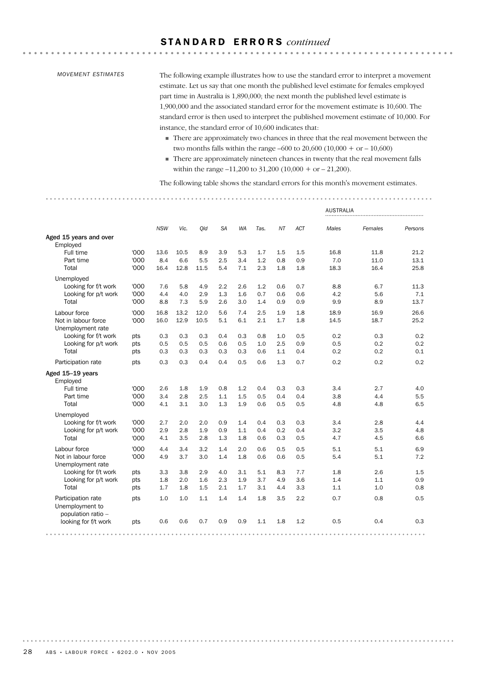### S T A N D A R D E R R O R S *continued*

### *MOVEMENT ESTIMATES*

The following example illustrates how to use the standard error to interpret a movement estimate. Let us say that one month the published level estimate for females employed part time in Australia is 1,890,000; the next month the published level estimate is 1,900,000 and the associated standard error for the movement estimate is 10,600. The standard error is then used to interpret the published movement estimate of 10,000. For instance, the standard error of 10,600 indicates that:

. . . . . . . . . . . . . . . .

- ! There are approximately two chances in three that the real movement between the two months falls within the range –600 to 20,600 (10,000 + or – 10,600)
- ! There are approximately nineteen chances in twenty that the real movement falls within the range –11,200 to 31,200 (10,000 + or – 21,200).

The following table shows the standard errors for this month's movement estimates.

|                                                             |            |            |            |            |            |            |            |            |            | <b>AUSTRALIA</b> |            |            |
|-------------------------------------------------------------|------------|------------|------------|------------|------------|------------|------------|------------|------------|------------------|------------|------------|
|                                                             |            | <b>NSW</b> | Vic.       | Qld        | <b>SA</b>  | <b>WA</b>  | Tas.       | <b>NT</b>  | <b>ACT</b> | Males            | Females    | Persons    |
| Aged 15 years and over<br>Employed                          |            |            |            |            |            |            |            |            |            |                  |            |            |
| Full time                                                   | '000       | 13.6       | 10.5       | 8.9        | 3.9        | 5.3        | 1.7        | 1.5        | 1.5        | 16.8             | 11.8       | 21.2       |
| Part time                                                   | '000       | 8.4        | 6.6        | 5.5        | 2.5        | 3.4        | 1.2        | 0.8        | 0.9        | 7.0              | 11.0       | 13.1       |
| Total                                                       | '000       | 16.4       | 12.8       | 11.5       | 5.4        | 7.1        | 2.3        | 1.8        | 1.8        | 18.3             | 16.4       | 25.8       |
| Unemployed                                                  |            |            |            |            |            |            |            |            |            |                  |            |            |
| Looking for f/t work                                        | '000       | 7.6        | 5.8        | 4.9        | 2.2        | 2.6        | 1.2        | 0.6        | 0.7        | 8.8              | 6.7        | 11.3       |
| Looking for p/t work                                        | '000       | 4.4        | 4.0        | 2.9        | 1.3        | 1.6        | 0.7        | 0.6        | 0.6        | 4.2              | 5.6        | 7.1        |
| Total                                                       | '000       | 8.8        | 7.3        | 5.9        | 2.6        | 3.0        | 1.4        | 0.9        | 0.9        | 9.9              | 8.9        | 13.7       |
| Labour force                                                | '000       | 16.8       | 13.2       | 12.0       | 5.6        | 7.4        | 2.5        | 1.9        | 1.8        | 18.9             | 16.9       | 26.6       |
| Not in labour force                                         | '000       | 16.0       | 12.9       | 10.5       | 5.1        | 6.1        | 2.1        | 1.7        | 1.8        | 14.5             | 18.7       | 25.2       |
| Unemployment rate                                           |            |            |            |            |            |            |            |            |            |                  |            |            |
| Looking for f/t work                                        | pts        | 0.3        | 0.3        | 0.3        | 0.4        | 0.3        | 0.8        | 1.0        | 0.5        | 0.2              | 0.3<br>0.2 | 0.2<br>0.2 |
| Looking for p/t work<br>Total                               | pts<br>pts | 0.5<br>0.3 | 0.5<br>0.3 | 0.5<br>0.3 | 0.6<br>0.3 | 0.5<br>0.3 | 1.0<br>0.6 | 2.5<br>1.1 | 0.9<br>0.4 | 0.5<br>0.2       | 0.2        | 0.1        |
|                                                             |            |            |            |            |            |            |            |            |            |                  |            |            |
| Participation rate                                          | pts        | 0.3        | 0.3        | 0.4        | 0.4        | 0.5        | 0.6        | 1.3        | 0.7        | 0.2              | 0.2        | 0.2        |
| Aged 15-19 years<br>Employed                                |            |            |            |            |            |            |            |            |            |                  |            |            |
| Full time                                                   | '000       | 2.6        | 1.8        | 1.9        | 0.8        | 1.2        | 0.4        | 0.3        | 0.3        | 3.4              | 2.7        | 4.0        |
| Part time                                                   | '000       | 3.4        | 2.8        | 2.5        | 1.1        | 1.5        | 0.5        | 0.4        | 0.4        | 3.8              | 4.4        | 5.5        |
| Total                                                       | '000       | 4.1        | 3.1        | 3.0        | 1.3        | 1.9        | 0.6        | 0.5        | 0.5        | 4.8              | 4.8        | 6.5        |
| Unemployed                                                  |            |            |            |            |            |            |            |            |            |                  |            |            |
| Looking for f/t work                                        | '000       | 2.7        | 2.0        | 2.0        | 0.9        | 1.4        | 0.4        | 0.3        | 0.3        | 3.4              | 2.8        | 4.4        |
| Looking for p/t work                                        | '000       | 2.9        | 2.8        | 1.9        | 0.9        | 1.1        | 0.4        | 0.2        | 0.4        | 3.2              | 3.5        | 4.8        |
| Total                                                       | '000       | 4.1        | 3.5        | 2.8        | 1.3        | 1.8        | 0.6        | 0.3        | 0.5        | 4.7              | 4.5        | 6.6        |
| Labour force                                                | '000       | 4.4        | 3.4        | 3.2        | 1.4        | 2.0        | 0.6        | 0.5        | 0.5        | 5.1              | 5.1        | 6.9        |
| Not in labour force                                         | '000       | 4.9        | 3.7        | 3.0        | 1.4        | 1.8        | 0.6        | 0.6        | 0.5        | 5.4              | 5.1        | 7.2        |
| Unemployment rate                                           |            |            |            |            |            |            |            |            |            |                  |            |            |
| Looking for f/t work                                        | pts        | 3.3        | 3.8        | 2.9        | 4.0        | 3.1        | 5.1        | 8.3        | 7.7        | 1.8              | 2.6        | 1.5        |
| Looking for p/t work                                        | pts        | 1.8        | 2.0        | 1.6        | 2.3        | 1.9        | 3.7        | 4.9        | 3.6        | 1.4              | 1.1        | 0.9        |
| Total                                                       | pts        | 1.7        | 1.8        | 1.5        | 2.1        | 1.7        | 3.1        | 4.4        | 3.3        | 1.1              | 1.0        | 0.8        |
| Participation rate<br>Unemployment to<br>population ratio - | pts        | 1.0        | 1.0        | 1.1        | 1.4        | 1.4        | 1.8        | 3.5        | 2.2        | 0.7              | 0.8        | 0.5        |
| looking for f/t work                                        | pts        | 0.6        | 0.6        | 0.7        | 0.9        | 0.9        | 1.1        | 1.8        | 1.2        | 0.5              | 0.4        | 0.3        |
|                                                             |            |            |            |            |            |            |            |            |            |                  |            |            |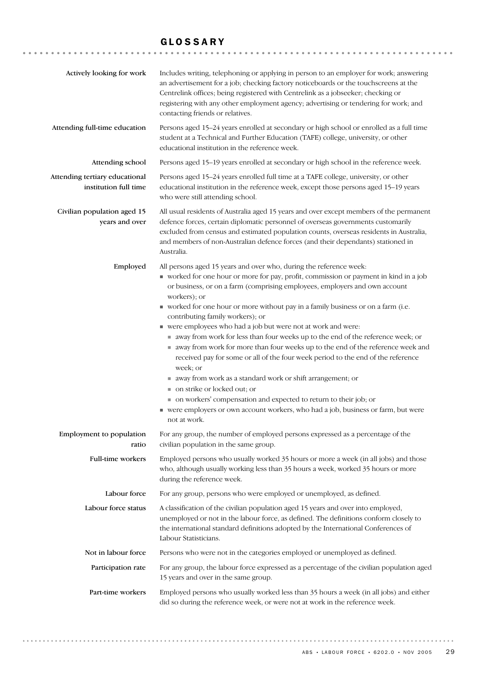### GLOSSARY

| Actively looking for work                               | Includes writing, telephoning or applying in person to an employer for work; answering<br>an advertisement for a job; checking factory noticeboards or the touchscreens at the<br>Centrelink offices; being registered with Centrelink as a jobseeker; checking or<br>registering with any other employment agency; advertising or tendering for work; and<br>contacting friends or relatives.                                                                                                                                                                                                                                                                                                                                                                                                                                                                                                                                                                                                     |
|---------------------------------------------------------|----------------------------------------------------------------------------------------------------------------------------------------------------------------------------------------------------------------------------------------------------------------------------------------------------------------------------------------------------------------------------------------------------------------------------------------------------------------------------------------------------------------------------------------------------------------------------------------------------------------------------------------------------------------------------------------------------------------------------------------------------------------------------------------------------------------------------------------------------------------------------------------------------------------------------------------------------------------------------------------------------|
| Attending full-time education                           | Persons aged 15-24 years enrolled at secondary or high school or enrolled as a full time<br>student at a Technical and Further Education (TAFE) college, university, or other<br>educational institution in the reference week.                                                                                                                                                                                                                                                                                                                                                                                                                                                                                                                                                                                                                                                                                                                                                                    |
| Attending school                                        | Persons aged 15-19 years enrolled at secondary or high school in the reference week.                                                                                                                                                                                                                                                                                                                                                                                                                                                                                                                                                                                                                                                                                                                                                                                                                                                                                                               |
| Attending tertiary educational<br>institution full time | Persons aged 15-24 years enrolled full time at a TAFE college, university, or other<br>educational institution in the reference week, except those persons aged 15-19 years<br>who were still attending school.                                                                                                                                                                                                                                                                                                                                                                                                                                                                                                                                                                                                                                                                                                                                                                                    |
| Civilian population aged 15<br>years and over           | All usual residents of Australia aged 15 years and over except members of the permanent<br>defence forces, certain diplomatic personnel of overseas governments customarily<br>excluded from census and estimated population counts, overseas residents in Australia,<br>and members of non-Australian defence forces (and their dependants) stationed in<br>Australia.                                                                                                                                                                                                                                                                                                                                                                                                                                                                                                                                                                                                                            |
| Employed                                                | All persons aged 15 years and over who, during the reference week:<br>worked for one hour or more for pay, profit, commission or payment in kind in a job<br>or business, or on a farm (comprising employees, employers and own account<br>workers); or<br>worked for one hour or more without pay in a family business or on a farm (i.e.<br>contributing family workers); or<br>■ were employees who had a job but were not at work and were:<br>away from work for less than four weeks up to the end of the reference week; or<br>away from work for more than four weeks up to the end of the reference week and<br>received pay for some or all of the four week period to the end of the reference<br>week; or<br>■ away from work as a standard work or shift arrangement; or<br>■ on strike or locked out; or<br>• on workers' compensation and expected to return to their job; or<br>• were employers or own account workers, who had a job, business or farm, but were<br>not at work. |
| Employment to population<br>ratio                       | For any group, the number of employed persons expressed as a percentage of the<br>civilian population in the same group.                                                                                                                                                                                                                                                                                                                                                                                                                                                                                                                                                                                                                                                                                                                                                                                                                                                                           |
| Full-time workers                                       | Employed persons who usually worked 35 hours or more a week (in all jobs) and those<br>who, although usually working less than 35 hours a week, worked 35 hours or more<br>during the reference week.                                                                                                                                                                                                                                                                                                                                                                                                                                                                                                                                                                                                                                                                                                                                                                                              |
| Labour force                                            | For any group, persons who were employed or unemployed, as defined.                                                                                                                                                                                                                                                                                                                                                                                                                                                                                                                                                                                                                                                                                                                                                                                                                                                                                                                                |
| Labour force status                                     | A classification of the civilian population aged 15 years and over into employed,<br>unemployed or not in the labour force, as defined. The definitions conform closely to<br>the international standard definitions adopted by the International Conferences of<br>Labour Statisticians.                                                                                                                                                                                                                                                                                                                                                                                                                                                                                                                                                                                                                                                                                                          |
| Not in labour force                                     | Persons who were not in the categories employed or unemployed as defined.                                                                                                                                                                                                                                                                                                                                                                                                                                                                                                                                                                                                                                                                                                                                                                                                                                                                                                                          |
| Participation rate                                      | For any group, the labour force expressed as a percentage of the civilian population aged<br>15 years and over in the same group.                                                                                                                                                                                                                                                                                                                                                                                                                                                                                                                                                                                                                                                                                                                                                                                                                                                                  |
| Part-time workers                                       | Employed persons who usually worked less than 35 hours a week (in all jobs) and either<br>did so during the reference week, or were not at work in the reference week.                                                                                                                                                                                                                                                                                                                                                                                                                                                                                                                                                                                                                                                                                                                                                                                                                             |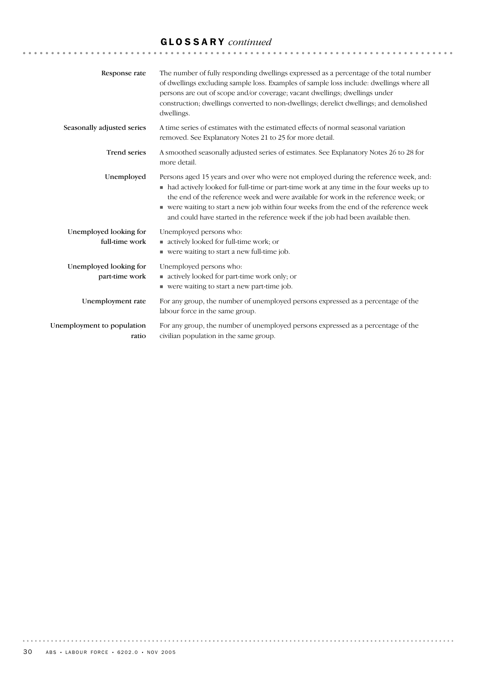# GLOSSARY *continued*

| Response rate                            | The number of fully responding dwellings expressed as a percentage of the total number<br>of dwellings excluding sample loss. Examples of sample loss include: dwellings where all<br>persons are out of scope and/or coverage; vacant dwellings; dwellings under<br>construction; dwellings converted to non-dwellings; derelict dwellings; and demolished<br>dwellings.                                                                              |
|------------------------------------------|--------------------------------------------------------------------------------------------------------------------------------------------------------------------------------------------------------------------------------------------------------------------------------------------------------------------------------------------------------------------------------------------------------------------------------------------------------|
| Seasonally adjusted series               | A time series of estimates with the estimated effects of normal seasonal variation<br>removed. See Explanatory Notes 21 to 25 for more detail.                                                                                                                                                                                                                                                                                                         |
| <b>Trend series</b>                      | A smoothed seasonally adjusted series of estimates. See Explanatory Notes 26 to 28 for<br>more detail.                                                                                                                                                                                                                                                                                                                                                 |
| Unemployed                               | Persons aged 15 years and over who were not employed during the reference week, and:<br>• had actively looked for full-time or part-time work at any time in the four weeks up to<br>the end of the reference week and were available for work in the reference week; or<br>• were waiting to start a new job within four weeks from the end of the reference week<br>and could have started in the reference week if the job had been available then. |
| Unemployed looking for<br>full-time work | Unemployed persons who:<br>actively looked for full-time work; or<br>■ were waiting to start a new full-time job.                                                                                                                                                                                                                                                                                                                                      |
| Unemployed looking for<br>part-time work | Unemployed persons who:<br>actively looked for part-time work only; or<br>■ were waiting to start a new part-time job.                                                                                                                                                                                                                                                                                                                                 |
| Unemployment rate                        | For any group, the number of unemployed persons expressed as a percentage of the<br>labour force in the same group.                                                                                                                                                                                                                                                                                                                                    |
| Unemployment to population<br>ratio      | For any group, the number of unemployed persons expressed as a percentage of the<br>civilian population in the same group.                                                                                                                                                                                                                                                                                                                             |